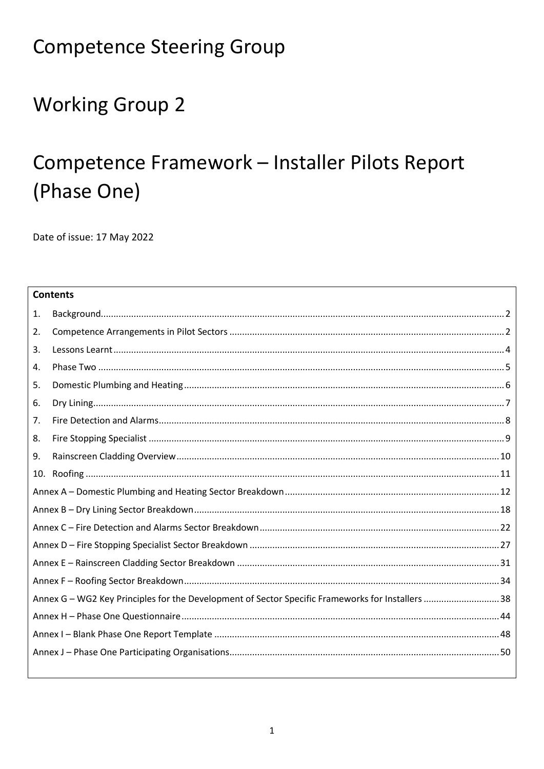# **Competence Steering Group**

# **Working Group 2**

# Competence Framework - Installer Pilots Report (Phase One)

Date of issue: 17 May 2022

### **Contents**

| 1.  |                                                                                                  |  |  |  |
|-----|--------------------------------------------------------------------------------------------------|--|--|--|
| 2.  |                                                                                                  |  |  |  |
| 3.  |                                                                                                  |  |  |  |
| 4.  |                                                                                                  |  |  |  |
| 5.  |                                                                                                  |  |  |  |
| 6.  |                                                                                                  |  |  |  |
| 7.  |                                                                                                  |  |  |  |
| 8.  |                                                                                                  |  |  |  |
| 9.  |                                                                                                  |  |  |  |
| 10. |                                                                                                  |  |  |  |
|     |                                                                                                  |  |  |  |
|     |                                                                                                  |  |  |  |
|     |                                                                                                  |  |  |  |
|     |                                                                                                  |  |  |  |
|     |                                                                                                  |  |  |  |
|     |                                                                                                  |  |  |  |
|     | Annex G - WG2 Key Principles for the Development of Sector Specific Frameworks for Installers 38 |  |  |  |
|     |                                                                                                  |  |  |  |
|     |                                                                                                  |  |  |  |
|     |                                                                                                  |  |  |  |
|     |                                                                                                  |  |  |  |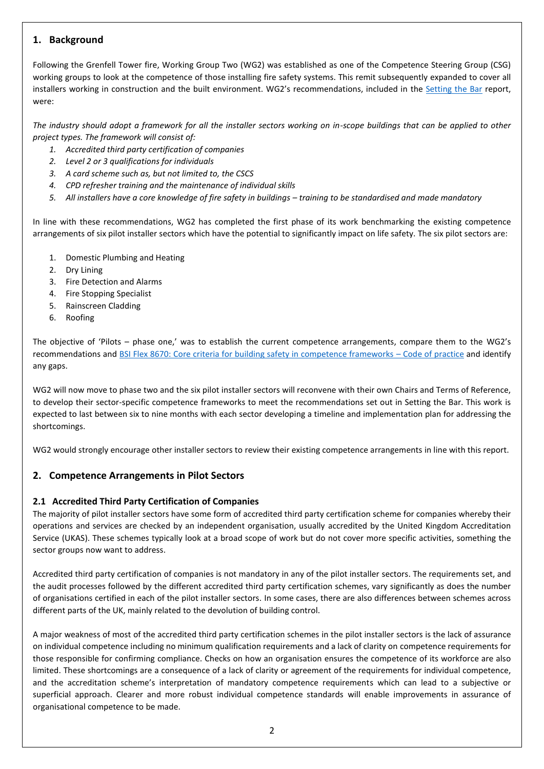### <span id="page-1-0"></span>**1. Background**

Following the Grenfell Tower fire, Working Group Two (WG2) was established as one of the Competence Steering Group (CSG) working groups to look at the competence of those installing fire safety systems. This remit subsequently expanded to cover all installers working in construction and the built environment. WG2's recommendations, included in the [Setting the Bar](https://cic.org.uk/admin/resources/setting-the-bar-9-final-1.pdf) report, were:

*The industry should adopt a framework for all the installer sectors working on in-scope buildings that can be applied to other project types. The framework will consist of:*

- *1. Accredited third party certification of companies*
- *2. Level 2 or 3 qualifications for individuals*
- *3. A card scheme such as, but not limited to, the CSCS*
- *4. CPD refresher training and the maintenance of individual skills*
- 5. All installers have a core knowledge of fire safety in buildings training to be standardised and made mandatory

In line with these recommendations, WG2 has completed the first phase of its work benchmarking the existing competence arrangements of six pilot installer sectors which have the potential to significantly impact on life safety. The six pilot sectors are:

- 1. Domestic Plumbing and Heating
- 2. Dry Lining
- 3. Fire Detection and Alarms
- 4. Fire Stopping Specialist
- 5. Rainscreen Cladding
- 6. Roofing

The objective of 'Pilots – phase one,' was to establish the current competence arrangements, compare them to the WG2's recommendations an[d BSI Flex 8670: Core criteria for building safety in competence frameworks](https://shop.bsigroup.com/products/built-environment-core-criteria-for-building-safety-in-competence-frameworks-code-of-practice/standard) – Code of practice and identify any gaps.

WG2 will now move to phase two and the six pilot installer sectors will reconvene with their own Chairs and Terms of Reference, to develop their sector-specific competence frameworks to meet the recommendations set out in Setting the Bar. This work is expected to last between six to nine months with each sector developing a timeline and implementation plan for addressing the shortcomings.

WG2 would strongly encourage other installer sectors to review their existing competence arrangements in line with this report.

#### <span id="page-1-1"></span>**2. Competence Arrangements in Pilot Sectors**

#### **2.1 Accredited Third Party Certification of Companies**

The majority of pilot installer sectors have some form of accredited third party certification scheme for companies whereby their operations and services are checked by an independent organisation, usually accredited by the United Kingdom Accreditation Service (UKAS). These schemes typically look at a broad scope of work but do not cover more specific activities, something the sector groups now want to address.

Accredited third party certification of companies is not mandatory in any of the pilot installer sectors. The requirements set, and the audit processes followed by the different accredited third party certification schemes, vary significantly as does the number of organisations certified in each of the pilot installer sectors. In some cases, there are also differences between schemes across different parts of the UK, mainly related to the devolution of building control.

A major weakness of most of the accredited third party certification schemes in the pilot installer sectors is the lack of assurance on individual competence including no minimum qualification requirements and a lack of clarity on competence requirements for those responsible for confirming compliance. Checks on how an organisation ensures the competence of its workforce are also limited. These shortcomings are a consequence of a lack of clarity or agreement of the requirements for individual competence, and the accreditation scheme's interpretation of mandatory competence requirements which can lead to a subjective or superficial approach. Clearer and more robust individual competence standards will enable improvements in assurance of organisational competence to be made.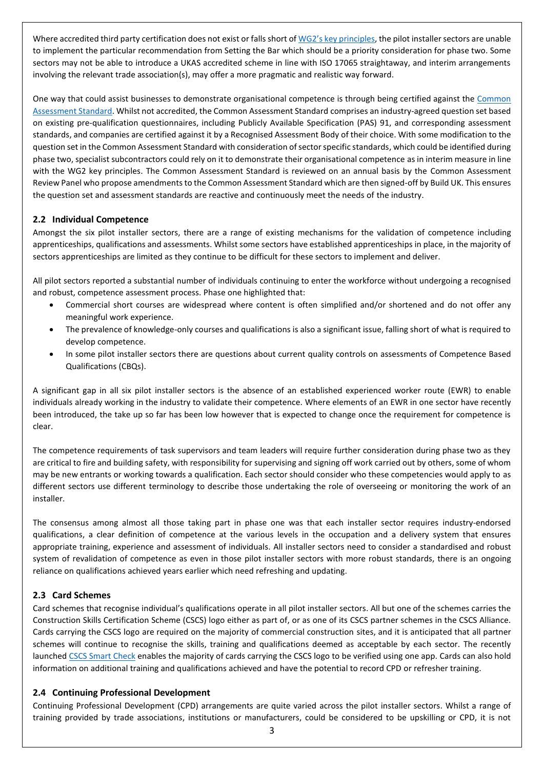Where accredited third party certification does not exist or falls short of [WG2's key principles](#page-37-0), the pilot installer sectors are unable to implement the particular recommendation from Setting the Bar which should be a priority consideration for phase two. Some sectors may not be able to introduce a UKAS accredited scheme in line with ISO 17065 straightaway, and interim arrangements involving the relevant trade association(s), may offer a more pragmatic and realistic way forward.

One way that could assist businesses to demonstrate organisational competence is through being certified against the Common [Assessment Standard.](https://builduk.org/priorities/increasing-productivity/pre-qualification/) Whilst not accredited, the Common Assessment Standard comprises an industry-agreed question set based on existing pre-qualification questionnaires, including Publicly Available Specification (PAS) 91, and corresponding assessment standards, and companies are certified against it by a Recognised Assessment Body of their choice. With some modification to the question set in the Common Assessment Standard with consideration of sector specific standards, which could be identified during phase two, specialist subcontractors could rely on it to demonstrate their organisational competence as in interim measure in line with the WG2 key principles. The Common Assessment Standard is reviewed on an annual basis by the Common Assessment Review Panel who propose amendments to the Common Assessment Standard which are then signed-off by Build UK. This ensures the question set and assessment standards are reactive and continuously meet the needs of the industry.

#### **2.2 Individual Competence**

Amongst the six pilot installer sectors, there are a range of existing mechanisms for the validation of competence including apprenticeships, qualifications and assessments. Whilst some sectors have established apprenticeships in place, in the majority of sectors apprenticeships are limited as they continue to be difficult for these sectors to implement and deliver.

All pilot sectors reported a substantial number of individuals continuing to enter the workforce without undergoing a recognised and robust, competence assessment process. Phase one highlighted that:

- Commercial short courses are widespread where content is often simplified and/or shortened and do not offer any meaningful work experience.
- The prevalence of knowledge-only courses and qualifications is also a significant issue, falling short of what is required to develop competence.
- In some pilot installer sectors there are questions about current quality controls on assessments of Competence Based Qualifications (CBQs).

A significant gap in all six pilot installer sectors is the absence of an established experienced worker route (EWR) to enable individuals already working in the industry to validate their competence. Where elements of an EWR in one sector have recently been introduced, the take up so far has been low however that is expected to change once the requirement for competence is clear.

The competence requirements of task supervisors and team leaders will require further consideration during phase two as they are critical to fire and building safety, with responsibility for supervising and signing off work carried out by others, some of whom may be new entrants or working towards a qualification. Each sector should consider who these competencies would apply to as different sectors use different terminology to describe those undertaking the role of overseeing or monitoring the work of an installer.

The consensus among almost all those taking part in phase one was that each installer sector requires industry-endorsed qualifications, a clear definition of competence at the various levels in the occupation and a delivery system that ensures appropriate training, experience and assessment of individuals. All installer sectors need to consider a standardised and robust system of revalidation of competence as even in those pilot installer sectors with more robust standards, there is an ongoing reliance on qualifications achieved years earlier which need refreshing and updating.

#### **2.3 Card Schemes**

Card schemes that recognise individual's qualifications operate in all pilot installer sectors. All but one of the schemes carries the Construction Skills Certification Scheme (CSCS) logo either as part of, or as one of its CSCS partner schemes in the CSCS Alliance. Cards carrying the CSCS logo are required on the majority of commercial construction sites, and it is anticipated that all partner schemes will continue to recognise the skills, training and qualifications deemed as acceptable by each sector. The recently launche[d CSCS Smart Check](https://www.cscs.uk.com/about/cscs-smart-check/) enables the majority of cards carrying the CSCS logo to be verified using one app. Cards can also hold information on additional training and qualifications achieved and have the potential to record CPD or refresher training.

#### **2.4 Continuing Professional Development**

Continuing Professional Development (CPD) arrangements are quite varied across the pilot installer sectors. Whilst a range of training provided by trade associations, institutions or manufacturers, could be considered to be upskilling or CPD, it is not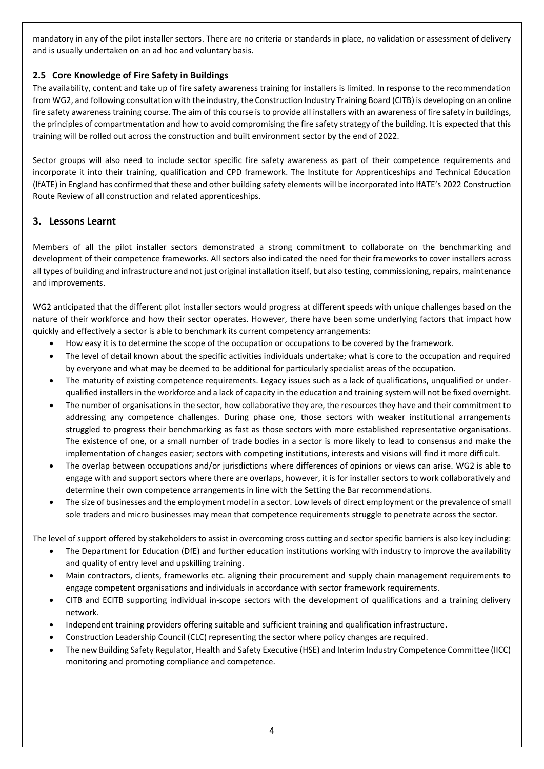mandatory in any of the pilot installer sectors. There are no criteria or standards in place, no validation or assessment of delivery and is usually undertaken on an ad hoc and voluntary basis.

#### **2.5 Core Knowledge of Fire Safety in Buildings**

The availability, content and take up of fire safety awareness training for installers is limited. In response to the recommendation from WG2, and following consultation with the industry, the Construction Industry Training Board (CITB) is developing on an online fire safety awareness training course. The aim of this course is to provide all installers with an awareness of fire safety in buildings, the principles of compartmentation and how to avoid compromising the fire safety strategy of the building. It is expected that this training will be rolled out across the construction and built environment sector by the end of 2022.

Sector groups will also need to include sector specific fire safety awareness as part of their competence requirements and incorporate it into their training, qualification and CPD framework. The Institute for Apprenticeships and Technical Education (IfATE) in England has confirmed that these and other building safety elements will be incorporated into IfATE's 2022 Construction Route Review of all construction and related apprenticeships.

#### <span id="page-3-0"></span>**3. Lessons Learnt**

Members of all the pilot installer sectors demonstrated a strong commitment to collaborate on the benchmarking and development of their competence frameworks. All sectors also indicated the need for their frameworks to cover installers across all types of building and infrastructure and not just original installation itself, but also testing, commissioning, repairs, maintenance and improvements.

WG2 anticipated that the different pilot installer sectors would progress at different speeds with unique challenges based on the nature of their workforce and how their sector operates. However, there have been some underlying factors that impact how quickly and effectively a sector is able to benchmark its current competency arrangements:

- How easy it is to determine the scope of the occupation or occupations to be covered by the framework.
- The level of detail known about the specific activities individuals undertake; what is core to the occupation and required by everyone and what may be deemed to be additional for particularly specialist areas of the occupation.
- The maturity of existing competence requirements. Legacy issues such as a lack of qualifications, unqualified or underqualified installers in the workforce and a lack of capacity in the education and training system will not be fixed overnight.
- The number of organisations in the sector, how collaborative they are, the resources they have and their commitment to addressing any competence challenges. During phase one, those sectors with weaker institutional arrangements struggled to progress their benchmarking as fast as those sectors with more established representative organisations. The existence of one, or a small number of trade bodies in a sector is more likely to lead to consensus and make the implementation of changes easier; sectors with competing institutions, interests and visions will find it more difficult.
- The overlap between occupations and/or jurisdictions where differences of opinions or views can arise. WG2 is able to engage with and support sectors where there are overlaps, however, it is for installer sectors to work collaboratively and determine their own competence arrangements in line with the Setting the Bar recommendations.
- The size of businesses and the employment model in a sector. Low levels of direct employment or the prevalence of small sole traders and micro businesses may mean that competence requirements struggle to penetrate across the sector.

The level of support offered by stakeholders to assist in overcoming cross cutting and sector specific barriers is also key including:

- The Department for Education (DfE) and further education institutions working with industry to improve the availability and quality of entry level and upskilling training.
- Main contractors, clients, frameworks etc. aligning their procurement and supply chain management requirements to engage competent organisations and individuals in accordance with sector framework requirements.
- CITB and ECITB supporting individual in-scope sectors with the development of qualifications and a training delivery network.
- Independent training providers offering suitable and sufficient training and qualification infrastructure.
- Construction Leadership Council (CLC) representing the sector where policy changes are required.
- <span id="page-3-1"></span>• The new Building Safety Regulator, Health and Safety Executive (HSE) and Interim Industry Competence Committee (IICC) monitoring and promoting compliance and competence.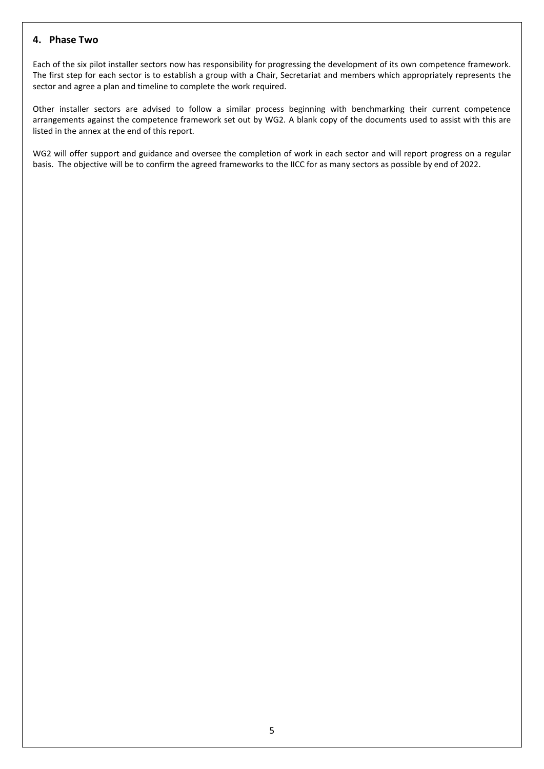#### **4. Phase Two**

Each of the six pilot installer sectors now has responsibility for progressing the development of its own competence framework. The first step for each sector is to establish a group with a Chair, Secretariat and members which appropriately represents the sector and agree a plan and timeline to complete the work required.

Other installer sectors are advised to follow a similar process beginning with benchmarking their current competence arrangements against the competence framework set out by WG2. A blank copy of the documents used to assist with this are listed in the annex at the end of this report.

WG2 will offer support and guidance and oversee the completion of work in each sector and will report progress on a regular basis. The objective will be to confirm the agreed frameworks to the IICC for as many sectors as possible by end of 2022.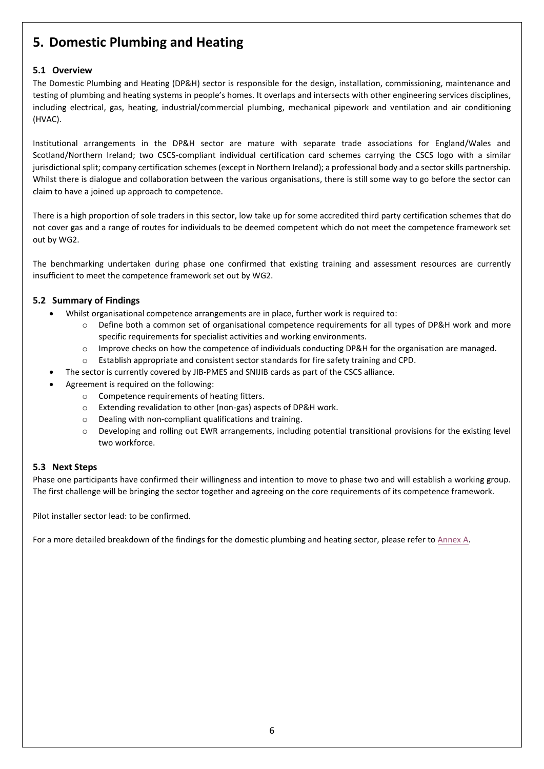### <span id="page-5-0"></span>**5. Domestic Plumbing and Heating**

#### **5.1 Overview**

The Domestic Plumbing and Heating (DP&H) sector is responsible for the design, installation, commissioning, maintenance and testing of plumbing and heating systems in people's homes. It overlaps and intersects with other engineering services disciplines, including electrical, gas, heating, industrial/commercial plumbing, mechanical pipework and ventilation and air conditioning (HVAC).

Institutional arrangements in the DP&H sector are mature with separate trade associations for England/Wales and Scotland/Northern Ireland; two CSCS-compliant individual certification card schemes carrying the CSCS logo with a similar jurisdictional split; company certification schemes (except in Northern Ireland); a professional body and a sector skills partnership. Whilst there is dialogue and collaboration between the various organisations, there is still some way to go before the sector can claim to have a joined up approach to competence.

There is a high proportion of sole traders in this sector, low take up for some accredited third party certification schemes that do not cover gas and a range of routes for individuals to be deemed competent which do not meet the competence framework set out by WG2.

The benchmarking undertaken during phase one confirmed that existing training and assessment resources are currently insufficient to meet the competence framework set out by WG2.

#### **5.2 Summary of Findings**

- Whilst organisational competence arrangements are in place, further work is required to:
	- o Define both a common set of organisational competence requirements for all types of DP&H work and more specific requirements for specialist activities and working environments.
	- $\circ$  Improve checks on how the competence of individuals conducting DP&H for the organisation are managed.
	- o Establish appropriate and consistent sector standards for fire safety training and CPD.
- The sector is currently covered by JIB-PMES and SNIJIB cards as part of the CSCS alliance.
- Agreement is required on the following:
	- o Competence requirements of heating fitters.
	- o Extending revalidation to other (non-gas) aspects of DP&H work.
	- o Dealing with non-compliant qualifications and training.
	- o Developing and rolling out EWR arrangements, including potential transitional provisions for the existing level two workforce.

#### **5.3 Next Steps**

Phase one participants have confirmed their willingness and intention to move to phase two and will establish a working group. The first challenge will be bringing the sector together and agreeing on the core requirements of its competence framework.

Pilot installer sector lead: to be confirmed.

For a more detailed breakdown of the findings for the domestic plumbing and heating sector, please refer to [Annex](#page-11-0) A.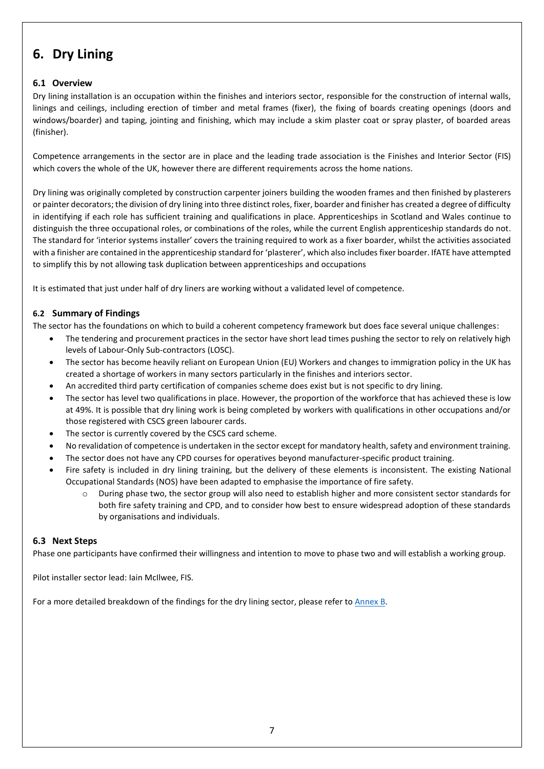## <span id="page-6-0"></span>**6. Dry Lining**

#### **6.1 Overview**

Dry lining installation is an occupation within the finishes and interiors sector, responsible for the construction of internal walls, linings and ceilings, including erection of timber and metal frames (fixer), the fixing of boards creating openings (doors and windows/boarder) and taping, jointing and finishing, which may include a skim plaster coat or spray plaster, of boarded areas (finisher).

Competence arrangements in the sector are in place and the leading trade association is the Finishes and Interior Sector (FIS) which covers the whole of the UK, however there are different requirements across the home nations.

Dry lining was originally completed by construction carpenter joiners building the wooden frames and then finished by plasterers or painter decorators; the division of dry lining into three distinct roles, fixer, boarder and finisher has created a degree of difficulty in identifying if each role has sufficient training and qualifications in place. Apprenticeships in Scotland and Wales continue to distinguish the three occupational roles, or combinations of the roles, while the current English apprenticeship standards do not. The standard for 'interior systems installer' covers the training required to work as a fixer boarder, whilst the activities associated with a finisher are contained in the apprenticeship standard for 'plasterer', which also includes fixer boarder. IfATE have attempted to simplify this by not allowing task duplication between apprenticeships and occupations

It is estimated that just under half of dry liners are working without a validated level of competence.

#### **6.2 Summary of Findings**

The sector has the foundations on which to build a coherent competency framework but does face several unique challenges:

- The tendering and procurement practices in the sector have short lead times pushing the sector to rely on relatively high levels of Labour-Only Sub-contractors (LOSC).
- The sector has become heavily reliant on European Union (EU) Workers and changes to immigration policy in the UK has created a shortage of workers in many sectors particularly in the finishes and interiors sector.
- An accredited third party certification of companies scheme does exist but is not specific to dry lining.
- The sector has level two qualifications in place. However, the proportion of the workforce that has achieved these is low at 49%. It is possible that dry lining work is being completed by workers with qualifications in other occupations and/or those registered with CSCS green labourer cards.
- The sector is currently covered by the CSCS card scheme.
- No revalidation of competence is undertaken in the sector except for mandatory health, safety and environment training.
- The sector does not have any CPD courses for operatives beyond manufacturer-specific product training.
- Fire safety is included in dry lining training, but the delivery of these elements is inconsistent. The existing National Occupational Standards (NOS) have been adapted to emphasise the importance of fire safety.
	- o During phase two, the sector group will also need to establish higher and more consistent sector standards for both fire safety training and CPD, and to consider how best to ensure widespread adoption of these standards by organisations and individuals.

#### **6.3 Next Steps**

Phase one participants have confirmed their willingness and intention to move to phase two and will establish a working group.

Pilot installer sector lead: Iain McIlwee, FIS.

For a more detailed breakdown of the findings for the dry lining sector, please refer t[o Annex](#page-17-0) B.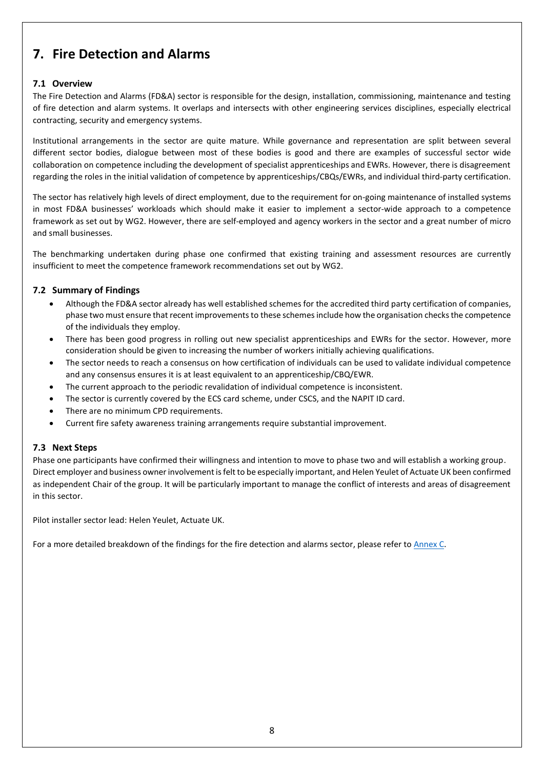### <span id="page-7-0"></span>**7. Fire Detection and Alarms**

#### **7.1 Overview**

The Fire Detection and Alarms (FD&A) sector is responsible for the design, installation, commissioning, maintenance and testing of fire detection and alarm systems. It overlaps and intersects with other engineering services disciplines, especially electrical contracting, security and emergency systems.

Institutional arrangements in the sector are quite mature. While governance and representation are split between several different sector bodies, dialogue between most of these bodies is good and there are examples of successful sector wide collaboration on competence including the development of specialist apprenticeships and EWRs. However, there is disagreement regarding the roles in the initial validation of competence by apprenticeships/CBQs/EWRs, and individual third-party certification.

The sector has relatively high levels of direct employment, due to the requirement for on-going maintenance of installed systems in most FD&A businesses' workloads which should make it easier to implement a sector-wide approach to a competence framework as set out by WG2. However, there are self-employed and agency workers in the sector and a great number of micro and small businesses.

The benchmarking undertaken during phase one confirmed that existing training and assessment resources are currently insufficient to meet the competence framework recommendations set out by WG2.

#### **7.2 Summary of Findings**

- Although the FD&A sector already has well established schemes for the accredited third party certification of companies, phase two must ensure that recent improvements to these schemes include how the organisation checks the competence of the individuals they employ.
- There has been good progress in rolling out new specialist apprenticeships and EWRs for the sector. However, more consideration should be given to increasing the number of workers initially achieving qualifications.
- The sector needs to reach a consensus on how certification of individuals can be used to validate individual competence and any consensus ensures it is at least equivalent to an apprenticeship/CBQ/EWR.
- The current approach to the periodic revalidation of individual competence is inconsistent.
- The sector is currently covered by the ECS card scheme, under CSCS, and the NAPIT ID card.
- There are no minimum CPD requirements.
- Current fire safety awareness training arrangements require substantial improvement.

#### **7.3 Next Steps**

Phase one participants have confirmed their willingness and intention to move to phase two and will establish a working group. Direct employer and business owner involvement is felt to be especially important, and Helen Yeulet of Actuate UK been confirmed as independent Chair of the group. It will be particularly important to manage the conflict of interests and areas of disagreement in this sector.

Pilot installer sector lead: Helen Yeulet, Actuate UK.

For a more detailed breakdown of the findings for the fire detection and alarms sector, please refer to [Annex](#page-21-0) C.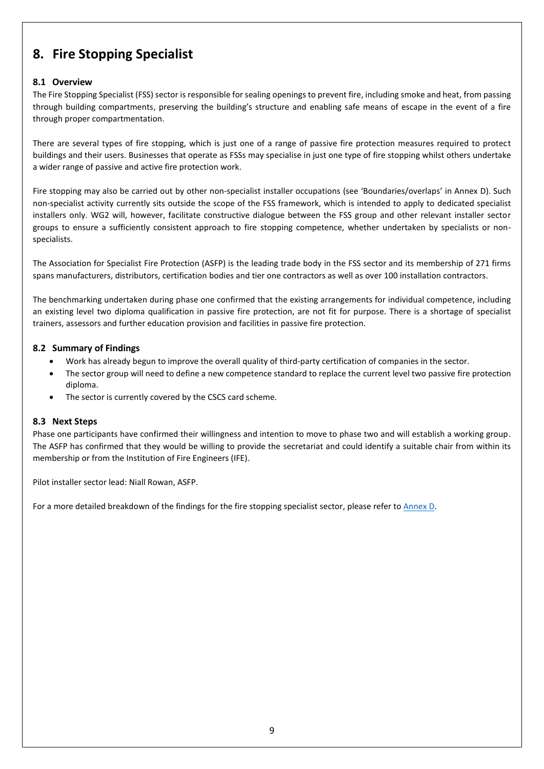### <span id="page-8-0"></span>**8. Fire Stopping Specialist**

#### **8.1 Overview**

The Fire Stopping Specialist (FSS) sector is responsible for sealing openings to prevent fire, including smoke and heat, from passing through building compartments, preserving the building's structure and enabling safe means of escape in the event of a fire through proper compartmentation.

There are several types of fire stopping, which is just one of a range of passive fire protection measures required to protect buildings and their users. Businesses that operate as FSSs may specialise in just one type of fire stopping whilst others undertake a wider range of passive and active fire protection work.

Fire stopping may also be carried out by other non-specialist installer occupations (see 'Boundaries/overlaps' in Annex D). Such non-specialist activity currently sits outside the scope of the FSS framework, which is intended to apply to dedicated specialist installers only. WG2 will, however, facilitate constructive dialogue between the FSS group and other relevant installer sector groups to ensure a sufficiently consistent approach to fire stopping competence, whether undertaken by specialists or nonspecialists.

The Association for Specialist Fire Protection (ASFP) is the leading trade body in the FSS sector and its membership of 271 firms spans manufacturers, distributors, certification bodies and tier one contractors as well as over 100 installation contractors.

The benchmarking undertaken during phase one confirmed that the existing arrangements for individual competence, including an existing level two diploma qualification in passive fire protection, are not fit for purpose. There is a shortage of specialist trainers, assessors and further education provision and facilities in passive fire protection.

#### **8.2 Summary of Findings**

- Work has already begun to improve the overall quality of third-party certification of companies in the sector.
- The sector group will need to define a new competence standard to replace the current level two passive fire protection diploma.
- The sector is currently covered by the CSCS card scheme.

#### **8.3 Next Steps**

Phase one participants have confirmed their willingness and intention to move to phase two and will establish a working group. The ASFP has confirmed that they would be willing to provide the secretariat and could identify a suitable chair from within its membership or from the Institution of Fire Engineers (IFE).

Pilot installer sector lead: Niall Rowan, ASFP.

For a more detailed breakdown of the findings for the fire stopping specialist sector, please refer t[o Annex](#page-26-0) D.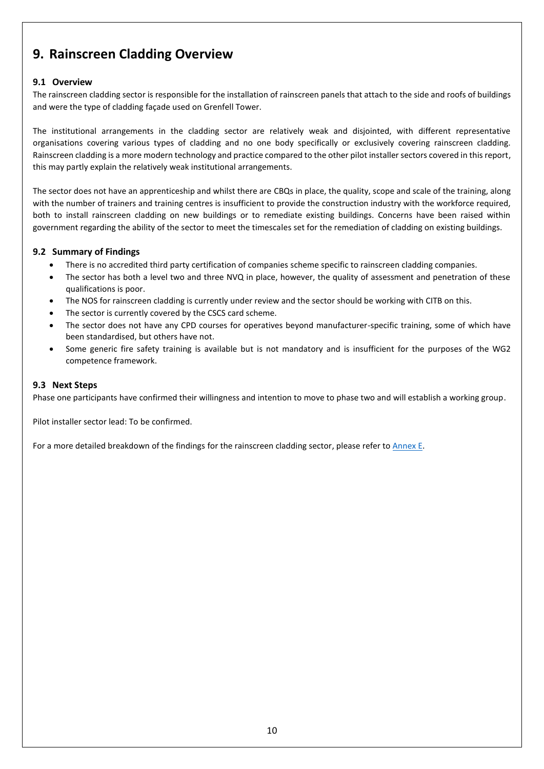### <span id="page-9-0"></span>**9. Rainscreen Cladding Overview**

#### **9.1 Overview**

The rainscreen cladding sector is responsible for the installation of rainscreen panels that attach to the side and roofs of buildings and were the type of cladding façade used on Grenfell Tower.

The institutional arrangements in the cladding sector are relatively weak and disjointed, with different representative organisations covering various types of cladding and no one body specifically or exclusively covering rainscreen cladding. Rainscreen cladding is a more modern technology and practice compared to the other pilot installer sectors covered in this report, this may partly explain the relatively weak institutional arrangements.

The sector does not have an apprenticeship and whilst there are CBQs in place, the quality, scope and scale of the training, along with the number of trainers and training centres is insufficient to provide the construction industry with the workforce required, both to install rainscreen cladding on new buildings or to remediate existing buildings. Concerns have been raised within government regarding the ability of the sector to meet the timescales set for the remediation of cladding on existing buildings.

#### **9.2 Summary of Findings**

- There is no accredited third party certification of companies scheme specific to rainscreen cladding companies.
- The sector has both a level two and three NVQ in place, however, the quality of assessment and penetration of these qualifications is poor.
- The NOS for rainscreen cladding is currently under review and the sector should be working with CITB on this.
- The sector is currently covered by the CSCS card scheme.
- The sector does not have any CPD courses for operatives beyond manufacturer-specific training, some of which have been standardised, but others have not.
- Some generic fire safety training is available but is not mandatory and is insufficient for the purposes of the WG2 competence framework.

#### **9.3 Next Steps**

Phase one participants have confirmed their willingness and intention to move to phase two and will establish a working group.

Pilot installer sector lead: To be confirmed.

For a more detailed breakdown of the findings for the rainscreen cladding sector, please refer to [Annex E.](#page-30-0)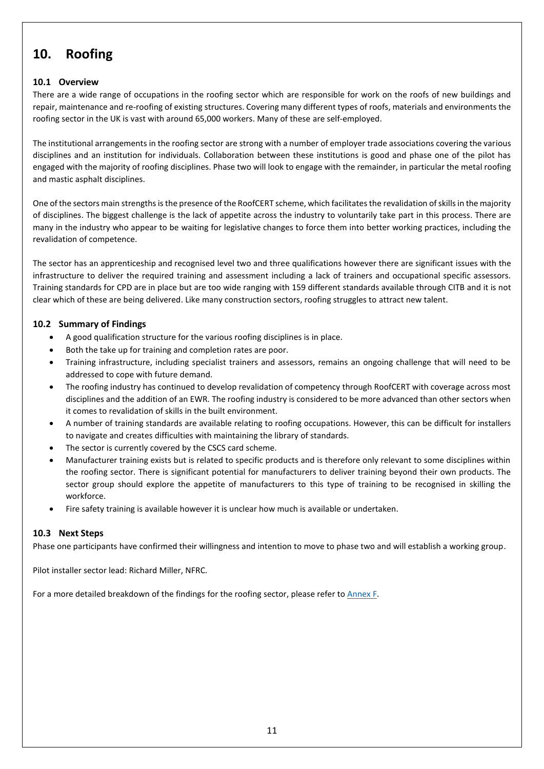### <span id="page-10-1"></span><span id="page-10-0"></span>**10. Roofing**

#### **10.1 Overview**

There are a wide range of occupations in the roofing sector which are responsible for work on the roofs of new buildings and repair, maintenance and re-roofing of existing structures. Covering many different types of roofs, materials and environments the roofing sector in the UK is vast with around 65,000 workers. Many of these are self-employed.

The institutional arrangements in the roofing sector are strong with a number of employer trade associations covering the various disciplines and an institution for individuals. Collaboration between these institutions is good and phase one of the pilot has engaged with the majority of roofing disciplines. Phase two will look to engage with the remainder, in particular the metal roofing and mastic asphalt disciplines.

One of the sectors main strengths is the presence of the RoofCERT scheme, which facilitates the revalidation of skills in the majority of disciplines. The biggest challenge is the lack of appetite across the industry to voluntarily take part in this process. There are many in the industry who appear to be waiting for legislative changes to force them into better working practices, including the revalidation of competence.

The sector has an apprenticeship and recognised level two and three qualifications however there are significant issues with the infrastructure to deliver the required training and assessment including a lack of trainers and occupational specific assessors. Training standards for CPD are in place but are too wide ranging with 159 different standards available through CITB and it is not clear which of these are being delivered. Like many construction sectors, roofing struggles to attract new talent.

#### **10.2 Summary of Findings**

- A good qualification structure for the various roofing disciplines is in place.
- Both the take up for training and completion rates are poor.
- Training infrastructure, including specialist trainers and assessors, remains an ongoing challenge that will need to be addressed to cope with future demand.
- The roofing industry has continued to develop revalidation of competency through RoofCERT with coverage across most disciplines and the addition of an EWR. The roofing industry is considered to be more advanced than other sectors when it comes to revalidation of skills in the built environment.
- A number of training standards are available relating to roofing occupations. However, this can be difficult for installers to navigate and creates difficulties with maintaining the library of standards.
- The sector is currently covered by the CSCS card scheme.
- Manufacturer training exists but is related to specific products and is therefore only relevant to some disciplines within the roofing sector. There is significant potential for manufacturers to deliver training beyond their own products. The sector group should explore the appetite of manufacturers to this type of training to be recognised in skilling the workforce.
- Fire safety training is available however it is unclear how much is available or undertaken.

#### **10.3 Next Steps**

Phase one participants have confirmed their willingness and intention to move to phase two and will establish a working group.

Pilot installer sector lead: Richard Miller, NFRC.

For a more detailed breakdown of the findings for the roofing sector, please refer to [Annex](#page-33-0) F.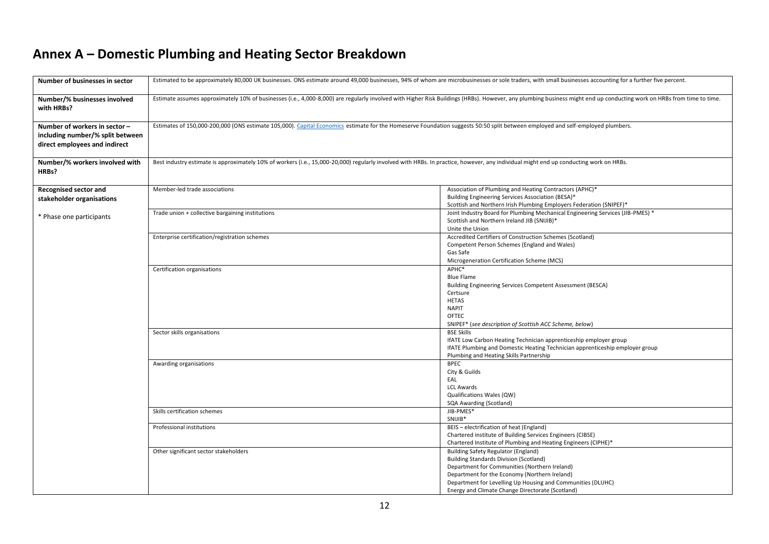## **Annex A – Domestic Plumbing and Heating Sector Breakdown**

<span id="page-11-0"></span>

| Number of businesses in sector                                                                     | Estimated to be approximately 80,000 UK businesses. ONS estimate around 49,000 businesses, 94% of whom are microbusinesses or sole traders, with small businesses accounting for a further five percent.              |                                                                                                                                                                                                                                                                                                           |  |  |  |
|----------------------------------------------------------------------------------------------------|-----------------------------------------------------------------------------------------------------------------------------------------------------------------------------------------------------------------------|-----------------------------------------------------------------------------------------------------------------------------------------------------------------------------------------------------------------------------------------------------------------------------------------------------------|--|--|--|
| Number/% businesses involved<br>with HRBs?                                                         | Estimate assumes approximately 10% of businesses (i.e., 4,000-8,000) are regularly involved with Higher Risk Buildings (HRBs). However, any plumbing business might end up conducting work on HRBs from time to time. |                                                                                                                                                                                                                                                                                                           |  |  |  |
| Number of workers in sector -<br>including number/% split between<br>direct employees and indirect | Estimates of 150,000-200,000 (ONS estimate 105,000). Capital Economics estimate for the Homeserve Foundation suggests 50:50 split between employed and self-employed plumbers.                                        |                                                                                                                                                                                                                                                                                                           |  |  |  |
| Number/% workers involved with<br>HRBs?                                                            | Best industry estimate is approximately 10% of workers (i.e., 15,000-20,000) regularly involved with HRBs. In practice, however, any individual might end up conducting work on HRBs.                                 |                                                                                                                                                                                                                                                                                                           |  |  |  |
| Recognised sector and<br>stakeholder organisations                                                 | Member-led trade associations                                                                                                                                                                                         | Association of Plumbing and Heating Contractors (APHC)*<br>Building Engineering Services Association (BESA)*<br>Scottish and Northern Irish Plumbing Employers Federation (SNIPEF)*                                                                                                                       |  |  |  |
| * Phase one participants                                                                           | Trade union + collective bargaining institutions                                                                                                                                                                      | Joint Industry Board for Plumbing Mechanical Engineering Services (JIB-PMES) *<br>Scottish and Northern Ireland JIB (SNIJIB)*<br>Unite the Union                                                                                                                                                          |  |  |  |
|                                                                                                    | Enterprise certification/registration schemes                                                                                                                                                                         | Accredited Certifiers of Construction Schemes (Scotland)<br>Competent Person Schemes (England and Wales)<br>Gas Safe<br>Microgeneration Certification Scheme (MCS)                                                                                                                                        |  |  |  |
|                                                                                                    | Certification organisations                                                                                                                                                                                           | APHC*<br><b>Blue Flame</b><br>Building Engineering Services Competent Assessment (BESCA)<br>Certsure<br><b>HETAS</b><br><b>NAPIT</b><br>OFTEC<br>SNIPEF* (see description of Scottish ACC Scheme, below)                                                                                                  |  |  |  |
|                                                                                                    | Sector skills organisations                                                                                                                                                                                           | <b>BSE Skills</b><br>IfATE Low Carbon Heating Technician apprenticeship employer group<br>IfATE Plumbing and Domestic Heating Technician apprenticeship employer group<br>Plumbing and Heating Skills Partnership                                                                                         |  |  |  |
|                                                                                                    | Awarding organisations                                                                                                                                                                                                | <b>BPEC</b><br>City & Guilds<br>EAL<br><b>LCL Awards</b><br>Qualifications Wales (QW)<br>SQA Awarding (Scotland)                                                                                                                                                                                          |  |  |  |
|                                                                                                    | Skills certification schemes                                                                                                                                                                                          | JIB-PMES*<br>SNIJIB*                                                                                                                                                                                                                                                                                      |  |  |  |
|                                                                                                    | Professional institutions                                                                                                                                                                                             | BEIS - electrification of heat (England)<br>Chartered institute of Building Services Engineers (CIBSE)<br>Chartered Institute of Plumbing and Heating Engineers (CIPHE)*                                                                                                                                  |  |  |  |
|                                                                                                    | Other significant sector stakeholders                                                                                                                                                                                 | Building Safety Regulator (England)<br><b>Building Standards Division (Scotland)</b><br>Department for Communities (Northern Ireland)<br>Department for the Economy (Northern Ireland)<br>Department for Levelling Up Housing and Communities (DLUHC)<br>Energy and Climate Change Directorate (Scotland) |  |  |  |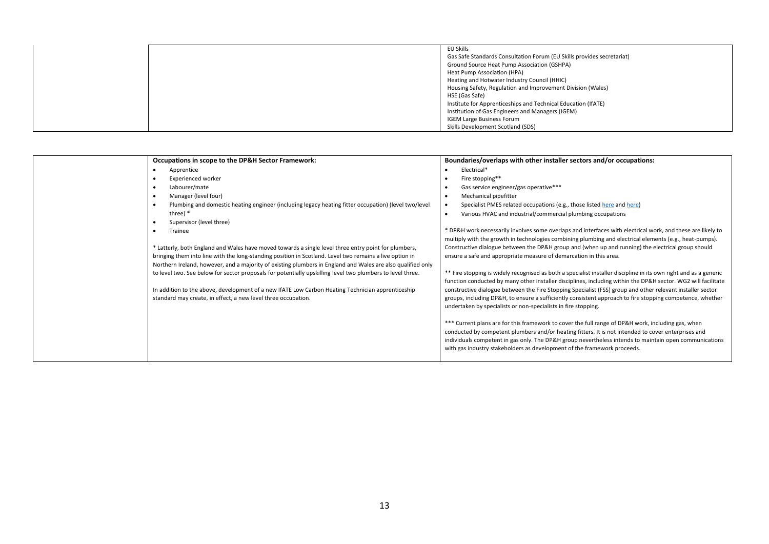| EU Skills<br>Gas Safe Standards Consultation Forum (EU Skills provides secretariat)<br>Ground Source Heat Pump Association (GSHPA)<br>Heat Pump Association (HPA)                                                                                                                      |
|----------------------------------------------------------------------------------------------------------------------------------------------------------------------------------------------------------------------------------------------------------------------------------------|
| Heating and Hotwater Industry Council (HHIC)<br>Housing Safety, Regulation and Improvement Division (Wales)<br>HSE (Gas Safe)<br>Institute for Apprenticeships and Technical Education (IfATE)<br>Institution of Gas Engineers and Managers (IGEM)<br><b>IGEM Large Business Forum</b> |
| Skills Development Scotland (SDS)                                                                                                                                                                                                                                                      |

| <b>Occupations in scope to the DP&amp;H Sector Framework:</b>                                               | Boundaries/overlaps with other installer sectors and/or occupations:                                              |
|-------------------------------------------------------------------------------------------------------------|-------------------------------------------------------------------------------------------------------------------|
| Apprentice                                                                                                  | Electrical*                                                                                                       |
| <b>Experienced worker</b><br>$\bullet$                                                                      | Fire stopping**<br>$\bullet$                                                                                      |
| Labourer/mate<br>$\bullet$                                                                                  | Gas service engineer/gas operative***<br>$\bullet$                                                                |
| Manager (level four)<br>$\bullet$                                                                           | Mechanical pipefitter<br>$\bullet$                                                                                |
| Plumbing and domestic heating engineer (including legacy heating fitter occupation) (level two/level        | Specialist PMES related occupations (e.g., those listed here and here)<br>$\bullet$                               |
| three) $*$                                                                                                  | Various HVAC and industrial/commercial plumbing occupations<br>$\bullet$                                          |
| Supervisor (level three)                                                                                    |                                                                                                                   |
| Trainee<br>$\bullet$                                                                                        | * DP&H work necessarily involves some overlaps and interfaces with electrical work, and these are likely to       |
|                                                                                                             | multiply with the growth in technologies combining plumbing and electrical elements (e.g., heat-pumps).           |
| * Latterly, both England and Wales have moved towards a single level three entry point for plumbers,        | Constructive dialogue between the DP&H group and (when up and running) the electrical group should                |
| bringing them into line with the long-standing position in Scotland. Level two remains a live option in     | ensure a safe and appropriate measure of demarcation in this area.                                                |
| Northern Ireland, however, and a majority of existing plumbers in England and Wales are also qualified only |                                                                                                                   |
| to level two. See below for sector proposals for potentially upskilling level two plumbers to level three.  | ** Fire stopping is widely recognised as both a specialist installer discipline in its own right and as a generic |
|                                                                                                             | function conducted by many other installer disciplines, including within the DP&H sector. WG2 will facilitate     |
| In addition to the above, development of a new IfATE Low Carbon Heating Technician apprenticeship           | constructive dialogue between the Fire Stopping Specialist (FSS) group and other relevant installer sector        |
| standard may create, in effect, a new level three occupation.                                               | groups, including DP&H, to ensure a sufficiently consistent approach to fire stopping competence, whether         |
|                                                                                                             | undertaken by specialists or non-specialists in fire stopping.                                                    |
|                                                                                                             | *** Current plans are for this framework to cover the full range of DP&H work, including gas, when                |
|                                                                                                             | conducted by competent plumbers and/or heating fitters. It is not intended to cover enterprises and               |
|                                                                                                             | individuals competent in gas only. The DP&H group nevertheless intends to maintain open communications            |
|                                                                                                             | with gas industry stakeholders as development of the framework proceeds.                                          |
|                                                                                                             |                                                                                                                   |
|                                                                                                             |                                                                                                                   |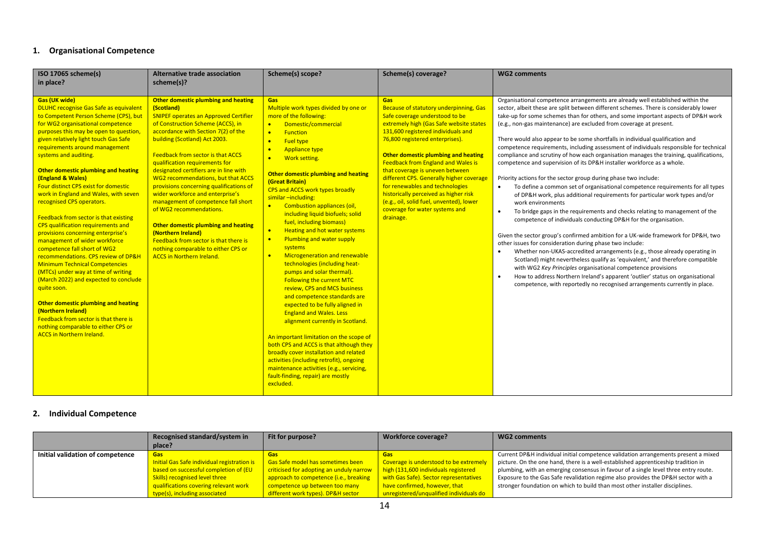#### **1. Organisational Competence**

| ISO 17065 scheme(s)<br>in place?                                                                                                                                                                                                                                                                                                                                                                                                                                                                                                                                                                                                                                                                                                                                                                                                                                                                                                                                                                                                  | Alternative trade association<br>scheme(s)?                                                                                                                                                                                                                                                                                                                                                                                                                                                                                                                                                                                                                                                                    | Scheme(s) scope?                                                                                                                                                                                                                                                                                                                                                                                                                                                                                                                                                                                                                                                                                                                                                                                                                                                                                                                                                                                                                                                                                                                                                                                          | Scheme(s) coverage?                                                                                                                                                                                                                                                                                                                                                                                                                                                                                                                           | <b>WG2 comments</b>                                                                                                                                                                                                                                                                                                                                                                                                                                                                                                                                                                                                                                                                                                                                                                                                                                                                                                                                                                                                                                                                                                                                                                                                                                                                                                                                                                                                                                                                                                                                                                                                                                                    |
|-----------------------------------------------------------------------------------------------------------------------------------------------------------------------------------------------------------------------------------------------------------------------------------------------------------------------------------------------------------------------------------------------------------------------------------------------------------------------------------------------------------------------------------------------------------------------------------------------------------------------------------------------------------------------------------------------------------------------------------------------------------------------------------------------------------------------------------------------------------------------------------------------------------------------------------------------------------------------------------------------------------------------------------|----------------------------------------------------------------------------------------------------------------------------------------------------------------------------------------------------------------------------------------------------------------------------------------------------------------------------------------------------------------------------------------------------------------------------------------------------------------------------------------------------------------------------------------------------------------------------------------------------------------------------------------------------------------------------------------------------------------|-----------------------------------------------------------------------------------------------------------------------------------------------------------------------------------------------------------------------------------------------------------------------------------------------------------------------------------------------------------------------------------------------------------------------------------------------------------------------------------------------------------------------------------------------------------------------------------------------------------------------------------------------------------------------------------------------------------------------------------------------------------------------------------------------------------------------------------------------------------------------------------------------------------------------------------------------------------------------------------------------------------------------------------------------------------------------------------------------------------------------------------------------------------------------------------------------------------|-----------------------------------------------------------------------------------------------------------------------------------------------------------------------------------------------------------------------------------------------------------------------------------------------------------------------------------------------------------------------------------------------------------------------------------------------------------------------------------------------------------------------------------------------|------------------------------------------------------------------------------------------------------------------------------------------------------------------------------------------------------------------------------------------------------------------------------------------------------------------------------------------------------------------------------------------------------------------------------------------------------------------------------------------------------------------------------------------------------------------------------------------------------------------------------------------------------------------------------------------------------------------------------------------------------------------------------------------------------------------------------------------------------------------------------------------------------------------------------------------------------------------------------------------------------------------------------------------------------------------------------------------------------------------------------------------------------------------------------------------------------------------------------------------------------------------------------------------------------------------------------------------------------------------------------------------------------------------------------------------------------------------------------------------------------------------------------------------------------------------------------------------------------------------------------------------------------------------------|
| <b>Gas (UK wide)</b><br><b>DLUHC recognise Gas Safe as equivalent</b><br>to Competent Person Scheme (CPS), but<br>for WG2 organisational competence<br>purposes this may be open to question,<br>given relatively light touch Gas Safe<br>requirements around management<br>systems and auditing.<br>Other domestic plumbing and heating<br>(England & Wales)<br>Four distinct CPS exist for domestic<br>work in England and Wales, with seven<br>recognised CPS operators.<br>Feedback from sector is that existing<br>CPS qualification requirements and<br>provisions concerning enterprise's<br>management of wider workforce<br>competence fall short of WG2<br>recommendations. CPS review of DP&H<br><b>Minimum Technical Competencies</b><br>(MTCs) under way at time of writing<br>(March 2022) and expected to conclude<br>quite soon.<br>Other domestic plumbing and heating<br>(Northern Ireland)<br>Feedback from sector is that there is<br>nothing comparable to either CPS or<br><b>ACCS in Northern Ireland.</b> | Other domestic plumbing and heating<br>(Scotland)<br><b>SNIPEF operates an Approved Certifier</b><br>of Construction Scheme (ACCS), in<br>accordance with Section 7(2) of the<br>building (Scotland) Act 2003.<br><b>Feedback from sector is that ACCS</b><br>qualification requirements for<br>designated certifiers are in line with<br>WG2 recommendations, but that ACCS<br>provisions concerning qualifications of<br>wider workforce and enterprise's<br>management of competence fall short<br>of WG2 recommendations.<br>Other domestic plumbing and heating<br>(Northern Ireland)<br>Feedback from sector is that there is<br>nothing comparable to either CPS or<br><b>ACCS in Northern Ireland.</b> | <b>Gas</b><br>Multiple work types divided by one or<br>more of the following:<br>Domestic/commercial<br>$\bullet$<br><b>Function</b><br>$\bullet$<br><b>Fuel type</b><br>$\bullet$<br>Appliance type<br>$\bullet$<br>Work setting.<br>$\bullet$<br>Other domestic plumbing and heating<br>(Great Britain)<br><b>CPS and ACCS work types broadly</b><br>similar-including:<br>Combustion appliances (oil,<br>$\bullet$<br>including liquid biofuels; solid<br>fuel, including biomass)<br><b>Heating and hot water systems</b><br>$\bullet$<br><b>Plumbing and water supply</b><br>$\bullet$<br>systems<br>Microgeneration and renewable<br>$\bullet$<br>technologies (including heat-<br>pumps and solar thermal).<br><b>Following the current MTC</b><br>review, CPS and MCS business<br>and competence standards are<br>expected to be fully aligned in<br><b>England and Wales. Less</b><br>alignment currently in Scotland.<br>An important limitation on the scope of<br>both CPS and ACCS is that although they<br>broadly cover installation and related<br>activities (including retrofit), ongoing<br>maintenance activities (e.g., servicing,<br>fault-finding, repair) are mostly<br>excluded. | Gas<br>Because of statutory underpinning, Gas<br>Safe coverage understood to be<br>extremely high (Gas Safe website states<br>131,600 registered individuals and<br>76,800 registered enterprises).<br>Other domestic plumbing and heating<br><b>Feedback from England and Wales is</b><br>that coverage is uneven between<br>different CPS. Generally higher coverage<br>for renewables and technologies<br>historically perceived as higher risk<br>(e.g., oil, solid fuel, unvented), lower<br>coverage for water systems and<br>drainage. | Organisational competence arrangements are already well established within the<br>sector, albeit these are split between different schemes. There is considerably lower<br>take-up for some schemes than for others, and some important aspects of DP&H work<br>(e.g., non-gas maintenance) are excluded from coverage at present.<br>There would also appear to be some shortfalls in individual qualification and<br>competence requirements, including assessment of individuals responsible for technical<br>compliance and scrutiny of how each organisation manages the training, qualifications,<br>competence and supervision of its DP&H installer workforce as a whole.<br>Priority actions for the sector group during phase two include:<br>To define a common set of organisational competence requirements for all types<br>of DP&H work, plus additional requirements for particular work types and/or<br>work environments<br>To bridge gaps in the requirements and checks relating to management of the<br>$\bullet$<br>competence of individuals conducting DP&H for the organisation.<br>Given the sector group's confirmed ambition for a UK-wide framework for DP&H, two<br>other issues for consideration during phase two include:<br>Whether non-UKAS-accredited arrangements (e.g., those already operating in<br>Scotland) might nevertheless qualify as 'equivalent,' and therefore compatible<br>with WG2 Key Principles organisational competence provisions<br>How to address Northern Ireland's apparent 'outlier' status on organisational<br>$\bullet$<br>competence, with reportedly no recognised arrangements currently in place. |

#### **2. Individual Competence**

|                                  | Recognised standard/system in               | Fit for purpose?                         | Workforce coverage?                                | <b>WG2 comments</b>                                                                 |
|----------------------------------|---------------------------------------------|------------------------------------------|----------------------------------------------------|-------------------------------------------------------------------------------------|
|                                  | place?                                      |                                          |                                                    |                                                                                     |
| Initial validation of competence | <b>Gas</b>                                  | Gas                                      | <b>Gas</b>                                         | Current DP&H individual initial competence validation arrangements present a mixed  |
|                                  | Initial Gas Safe individual registration is | <b>Gas Safe model has sometimes been</b> | Coverage is understood to be extremel              | picture. On the one hand, there is a well-established apprenticeship tradition in   |
|                                  | based on successful completion of (EU       | criticised for adopting an unduly narrow | $\frac{1}{2}$ high (131,600 individuals registered | plumbing, with an emerging consensus in favour of a single level three entry route. |
|                                  | Skills) recognised level three              | approach to competence (i.e., breaking   | with Gas Safe). Sector representatives             | Exposure to the Gas Safe revalidation regime also provides the DP&H sector with a   |
|                                  | qualifications covering relevant work       | competence up between too many           | have confirmed, however, that                      | stronger foundation on which to build than most other installer disciplines.        |
|                                  | type(s), including associated               | different work types). DP&H sector       | unregistered/unqualified individuals do            |                                                                                     |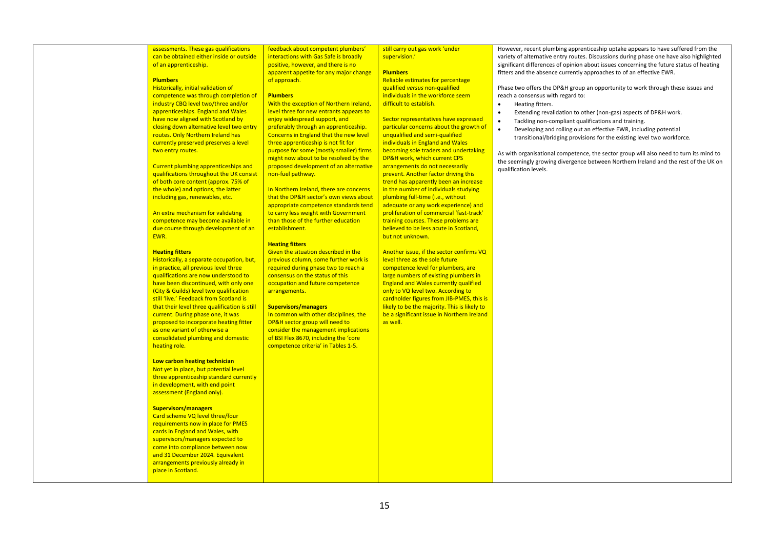assessments. These gas qualifications can be obtained either inside or outside of an apprenticeship.

#### **Plumbers**

Historically, initial validation of competence was through completion of industry CBQ level two/three and/or apprenticeships. England and Wales have now aligned with Scotland by closing down alternative level two entry routes. Only Northern Ireland has currently preserved preserves a level two entry routes.

Current plumbing apprenticeships and qualifications throughout the UK consist of both core content (approx. 75% of the whole) and options, the latter including gas, renewables, etc.

An extra mechanism for validating competence may become available in due course through development of an EWR.

#### **Heating fitters**

Historically, a separate occupation, but, in practice, all previous level three qualifications are now understood to have been discontinued, with only one (City & Guilds) level two qualification still 'live.' Feedback from Scotland is that their level three qualification is still current. During phase one, it was proposed to incorporate heating fitter as one variant of otherwise a consolidated plumbing and domestic heating role.

#### **Low carbon heating technician**

Not yet in place, but potential level three apprenticeship standard currently in development, with end point assessment (England only).

#### **Supervisors/managers**

Card scheme VQ level three/four requirements now in place for PMES cards in England and Wales, with supervisors/managers expected to come into compliance between now and 31 December 2024. Equivalent arrangements previously already in place in Scotland*.*

feedback about competent plumbers' interactions with Gas Safe is broadly positive, however, and there is no apparent appetite for any major change of approach.

#### **Plumbers**

With the exception of Northern Ireland level three for new entrants appears to enjoy widespread support, and preferably through an apprenticeship. Concerns in England that the new level three apprenticeship is not fit for purpose for some (mostly smaller) firms might now about to be resolved by the proposed development of an alternative non-fuel pathway.

In Northern Ireland, there are concerns that the DP&H sector's own views about appropriate competence standards tend to carry less weight with Government than those of the further education establishment.

#### **Heating fitters**

Given the situation described in the previous column, some further work is required during phase two to reach a consensus on the status of this occupation and future competence arrangements.

#### **Supervisors/managers**

In common with other disciplines, the DP&H sector group will need to consider the management implications of BSI Flex 8670, including the 'core competence criteria' in Tables 1-5.

still carry out gas work 'under supervision.'

#### **Plumbers**

Reliable estimates for percentage qualified *versus* non-qualified individuals in the workforce seem difficult to establish.

Sector representatives have expressed particular concerns about the growth of unqualified and semi-qualified individuals in England and Wales becoming sole traders and undertaking DP&H work, which current CPS arrangements do not necessarily prevent. Another factor driving this trend has apparently been an increase in the number of individuals studying plumbing full-time (i.e., without adequate or any work experience) and proliferation of commercial 'fast-track' training courses. These problems are believed to be less acute in Scotland, but not unknown*.*

Another issue, if the sector confirms VQ level three as the sole future competence level for plumbers, are large numbers of existing plumbers in England and Wales currently qualified only to VQ level two. According to cardholder figures from JIB-PMES, this is likely to be the majority. This is likely to be a significant issue in Northern Ireland as well.

However, recent plumbing apprenticeship uptake appears to have suffered from the variety of alternative entry routes. Discussions during phase one have also highlighted significant differences of opinion about issues concerning the future status of heating fitters and the absence currently approaches to of an effective EWR.

Phase two offers the DP&H group an opportunity to work through these issues and reach a consensus with regard to:

- Heating fitters.
- Extending revalidation to other (non-gas) aspects of DP&H work.
- Tackling non-compliant qualifications and training.
- Developing and rolling out an effective EWR, including potential transitional/bridging provisions for the existing level two workforce.

As with organisational competence, the sector group will also need to turn its mind to the seemingly growing divergence between Northern Ireland and the rest of the UK on qualification levels.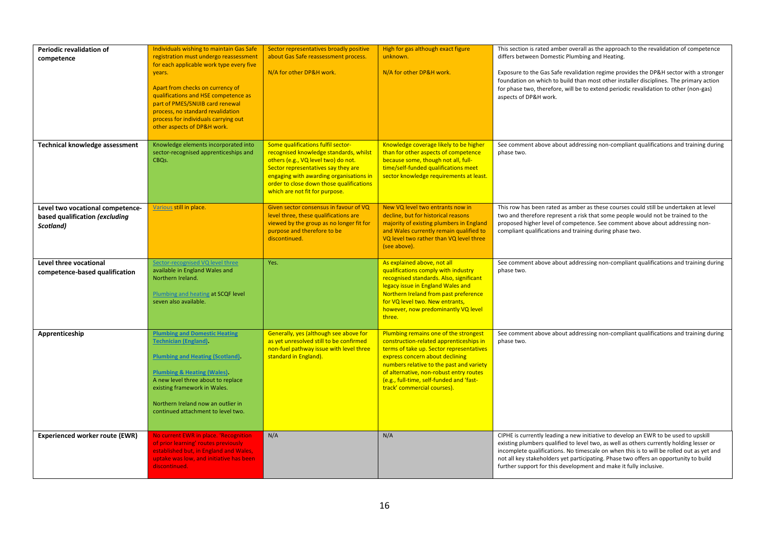| Periodic revalidation of<br>competence                                          | Individuals wishing to maintain Gas Safe<br>registration must undergo reassessment<br>for each applicable work type every five<br>years.<br>Apart from checks on currency of<br>qualifications and HSE competence as<br>part of PMES/SNIJIB card renewal<br>process, no standard revalidation<br>process for individuals carrying out<br>other aspects of DP&H work. | Sector representatives broadly positive<br>about Gas Safe reassessment process.<br>N/A for other DP&H work.                                                                                                                                                                         | High for gas although exact figure<br>unknown.<br>N/A for other DP&H work.                                                                                                                                                                                                                                                        | This section is rated amber overall as the approach to the revalidation of competence<br>differs between Domestic Plumbing and Heating.<br>Exposure to the Gas Safe revalidation regime provides the DP&H sector with a stronger<br>foundation on which to build than most other installer disciplines. The primary action<br>for phase two, therefore, will be to extend periodic revalidation to other (non-gas)<br>aspects of DP&H work. |
|---------------------------------------------------------------------------------|----------------------------------------------------------------------------------------------------------------------------------------------------------------------------------------------------------------------------------------------------------------------------------------------------------------------------------------------------------------------|-------------------------------------------------------------------------------------------------------------------------------------------------------------------------------------------------------------------------------------------------------------------------------------|-----------------------------------------------------------------------------------------------------------------------------------------------------------------------------------------------------------------------------------------------------------------------------------------------------------------------------------|---------------------------------------------------------------------------------------------------------------------------------------------------------------------------------------------------------------------------------------------------------------------------------------------------------------------------------------------------------------------------------------------------------------------------------------------|
| <b>Technical knowledge assessment</b>                                           | Knowledge elements incorporated into<br>sector-recognised apprenticeships and<br>CBQs.                                                                                                                                                                                                                                                                               | Some qualifications fulfil sector-<br>recognised knowledge standards, whilst<br>others (e.g., VQ level two) do not.<br>Sector representatives say they are<br>engaging with awarding organisations in<br>order to close down those qualifications<br>which are not fit for purpose. | Knowledge coverage likely to be higher<br>than for other aspects of competence<br>because some, though not all, full-<br>time/self-funded qualifications meet<br>sector knowledge requirements at least.                                                                                                                          | See comment above about addressing non-compliant qualifications and training during<br>phase two.                                                                                                                                                                                                                                                                                                                                           |
| Level two vocational competence-<br>based qualification (excluding<br>Scotland) | Various still in place.                                                                                                                                                                                                                                                                                                                                              | Given sector consensus in favour of VQ<br>level three, these qualifications are<br>viewed by the group as no longer fit for<br>purpose and therefore to be<br>discontinued.                                                                                                         | New VQ level two entrants now in<br>decline, but for historical reasons<br>majority of existing plumbers in England<br>and Wales currently remain qualified to<br>VQ level two rather than VQ level three<br>(see above).                                                                                                         | This row has been rated as amber as these courses could still be undertaken at level<br>two and therefore represent a risk that some people would not be trained to the<br>proposed higher level of competence. See comment above about addressing non-<br>compliant qualifications and training during phase two.                                                                                                                          |
| Level three vocational<br>competence-based qualification                        | Sector-recognised VQ level three<br>available in England Wales and<br>Northern Ireland.<br>Plumbing and heating at SCQF level<br>seven also available.                                                                                                                                                                                                               | Yes.                                                                                                                                                                                                                                                                                | As explained above, not all<br>qualifications comply with industry<br>recognised standards. Also, significant<br>legacy issue in England Wales and<br>Northern Ireland from past preference<br>for VQ level two. New entrants,<br>however, now predominantly VQ level<br>three.                                                   | See comment above about addressing non-compliant qualifications and training during<br>phase two.                                                                                                                                                                                                                                                                                                                                           |
| Apprenticeship                                                                  | <b>Plumbing and Domestic Heating</b><br><b>Technician (England)</b><br><b>Plumbing and Heating (Scotland).</b><br><b>Plumbing &amp; Heating (Wales)</b><br>A new level three about to replace<br>existing framework in Wales.<br>Northern Ireland now an outlier in<br>continued attachment to level two.                                                            | Generally, yes (although see above for<br>as yet unresolved still to be confirmed<br>non-fuel pathway issue with level three<br>standard in England).                                                                                                                               | Plumbing remains one of the strongest<br>construction-related apprenticeships in<br>terms of take up. Sector representatives<br>express concern about declining<br>numbers relative to the past and variety<br>of alternative, non-robust entry routes<br>(e.g., full-time, self-funded and 'fast-<br>track' commercial courses). | See comment above about addressing non-compliant qualifications and training during<br>phase two.                                                                                                                                                                                                                                                                                                                                           |
| <b>Experienced worker route (EWR)</b>                                           | No current EWR in place. 'Recognition<br>of prior learning' routes previously<br>established but, in England and Wales,<br>uptake was low, and initiative has been<br>discontinued.                                                                                                                                                                                  | N/A                                                                                                                                                                                                                                                                                 | N/A                                                                                                                                                                                                                                                                                                                               | CIPHE is currently leading a new initiative to develop an EWR to be used to upskill<br>existing plumbers qualified to level two, as well as others currently holding lesser or<br>incomplete qualifications. No timescale on when this is to will be rolled out as yet and<br>not all key stakeholders yet participating. Phase two offers an opportunity to build<br>further support for this development and make it fully inclusive.     |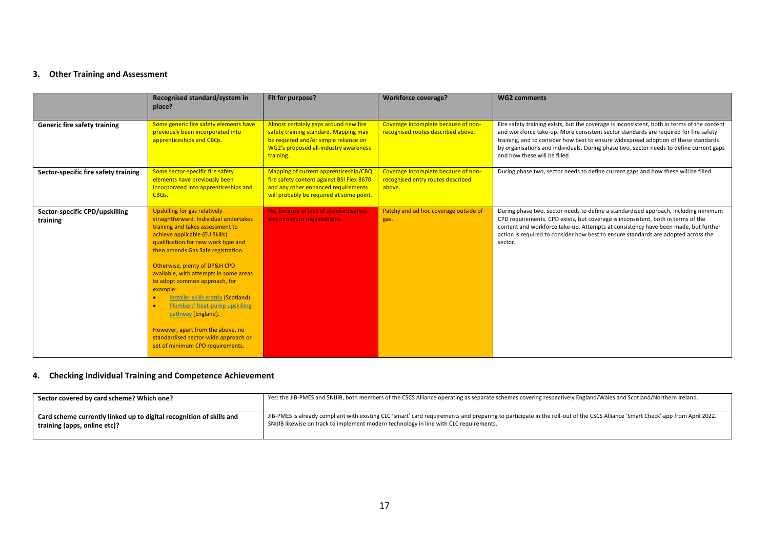#### **3. Other Training and Assessment**

|                                            | Recognised standard/system in<br>place?                                                                                                                                                                                                                                                                                                                                                                                                                                                                                                                                               | Fit for purpose?                                                                                                                                                              | <b>Workforce coverage?</b>                                                         | <b>WG2 comments</b>                                                                                                                                                                                                                                                                                                                                                                                    |
|--------------------------------------------|---------------------------------------------------------------------------------------------------------------------------------------------------------------------------------------------------------------------------------------------------------------------------------------------------------------------------------------------------------------------------------------------------------------------------------------------------------------------------------------------------------------------------------------------------------------------------------------|-------------------------------------------------------------------------------------------------------------------------------------------------------------------------------|------------------------------------------------------------------------------------|--------------------------------------------------------------------------------------------------------------------------------------------------------------------------------------------------------------------------------------------------------------------------------------------------------------------------------------------------------------------------------------------------------|
| <b>Generic fire safety training</b>        | Some generic fire safety elements have<br>previously been incorporated into<br>apprenticeships and CBQs.                                                                                                                                                                                                                                                                                                                                                                                                                                                                              | Almost certainly gaps around new fire<br>safety training standard. Mapping may<br>be required and/or simple reliance on<br>WG2's proposed all-industry awareness<br>training. | Coverage incomplete because of non-<br>recognised routes described above.          | Fire safety training exists, but the coverage is inconsistent, both in terms of the content<br>and workforce take-up. More consistent sector standards are required for fire safety<br>training, and to consider how best to ensure widespread adoption of these standards<br>by organisations and individuals. During phase two, sector needs to define current gaps<br>and how these will be filled. |
| Sector-specific fire safety training       | Some sector-specific fire safety<br>elements have previously been<br>incorporated into apprenticeships and<br>CBO <sub>s</sub> .                                                                                                                                                                                                                                                                                                                                                                                                                                                      | Mapping of current apprenticeship/CBQ<br>fire safety content against BSI Flex 8670<br>and any other enhanced requirements<br>will probably be required at some point.         | Coverage incomplete because of non-<br>recognised entry routes described<br>above. | During phase two, sector needs to define current gaps and how these will be filled.                                                                                                                                                                                                                                                                                                                    |
| Sector-specific CPD/upskilling<br>training | <b>Upskilling for gas relatively</b><br>straightforward. Individual undertakes<br>training and takes assessment to<br>achieve applicable (EU Skills)<br>qualification for new work type and<br>then amends Gas Safe registration.<br>Otherwise, plenty of DP&H CPD<br>available, with attempts in some areas<br>to adopt common approach, for<br>example:<br>Installer skills matrix (Scotland)<br>$\bullet$<br>Plumbers' heat-pump upskilling<br>pathway (England).<br>However, apart from the above, no<br>standardised sector-wide approach or<br>set of minimum CPD requirements. | No. because of lack of standardisation<br>and minimum requirements.                                                                                                           | Patchy and ad hoc coverage outside of<br>gas.                                      | During phase two, sector needs to define a standardised approach, including minimum<br>CPD requirements. CPD exists, but coverage is inconsistent, both in terms of the<br>content and workforce take-up. Attempts at consistency have been made, but further<br>action is required to consider how best to ensure standards are adopted across the<br>sector.                                         |

### **4. Checking Individual Training and Competence Achievement**

| Sector covered by card scheme? Which one?                            | Yes: the JIB-PMES and SNIJIB, both members of the CSCS Alliance operating as separate schemes covering respectively England/Wales and Scotland/Northern Ireland.               |
|----------------------------------------------------------------------|--------------------------------------------------------------------------------------------------------------------------------------------------------------------------------|
| Card scheme currently linked up to digital recognition of skills and | JIB-PMES is already compliant with existing CLC 'smart' card requirements and preparing to participate in the roll-out of the CSCS Alliance 'Smart Check' app from April 2022. |
| training (apps, online etc)?                                         | SNIJIB likewise on track to implement modern technology in line with CLC requirements.                                                                                         |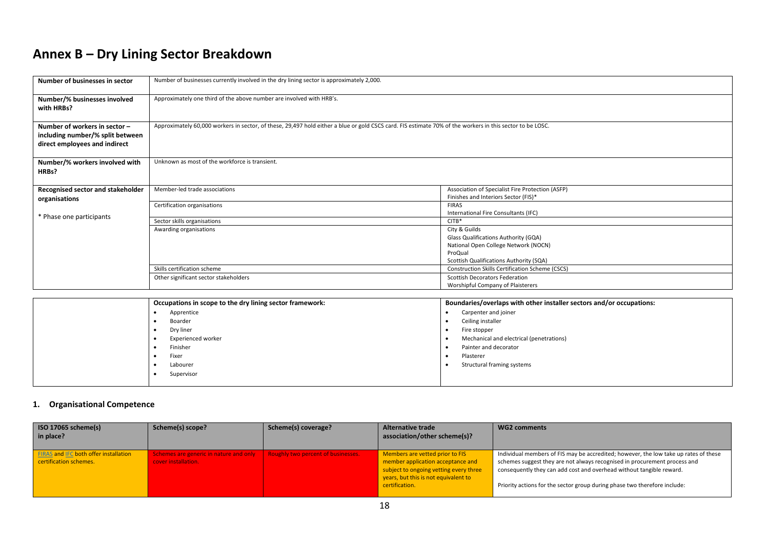## **Annex B – Dry Lining Sector Breakdown**

• Experienced worker • Finisher • Fixer • Labourer • Supervisor

| Number of businesses in sector                                                                     | Number of businesses currently involved in the dry lining sector is approximately 2,000.                                                                  |                                                                                                                                                     |  |  |
|----------------------------------------------------------------------------------------------------|-----------------------------------------------------------------------------------------------------------------------------------------------------------|-----------------------------------------------------------------------------------------------------------------------------------------------------|--|--|
| Number/% businesses involved<br>with HRBs?                                                         | Approximately one third of the above number are involved with HRB's.                                                                                      |                                                                                                                                                     |  |  |
| Number of workers in sector -<br>including number/% split between<br>direct employees and indirect | Approximately 60,000 workers in sector, of these, 29,497 hold either a blue or gold CSCS card. FIS estimate 70% of the workers in this sector to be LOSC. |                                                                                                                                                     |  |  |
| Number/% workers involved with<br>HRBs?                                                            | Unknown as most of the workforce is transient.                                                                                                            |                                                                                                                                                     |  |  |
| Recognised sector and stakeholder<br>organisations                                                 | Member-led trade associations                                                                                                                             | Association of Specialist Fire Protection (ASFP)<br>Finishes and Interiors Sector (FIS)*                                                            |  |  |
| * Phase one participants                                                                           | Certification organisations                                                                                                                               | <b>FIRAS</b><br>International Fire Consultants (IFC)                                                                                                |  |  |
|                                                                                                    | Sector skills organisations                                                                                                                               | $C$ ITB*                                                                                                                                            |  |  |
|                                                                                                    | Awarding organisations                                                                                                                                    | City & Guilds<br>Glass Qualifications Authority (GQA)<br>National Open College Network (NOCN)<br>ProQual<br>Scottish Qualifications Authority (SQA) |  |  |
|                                                                                                    | Skills certification scheme<br>Other significant sector stakeholders                                                                                      | Construction Skills Certification Scheme (CSCS)                                                                                                     |  |  |
|                                                                                                    | <b>Scottish Decorators Federation</b><br>Worshipful Company of Plaisterers                                                                                |                                                                                                                                                     |  |  |
|                                                                                                    |                                                                                                                                                           |                                                                                                                                                     |  |  |
|                                                                                                    | Occupations in scope to the dry lining sector framework:                                                                                                  | Boundaries/overlaps with other installer sectors and/or occupations:                                                                                |  |  |
|                                                                                                    | Apprentice<br>$\bullet$                                                                                                                                   | Carpenter and joiner<br>٠                                                                                                                           |  |  |
|                                                                                                    | Boarder                                                                                                                                                   | Ceiling installer                                                                                                                                   |  |  |
|                                                                                                    | Dry liner<br>Fire stopper<br>$\bullet$                                                                                                                    |                                                                                                                                                     |  |  |

- Mechanical and electrical (penetrations) • Painter and decorator
- Plasterer
- 
- Structural framing systems

#### <span id="page-17-0"></span>**1. Organisational Competence**

| $\mid$ ISO 17065 scheme(s)<br>in place?                                | Scheme(s) scope?                                              | Scheme(s) coverage?                       | <b>Alternative trade</b><br>association/other scheme(s)?                                                                                                                 | WG2 comments                                                                                                                                                                                                                                                                                                           |
|------------------------------------------------------------------------|---------------------------------------------------------------|-------------------------------------------|--------------------------------------------------------------------------------------------------------------------------------------------------------------------------|------------------------------------------------------------------------------------------------------------------------------------------------------------------------------------------------------------------------------------------------------------------------------------------------------------------------|
| <b>FIRAS</b> and IFC both offer installation<br>certification schemes. | Schemes are generic in nature and only<br>cover installation. | <b>Roughly two percent of businesses.</b> | Members are vetted prior to FIS<br>member application acceptance and<br>subject to ongoing vetting every three<br>years, but this is not equivalent to<br>certification. | Individual members of FIS may be accredited; however, the low take up rates of these<br>schemes suggest they are not always recognised in procurement process and<br>consequently they can add cost and overhead without tangible reward.<br>Priority actions for the sector group during phase two therefore include: |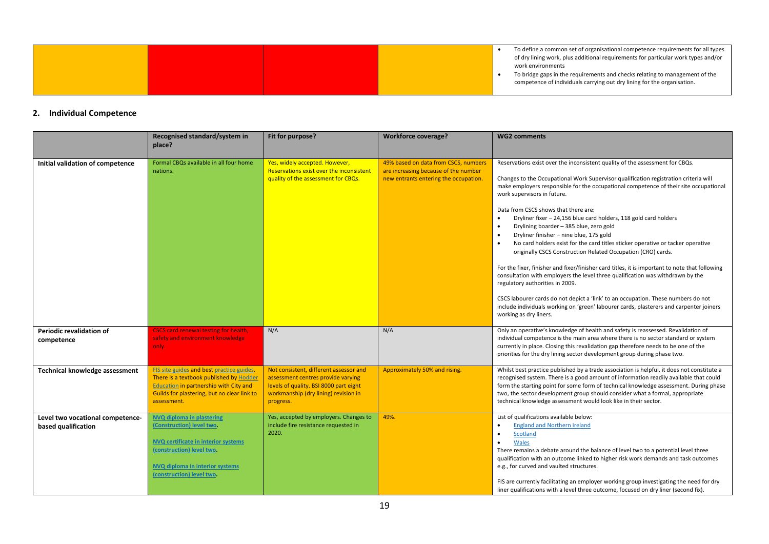- - To define a common set of organisational competence requirements for all types of dry lining work, plus additional requirements for particular work types and/or work environments
	- To bridge gaps in the requirements and checks relating to management of the competence of individuals carrying out dry lining for the organisation.

#### **2. Individual Competence**

|                                                         | Recognised standard/system in<br>place?                                                                                                                                                                        | Fit for purpose?                                                                                                                                                            | <b>Workforce coverage?</b>                                                                                            | <b>WG2 comments</b>                                                                                                                                                                                                                                                                                                                                                                                                                                                                                                                                                              |
|---------------------------------------------------------|----------------------------------------------------------------------------------------------------------------------------------------------------------------------------------------------------------------|-----------------------------------------------------------------------------------------------------------------------------------------------------------------------------|-----------------------------------------------------------------------------------------------------------------------|----------------------------------------------------------------------------------------------------------------------------------------------------------------------------------------------------------------------------------------------------------------------------------------------------------------------------------------------------------------------------------------------------------------------------------------------------------------------------------------------------------------------------------------------------------------------------------|
| Initial validation of competence                        | Formal CBQs available in all four home<br>nations.                                                                                                                                                             | Yes, widely accepted. However,<br><b>Reservations exist over the inconsistent</b><br>quality of the assessment for CBQs.                                                    | 49% based on data from CSCS, numbers<br>are increasing because of the number<br>new entrants entering the occupation. | Reservations exist over the inconsistent quality of the assessment for CBQs.<br>Changes to the Occupational Work Supervisor qualification registration criteria will<br>make employers responsible for the occupational competence of their site occupational<br>work supervisors in future.<br>Data from CSCS shows that there are:<br>Dryliner fixer - 24,156 blue card holders, 118 gold card holders<br>$\bullet$<br>Drylining boarder - 385 blue, zero gold<br>$\bullet$<br>Dryliner finisher - nine blue, 175 gold                                                         |
|                                                         |                                                                                                                                                                                                                |                                                                                                                                                                             |                                                                                                                       | No card holders exist for the card titles sticker operative or tacker operative<br>originally CSCS Construction Related Occupation (CRO) cards.<br>For the fixer, finisher and fixer/finisher card titles, it is important to note that following<br>consultation with employers the level three qualification was withdrawn by the<br>regulatory authorities in 2009.<br>CSCS labourer cards do not depict a 'link' to an occupation. These numbers do not<br>include individuals working on 'green' labourer cards, plasterers and carpenter joiners<br>working as dry liners. |
| Periodic revalidation of<br>competence                  | <b>CSCS card renewal testing for health,</b><br>safety and environment knowledge<br>only.                                                                                                                      | N/A                                                                                                                                                                         | N/A                                                                                                                   | Only an operative's knowledge of health and safety is reassessed. Revalidation of<br>individual competence is the main area where there is no sector standard or system<br>currently in place. Closing this revalidation gap therefore needs to be one of the<br>priorities for the dry lining sector development group during phase two.                                                                                                                                                                                                                                        |
| Technical knowledge assessment                          | <b>FIS site guides and best practice guides.</b><br>There is a textbook published by Hodder<br>Education in partnership with City and<br>Guilds for plastering, but no clear link to<br>assessment.            | Not consistent, different assessor and<br>assessment centres provide varying<br>levels of quality. BSI 8000 part eight<br>workmanship (dry lining) revision in<br>progress. | Approximately 50% and rising.                                                                                         | Whilst best practice published by a trade association is helpful, it does not constitute a<br>recognised system. There is a good amount of information readily available that could<br>form the starting point for some form of technical knowledge assessment. During phase<br>two, the sector development group should consider what a formal, appropriate<br>technical knowledge assessment would look like in their sector.                                                                                                                                                  |
| Level two vocational competence-<br>based qualification | <b>NVQ diploma in plastering</b><br>(Construction) level two.<br><b>NVQ certificate in interior systems</b><br>(construction) level two.<br><b>NVQ diploma in interior systems</b><br>(construction) level two | Yes, accepted by employers. Changes to<br>include fire resistance requested in<br>2020.                                                                                     | 49%.                                                                                                                  | List of qualifications available below:<br><b>England and Northern Ireland</b><br>Scotland<br>$\bullet$<br>Wales<br>$\bullet$<br>There remains a debate around the balance of level two to a potential level three<br>qualification with an outcome linked to higher risk work demands and task outcomes<br>e.g., for curved and vaulted structures.<br>FIS are currently facilitating an employer working group investigating the need for dry<br>liner qualifications with a level three outcome, focused on dry liner (second fix).                                           |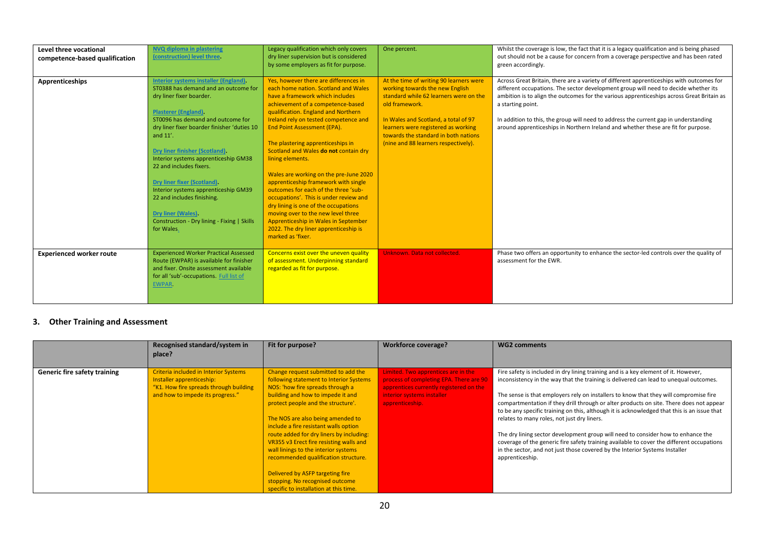| Level three vocational<br>competence-based qualification | <b>NVQ diploma in plastering</b><br>(construction) level three.                                                                                                                                                                                                                                                                                                                                                                                                                                                                       | Legacy qualification which only covers<br>dry liner supervision but is considered<br>by some employers as fit for purpose.                                                                                                                                                                                                                                                                                                                                                                                                                                                                                                                                                                                                            | One percent.                                                                                                                                                                                                                                                                                          | Whilst the coverage is low, the fact that it is a legacy qualification and is being phased<br>out should not be a cause for concern from a coverage perspective and has been rated<br>green accordingly.                                                                                                                                                                                                                                                                       |
|----------------------------------------------------------|---------------------------------------------------------------------------------------------------------------------------------------------------------------------------------------------------------------------------------------------------------------------------------------------------------------------------------------------------------------------------------------------------------------------------------------------------------------------------------------------------------------------------------------|---------------------------------------------------------------------------------------------------------------------------------------------------------------------------------------------------------------------------------------------------------------------------------------------------------------------------------------------------------------------------------------------------------------------------------------------------------------------------------------------------------------------------------------------------------------------------------------------------------------------------------------------------------------------------------------------------------------------------------------|-------------------------------------------------------------------------------------------------------------------------------------------------------------------------------------------------------------------------------------------------------------------------------------------------------|--------------------------------------------------------------------------------------------------------------------------------------------------------------------------------------------------------------------------------------------------------------------------------------------------------------------------------------------------------------------------------------------------------------------------------------------------------------------------------|
| Apprenticeships                                          | Interior systems installer (England).<br>ST0388 has demand and an outcome for<br>dry liner fixer boarder.<br><b>Plasterer (England).</b><br>ST0096 has demand and outcome for<br>dry liner fixer boarder finisher 'duties 10<br>and 11'.<br>Dry liner finisher (Scotland).<br>Interior systems apprenticeship GM38<br>22 and includes fixers.<br>Dry liner fixer (Scotland).<br>Interior systems apprenticeship GM39<br>22 and includes finishing.<br>Dry liner (Wales).<br>Construction - Dry lining - Fixing   Skills<br>for Wales. | Yes, however there are differences in<br>each home nation. Scotland and Wales<br>have a framework which includes<br>achievement of a competence-based<br>qualification. England and Northern<br>Ireland rely on tested competence and<br><b>End Point Assessment (EPA).</b><br>The plastering apprenticeships in<br>Scotland and Wales do not contain dry<br>lining elements.<br>Wales are working on the pre-June 2020<br>apprenticeship framework with single<br>outcomes for each of the three 'sub-<br>occupations'. This is under review and<br>dry lining is one of the occupations<br>moving over to the new level three<br>Apprenticeship in Wales in September<br>2022. The dry liner apprenticeship is<br>marked as 'fixer. | At the time of writing 90 learners were<br>working towards the new English<br>standard while 62 learners were on the<br>old framework.<br>In Wales and Scotland, a total of 97<br>learners were registered as working<br>towards the standard in both nations<br>(nine and 88 learners respectively). | Across Great Britain, there are a variety of different apprenticeships with outcomes for<br>different occupations. The sector development group will need to decide whether its<br>ambition is to align the outcomes for the various apprenticeships across Great Britain as<br>a starting point.<br>In addition to this, the group will need to address the current gap in understanding<br>around apprenticeships in Northern Ireland and whether these are fit for purpose. |
| <b>Experienced worker route</b>                          | <b>Experienced Worker Practical Assessed</b><br>Route (EWPAR) is available for finisher<br>and fixer. Onsite assessment available<br>for all 'sub'-occupations. Full list of<br>EWPAR.                                                                                                                                                                                                                                                                                                                                                | Concerns exist over the uneven quality<br>of assessment. Underpinning standard<br>regarded as fit for purpose.                                                                                                                                                                                                                                                                                                                                                                                                                                                                                                                                                                                                                        | Unknown. Data not collected.                                                                                                                                                                                                                                                                          | Phase two offers an opportunity to enhance the sector-led controls over the quality of<br>assessment for the EWR.                                                                                                                                                                                                                                                                                                                                                              |

#### **3. Other Training and Assessment**

|                                     | Recognised standard/system in<br>place?                                                                                                          | Fit for purpose?                                                                                                                                                                                                                                                                                                                                                                                                                                                                                                                                                    | Workforce coverage?                                                                                                                                                        | <b>WG2 comments</b>                                                                                                                                                                                                                                                                                                                                                                                                                                                                                                                                                                                                                                                                                                                                                                               |
|-------------------------------------|--------------------------------------------------------------------------------------------------------------------------------------------------|---------------------------------------------------------------------------------------------------------------------------------------------------------------------------------------------------------------------------------------------------------------------------------------------------------------------------------------------------------------------------------------------------------------------------------------------------------------------------------------------------------------------------------------------------------------------|----------------------------------------------------------------------------------------------------------------------------------------------------------------------------|---------------------------------------------------------------------------------------------------------------------------------------------------------------------------------------------------------------------------------------------------------------------------------------------------------------------------------------------------------------------------------------------------------------------------------------------------------------------------------------------------------------------------------------------------------------------------------------------------------------------------------------------------------------------------------------------------------------------------------------------------------------------------------------------------|
| <b>Generic fire safety training</b> | Criteria included in Interior Systems<br>Installer apprenticeship:<br>"K1. How fire spreads through building<br>and how to impede its progress." | Change request submitted to add the<br>following statement to Interior Systems<br>NOS: 'how fire spreads through a<br>building and how to impede it and<br>protect people and the structure'.<br>The NOS are also being amended to<br>include a fire resistant walls option<br>route added for dry liners by including:<br>VR355 v3 Erect fire resisting walls and<br>wall linings to the interior systems<br>recommended qualification structure.<br>Delivered by ASFP targeting fire<br>stopping. No recognised outcome<br>specific to installation at this time. | Limited. Two apprentices are in the<br>process of completing EPA. There are 90<br>apprentices currently registered on the<br>interior systems installer<br>apprenticeship. | Fire safety is included in dry lining training and is a key element of it. However,<br>inconsistency in the way that the training is delivered can lead to unequal outcomes.<br>The sense is that employers rely on installers to know that they will compromise fire<br>compartmentation if they drill through or alter products on site. There does not appear<br>to be any specific training on this, although it is acknowledged that this is an issue that<br>relates to many roles, not just dry liners.<br>The dry lining sector development group will need to consider how to enhance the<br>coverage of the generic fire safety training available to cover the different occupations<br>in the sector, and not just those covered by the Interior Systems Installer<br>apprenticeship. |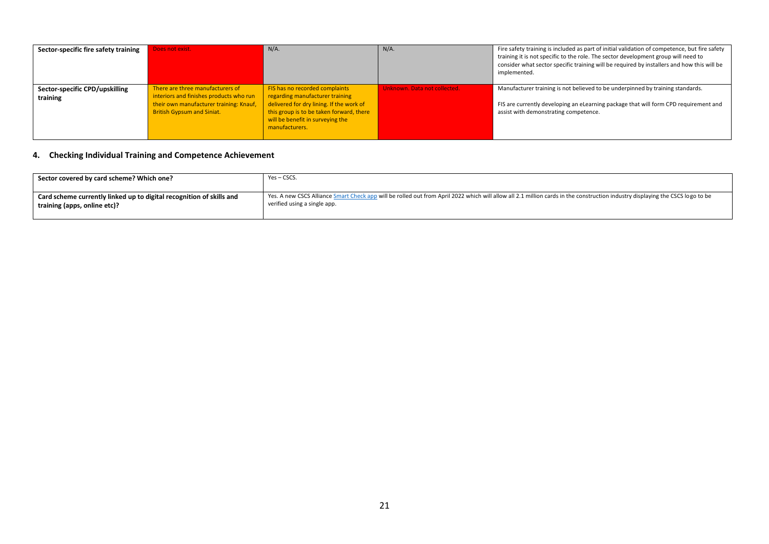| Sector-specific fire safety training       | Does not exist.                                                                                                                                             | $N/A$ .                                                                                                                                                                                                         | $N/A$ .                      | Fire safety training is included as part of initial validation of competence, but fire safety<br>training it is not specific to the role. The sector development group will need to<br>consider what sector specific training will be required by installers and how this will be<br>implemented. |
|--------------------------------------------|-------------------------------------------------------------------------------------------------------------------------------------------------------------|-----------------------------------------------------------------------------------------------------------------------------------------------------------------------------------------------------------------|------------------------------|---------------------------------------------------------------------------------------------------------------------------------------------------------------------------------------------------------------------------------------------------------------------------------------------------|
| Sector-specific CPD/upskilling<br>training | There are three manufacturers of<br>interiors and finishes products who run<br>their own manufacturer training: Knauf,<br><b>British Gypsum and Siniat.</b> | FIS has no recorded complaints<br>regarding manufacturer training<br>delivered for dry lining. If the work of<br>this group is to be taken forward, there<br>will be benefit in surveying the<br>manufacturers. | Unknown, Data not collected. | Manufacturer training is not believed to be underpinned by training standards.<br>FIS are currently developing an eLearning package that will form CPD requirement and<br>assist with demonstrating competence.                                                                                   |

### **4. Checking Individual Training and Competence Achievement**

| Sector covered by card scheme? Which one?                            | Yes – CSCS.                                                                                                                                                                    |
|----------------------------------------------------------------------|--------------------------------------------------------------------------------------------------------------------------------------------------------------------------------|
| Card scheme currently linked up to digital recognition of skills and | Yes. A new CSCS Alliance Smart Check app will be rolled out from April 2022 which will allow all 2.1 million cards in the construction industry displaying the CSCS logo to be |
| training (apps, online etc)?                                         | verified using a single app.                                                                                                                                                   |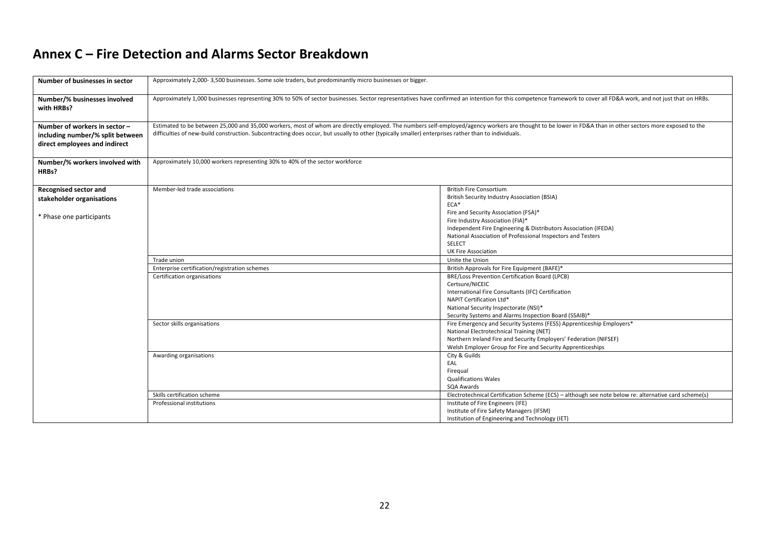### **Annex C – Fire Detection and Alarms Sector Breakdown**

<span id="page-21-0"></span>

| Number of businesses in sector                                                                     | Approximately 2,000-3,500 businesses. Some sole traders, but predominantly micro businesses or bigger.                                                                                                                                                                                                                                                           |                                                                                                                                                                                                                                                           |  |  |
|----------------------------------------------------------------------------------------------------|------------------------------------------------------------------------------------------------------------------------------------------------------------------------------------------------------------------------------------------------------------------------------------------------------------------------------------------------------------------|-----------------------------------------------------------------------------------------------------------------------------------------------------------------------------------------------------------------------------------------------------------|--|--|
| Number/% businesses involved<br>with HRBs?                                                         | Approximately 1,000 businesses representing 30% to 50% of sector businesses. Sector representatives have confirmed an intention for this competence framework to cover all FD&A work, and not just that on HRBs.                                                                                                                                                 |                                                                                                                                                                                                                                                           |  |  |
| Number of workers in sector -<br>including number/% split between<br>direct employees and indirect | Estimated to be between 25,000 and 35,000 workers, most of whom are directly employed. The numbers self-employed/agency workers are thought to be lower in FD&A than in other sectors more exposed to the<br>difficulties of new-build construction. Subcontracting does occur, but usually to other (typically smaller) enterprises rather than to individuals. |                                                                                                                                                                                                                                                           |  |  |
| Number/% workers involved with<br>HRBs?                                                            | Approximately 10,000 workers representing 30% to 40% of the sector workforce                                                                                                                                                                                                                                                                                     |                                                                                                                                                                                                                                                           |  |  |
| <b>Recognised sector and</b><br>stakeholder organisations                                          | Member-led trade associations                                                                                                                                                                                                                                                                                                                                    | <b>British Fire Consortium</b><br><b>British Security Industry Association (BSIA)</b><br>$ECA*$                                                                                                                                                           |  |  |
| * Phase one participants                                                                           |                                                                                                                                                                                                                                                                                                                                                                  | Fire and Security Association (FSA)*<br>Fire Industry Association (FIA)*<br>Independent Fire Engineering & Distributors Association (IFEDA)<br>National Association of Professional Inspectors and Testers<br><b>SELECT</b><br><b>UK Fire Association</b> |  |  |
|                                                                                                    | Trade union                                                                                                                                                                                                                                                                                                                                                      | Unite the Union                                                                                                                                                                                                                                           |  |  |
|                                                                                                    | Enterprise certification/registration schemes                                                                                                                                                                                                                                                                                                                    | British Approvals for Fire Equipment (BAFE)*                                                                                                                                                                                                              |  |  |
|                                                                                                    | Certification organisations                                                                                                                                                                                                                                                                                                                                      | BRE/Loss Prevention Certification Board (LPCB)<br>Certsure/NICEIC<br>International Fire Consultants (IFC) Certification<br>NAPIT Certification Ltd*<br>National Security Inspectorate (NSI)*<br>Security Systems and Alarms Inspection Board (SSAIB)*     |  |  |
|                                                                                                    | Sector skills organisations                                                                                                                                                                                                                                                                                                                                      | Fire Emergency and Security Systems (FESS) Apprenticeship Employers*<br>National Electrotechnical Training (NET)<br>Northern Ireland Fire and Security Employers' Federation (NIFSEF)<br>Welsh Employer Group for Fire and Security Apprenticeships       |  |  |
|                                                                                                    | Awarding organisations                                                                                                                                                                                                                                                                                                                                           | City & Guilds<br>EAL<br>Firequal<br><b>Qualifications Wales</b><br><b>SOA Awards</b>                                                                                                                                                                      |  |  |
|                                                                                                    | Skills certification scheme                                                                                                                                                                                                                                                                                                                                      | Electrotechnical Certification Scheme (ECS) - although see note below re: alternative card scheme(s)                                                                                                                                                      |  |  |
|                                                                                                    | Professional institutions                                                                                                                                                                                                                                                                                                                                        | Institute of Fire Engineers (IFE)<br>Institute of Fire Safety Managers (IFSM)<br>Institution of Engineering and Technology (IET)                                                                                                                          |  |  |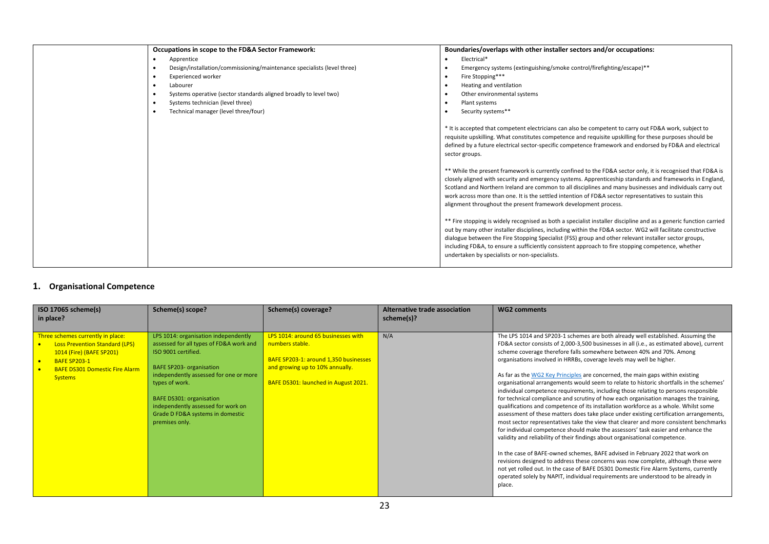| Occupations in scope to the FD&A Sector Framework:                      | Boundaries/overlaps with other installer sectors and/or occupations:                                                                                                                                                                                                                                                                                                                                                                                                                                                                                                                                                                                                                                                                                                                                                                                                                                                                                                                                                                                                                                                                                                                                                                                                                                                                                                 |
|-------------------------------------------------------------------------|----------------------------------------------------------------------------------------------------------------------------------------------------------------------------------------------------------------------------------------------------------------------------------------------------------------------------------------------------------------------------------------------------------------------------------------------------------------------------------------------------------------------------------------------------------------------------------------------------------------------------------------------------------------------------------------------------------------------------------------------------------------------------------------------------------------------------------------------------------------------------------------------------------------------------------------------------------------------------------------------------------------------------------------------------------------------------------------------------------------------------------------------------------------------------------------------------------------------------------------------------------------------------------------------------------------------------------------------------------------------|
| Apprentice                                                              | Electrical*<br>$\bullet$                                                                                                                                                                                                                                                                                                                                                                                                                                                                                                                                                                                                                                                                                                                                                                                                                                                                                                                                                                                                                                                                                                                                                                                                                                                                                                                                             |
| Design/installation/commissioning/maintenance specialists (level three) | Emergency systems (extinguishing/smoke control/firefighting/escape)**<br>$\bullet$                                                                                                                                                                                                                                                                                                                                                                                                                                                                                                                                                                                                                                                                                                                                                                                                                                                                                                                                                                                                                                                                                                                                                                                                                                                                                   |
| <b>Experienced worker</b>                                               | Fire Stopping***<br>$\bullet$                                                                                                                                                                                                                                                                                                                                                                                                                                                                                                                                                                                                                                                                                                                                                                                                                                                                                                                                                                                                                                                                                                                                                                                                                                                                                                                                        |
| Labourer                                                                | Heating and ventilation<br>$\bullet$                                                                                                                                                                                                                                                                                                                                                                                                                                                                                                                                                                                                                                                                                                                                                                                                                                                                                                                                                                                                                                                                                                                                                                                                                                                                                                                                 |
| Systems operative (sector standards aligned broadly to level two)       | Other environmental systems<br>$\bullet$                                                                                                                                                                                                                                                                                                                                                                                                                                                                                                                                                                                                                                                                                                                                                                                                                                                                                                                                                                                                                                                                                                                                                                                                                                                                                                                             |
| Systems technician (level three)                                        | Plant systems<br>$\bullet$                                                                                                                                                                                                                                                                                                                                                                                                                                                                                                                                                                                                                                                                                                                                                                                                                                                                                                                                                                                                                                                                                                                                                                                                                                                                                                                                           |
| Technical manager (level three/four)                                    | Security systems**<br>$\bullet$                                                                                                                                                                                                                                                                                                                                                                                                                                                                                                                                                                                                                                                                                                                                                                                                                                                                                                                                                                                                                                                                                                                                                                                                                                                                                                                                      |
|                                                                         | * It is accepted that competent electricians can also be competent to carry out FD&A work, subject to<br>requisite upskilling. What constitutes competence and requisite upskilling for these purposes should be<br>defined by a future electrical sector-specific competence framework and endorsed by FD&A and electrical<br>sector groups.<br>** While the present framework is currently confined to the FD&A sector only, it is recognised that FD&A is<br>closely aligned with security and emergency systems. Apprenticeship standards and frameworks in England,<br>Scotland and Northern Ireland are common to all disciplines and many businesses and individuals carry out<br>work across more than one. It is the settled intention of FD&A sector representatives to sustain this<br>alignment throughout the present framework development process.<br>** Fire stopping is widely recognised as both a specialist installer discipline and as a generic function carried<br>out by many other installer disciplines, including within the FD&A sector. WG2 will facilitate constructive<br>dialogue between the Fire Stopping Specialist (FSS) group and other relevant installer sector groups,<br>including FD&A, to ensure a sufficiently consistent approach to fire stopping competence, whether<br>undertaken by specialists or non-specialists. |

### **1. Organisational Competence**

| ISO 17065 scheme(s)<br>in place?                                                                                                                                                         | Scheme(s) scope?                                                                                                                                                                                                                                                                                                                     | Scheme(s) coverage?                                                                                                                                                        | Alternative trade association<br>scheme(s)? | <b>WG2 comments</b>                                                                                                                                                                                                                                                                                                                                                                                                                                                                                                                                                                                                                                                                                                                                                                                                                                                                                                                                                                                                                                                                                                                                                                                                                                                                                                                                                                                                                                                                                 |
|------------------------------------------------------------------------------------------------------------------------------------------------------------------------------------------|--------------------------------------------------------------------------------------------------------------------------------------------------------------------------------------------------------------------------------------------------------------------------------------------------------------------------------------|----------------------------------------------------------------------------------------------------------------------------------------------------------------------------|---------------------------------------------|-----------------------------------------------------------------------------------------------------------------------------------------------------------------------------------------------------------------------------------------------------------------------------------------------------------------------------------------------------------------------------------------------------------------------------------------------------------------------------------------------------------------------------------------------------------------------------------------------------------------------------------------------------------------------------------------------------------------------------------------------------------------------------------------------------------------------------------------------------------------------------------------------------------------------------------------------------------------------------------------------------------------------------------------------------------------------------------------------------------------------------------------------------------------------------------------------------------------------------------------------------------------------------------------------------------------------------------------------------------------------------------------------------------------------------------------------------------------------------------------------------|
| Three schemes currently in place:<br><b>Loss Prevention Standard (LPS)</b><br>1014 (Fire) (BAFE SP201)<br><b>BAFE SP203-1</b><br><b>BAFE DS301 Domestic Fire Alarm</b><br><b>Systems</b> | LPS 1014: organisation independently<br>assessed for all types of FD&A work and<br>ISO 9001 certified.<br><b>BAFE SP203- organisation</b><br>independently assessed for one or more<br>types of work.<br><b>BAFE DS301: organisation</b><br>independently assessed for work on<br>Grade D FD&A systems in domestic<br>premises only. | LPS 1014: around 65 businesses with<br>numbers stable.<br>BAFE SP203-1: around 1,350 businesses<br>and growing up to 10% annually.<br>BAFE DS301: launched in August 2021. | N/A                                         | The LPS 1014 and SP203-1 schemes are both already well established. Assuming the<br>FD&A sector consists of 2,000-3,500 businesses in all (i.e., as estimated above), current<br>scheme coverage therefore falls somewhere between 40% and 70%. Among<br>organisations involved in HRRBs, coverage levels may well be higher.<br>As far as the WG2 Key Principles are concerned, the main gaps within existing<br>organisational arrangements would seem to relate to historic shortfalls in the schemes'<br>individual competence requirements, including those relating to persons responsible<br>for technical compliance and scrutiny of how each organisation manages the training,<br>qualifications and competence of its installation workforce as a whole. Whilst some<br>assessment of these matters does take place under existing certification arrangements,<br>most sector representatives take the view that clearer and more consistent benchmarks<br>for individual competence should make the assessors' task easier and enhance the<br>validity and reliability of their findings about organisational competence.<br>In the case of BAFE-owned schemes, BAFE advised in February 2022 that work on<br>revisions designed to address these concerns was now complete, although these were<br>not yet rolled out. In the case of BAFE DS301 Domestic Fire Alarm Systems, currently<br>operated solely by NAPIT, individual requirements are understood to be already in<br>place. |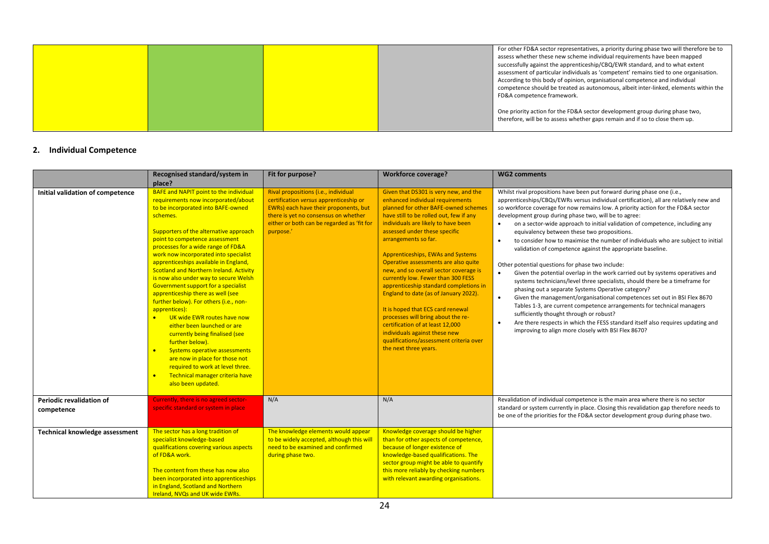|  |  | For other FD&A sector representatives, a priority during phase two will therefore be to<br>assess whether these new scheme individual requirements have been mapped<br>successfully against the apprenticeship/CBQ/EWR standard, and to what extent<br>assessment of particular individuals as 'competent' remains tied to one organisation.<br>According to this body of opinion, organisational competence and individual<br>competence should be treated as autonomous, albeit inter-linked, elements within the<br>FD&A competence framework. |
|--|--|---------------------------------------------------------------------------------------------------------------------------------------------------------------------------------------------------------------------------------------------------------------------------------------------------------------------------------------------------------------------------------------------------------------------------------------------------------------------------------------------------------------------------------------------------|
|  |  | One priority action for the FD&A sector development group during phase two,<br>therefore, will be to assess whether gaps remain and if so to close them up.                                                                                                                                                                                                                                                                                                                                                                                       |

#### **2. Individual Competence**

|                                        | Recognised standard/system in<br>place?                                                                                                                                                                                                                                                                                                                                                                                                                                                                                                                                                                                                                                                                                                                                                                                                                                                          | Fit for purpose?                                                                                                                                                                                                           | <b>Workforce coverage?</b>                                                                                                                                                                                                                                                                                                                                                                                                                                                                                                                                                                                                                                                                                                              | <b>WG2 comments</b>                                                                                                                                                                                                                                                                                                                                                                                                                                                                                                                                                                                                                                                                                                                                                                                                                                                                                                                                                                                                                                                                                                                                                                                                                                                                    |
|----------------------------------------|--------------------------------------------------------------------------------------------------------------------------------------------------------------------------------------------------------------------------------------------------------------------------------------------------------------------------------------------------------------------------------------------------------------------------------------------------------------------------------------------------------------------------------------------------------------------------------------------------------------------------------------------------------------------------------------------------------------------------------------------------------------------------------------------------------------------------------------------------------------------------------------------------|----------------------------------------------------------------------------------------------------------------------------------------------------------------------------------------------------------------------------|-----------------------------------------------------------------------------------------------------------------------------------------------------------------------------------------------------------------------------------------------------------------------------------------------------------------------------------------------------------------------------------------------------------------------------------------------------------------------------------------------------------------------------------------------------------------------------------------------------------------------------------------------------------------------------------------------------------------------------------------|----------------------------------------------------------------------------------------------------------------------------------------------------------------------------------------------------------------------------------------------------------------------------------------------------------------------------------------------------------------------------------------------------------------------------------------------------------------------------------------------------------------------------------------------------------------------------------------------------------------------------------------------------------------------------------------------------------------------------------------------------------------------------------------------------------------------------------------------------------------------------------------------------------------------------------------------------------------------------------------------------------------------------------------------------------------------------------------------------------------------------------------------------------------------------------------------------------------------------------------------------------------------------------------|
| Initial validation of competence       | <b>BAFE and NAPIT point to the individual</b><br>requirements now incorporated/about<br>to be incorporated into BAFE-owned<br>schemes.<br>Supporters of the alternative approach<br>point to competence assessment<br>processes for a wide range of FD&A<br>work now incorporated into specialist<br>apprenticeships available in England,<br><b>Scotland and Northern Ireland. Activity</b><br>is now also under way to secure Welsh<br>Government support for a specialist<br>apprenticeship there as well (see<br>further below). For others (i.e., non-<br>apprentices):<br>UK wide EWR routes have now<br>either been launched or are<br>currently being finalised (see<br>further below).<br><b>Systems operative assessments</b><br>$\bullet$<br>are now in place for those not<br>required to work at level three.<br>Technical manager criteria have<br>$\bullet$<br>also been updated. | Rival propositions (i.e., individual<br>certification versus apprenticeship or<br>EWRs) each have their proponents, but<br>there is yet no consensus on whether<br>either or both can be regarded as 'fit for<br>purpose.' | Given that DS301 is very new, and the<br>enhanced individual requirements<br>planned for other BAFE-owned schemes<br>have still to be rolled out, few if any<br>individuals are likely to have been<br>assessed under these specific<br>arrangements so far.<br><b>Apprenticeships, EWAs and Systems</b><br>Operative assessments are also quite<br>new, and so overall sector coverage is<br>currently low. Fewer than 300 FESS<br>apprenticeship standard completions in<br>England to date (as of January 2022).<br>It is hoped that ECS card renewal<br>processes will bring about the re-<br>certification of at least 12,000<br>individuals against these new<br>qualifications/assessment criteria over<br>the next three years. | Whilst rival propositions have been put forward during phase one (i.e.,<br>apprenticeships/CBQs/EWRs versus individual certification), all are relatively new and<br>so workforce coverage for now remains low. A priority action for the FD&A sector<br>development group during phase two, will be to agree:<br>on a sector-wide approach to initial validation of competence, including any<br>$\bullet$<br>equivalency between these two propositions.<br>to consider how to maximise the number of individuals who are subject to initial<br>$\bullet$<br>validation of competence against the appropriate baseline.<br>Other potential questions for phase two include:<br>Given the potential overlap in the work carried out by systems operatives and<br>$\bullet$<br>systems technicians/level three specialists, should there be a timeframe for<br>phasing out a separate Systems Operative category?<br>$\bullet$<br>Given the management/organisational competences set out in BSI Flex 8670<br>Tables 1-3, are current competence arrangements for technical managers<br>sufficiently thought through or robust?<br>Are there respects in which the FESS standard itself also requires updating and<br>$\bullet$<br>improving to align more closely with BSI Flex 8670? |
| Periodic revalidation of<br>competence | Currently, there is no agreed sector-<br>specific standard or system in place                                                                                                                                                                                                                                                                                                                                                                                                                                                                                                                                                                                                                                                                                                                                                                                                                    | N/A                                                                                                                                                                                                                        | N/A                                                                                                                                                                                                                                                                                                                                                                                                                                                                                                                                                                                                                                                                                                                                     | Revalidation of individual competence is the main area where there is no sector<br>standard or system currently in place. Closing this revalidation gap therefore needs to<br>be one of the priorities for the FD&A sector development group during phase two.                                                                                                                                                                                                                                                                                                                                                                                                                                                                                                                                                                                                                                                                                                                                                                                                                                                                                                                                                                                                                         |
| <b>Technical knowledge assessment</b>  | The sector has a long tradition of<br>specialist knowledge-based<br>qualifications covering various aspects<br>of FD&A work.<br>The content from these has now also<br>been incorporated into apprenticeships<br>in England, Scotland and Northern<br>Ireland, NVQs and UK wide EWRs.                                                                                                                                                                                                                                                                                                                                                                                                                                                                                                                                                                                                            | The knowledge elements would appear<br>to be widely accepted, although this will<br>need to be examined and confirmed<br>during phase two.                                                                                 | Knowledge coverage should be higher<br>than for other aspects of competence,<br>because of longer existence of<br>knowledge-based qualifications. The<br>sector group might be able to quantify<br>this more reliably by checking numbers<br>with relevant awarding organisations.                                                                                                                                                                                                                                                                                                                                                                                                                                                      |                                                                                                                                                                                                                                                                                                                                                                                                                                                                                                                                                                                                                                                                                                                                                                                                                                                                                                                                                                                                                                                                                                                                                                                                                                                                                        |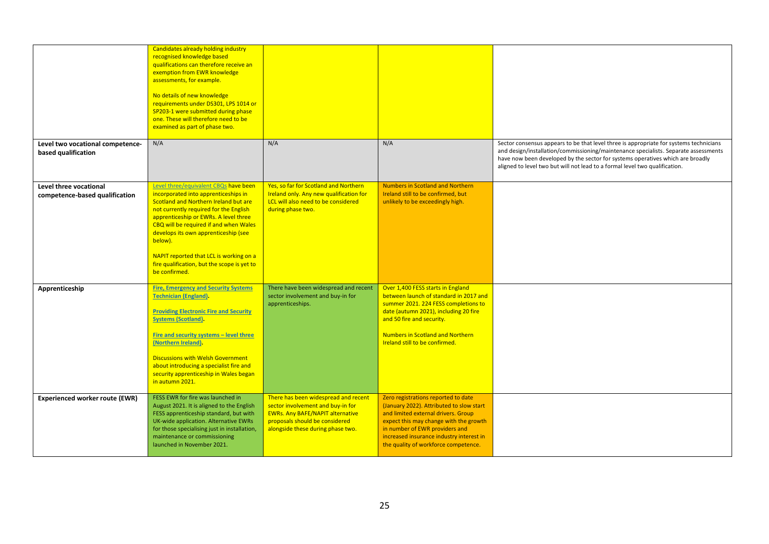|                                                          | Candidates already holding industry<br>recognised knowledge based<br>qualifications can therefore receive an<br>exemption from EWR knowledge<br>assessments, for example.<br>No details of new knowledge<br>requirements under DS301, LPS 1014 or<br>SP203-1 were submitted during phase<br>one. These will therefore need to be<br>examined as part of phase two.                                                |                                                                                                                                                                                             |                                                                                                                                                                                                                                                                                        |                                                                                                                                                                                                                                                                                                                                                |
|----------------------------------------------------------|-------------------------------------------------------------------------------------------------------------------------------------------------------------------------------------------------------------------------------------------------------------------------------------------------------------------------------------------------------------------------------------------------------------------|---------------------------------------------------------------------------------------------------------------------------------------------------------------------------------------------|----------------------------------------------------------------------------------------------------------------------------------------------------------------------------------------------------------------------------------------------------------------------------------------|------------------------------------------------------------------------------------------------------------------------------------------------------------------------------------------------------------------------------------------------------------------------------------------------------------------------------------------------|
| Level two vocational competence-<br>based qualification  | N/A                                                                                                                                                                                                                                                                                                                                                                                                               | N/A                                                                                                                                                                                         | N/A                                                                                                                                                                                                                                                                                    | Sector consensus appears to be that level three is appropriate for systems technicians<br>and design/installation/commissioning/maintenance specialists. Separate assessments<br>have now been developed by the sector for systems operatives which are broadly<br>aligned to level two but will not lead to a formal level two qualification. |
| Level three vocational<br>competence-based qualification | Level three/equivalent CBQs have been<br>incorporated into apprenticeships in<br>Scotland and Northern Ireland but are<br>not currently required for the English<br>apprenticeship or EWRs. A level three<br>CBQ will be required if and when Wales<br>develops its own apprenticeship (see<br>below).<br>NAPIT reported that LCL is working on a<br>fire qualification, but the scope is yet to<br>be confirmed. | Yes, so far for Scotland and Northern<br>Ireland only. Any new qualification for<br>LCL will also need to be considered<br>during phase two.                                                | <b>Numbers in Scotland and Northern</b><br>Ireland still to be confirmed, but<br>unlikely to be exceedingly high.                                                                                                                                                                      |                                                                                                                                                                                                                                                                                                                                                |
| Apprenticeship                                           | <b>Fire, Emergency and Security Systems</b><br><b>Technician (England)</b><br><b>Providing Electronic Fire and Security</b><br><b>Systems (Scotland).</b><br>Fire and security systems - level three<br>(Northern Ireland).<br><b>Discussions with Welsh Government</b><br>about introducing a specialist fire and<br>security apprenticeship in Wales began<br>in autumn 2021.                                   | There have been widespread and recent<br>sector involvement and buy-in for<br>apprenticeships.                                                                                              | Over 1,400 FESS starts in England<br>between launch of standard in 2017 and<br>summer 2021. 224 FESS completions to<br>date (autumn 2021), including 20 fire<br>and 50 fire and security.<br><b>Numbers in Scotland and Northern</b><br>Ireland still to be confirmed.                 |                                                                                                                                                                                                                                                                                                                                                |
| <b>Experienced worker route (EWR)</b>                    | FESS EWR for fire was launched in<br>August 2021. It is aligned to the English<br>FESS apprenticeship standard, but with<br>UK-wide application. Alternative EWRs<br>for those specialising just in installation,<br>maintenance or commissioning<br>launched in November 2021.                                                                                                                                   | There has been widespread and recent<br>sector involvement and buy-in for<br><b>EWRs. Any BAFE/NAPIT alternative</b><br>proposals should be considered<br>alongside these during phase two. | Zero registrations reported to date<br>(January 2022). Attributed to slow start<br>and limited external drivers. Group<br>expect this may change with the growth<br>in number of EWR providers and<br>increased insurance industry interest in<br>the quality of workforce competence. |                                                                                                                                                                                                                                                                                                                                                |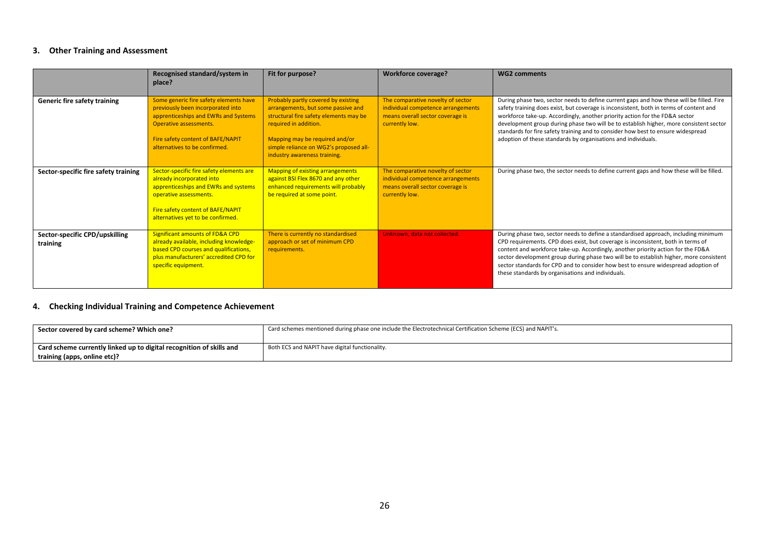#### **3. Other Training and Assessment**

|                                            | Recognised standard/system in<br>place?                                                                                                                                                                             | Fit for purpose?                                                                                                                                                                                                                                         | <b>Workforce coverage?</b>                                                                                                    | <b>WG2 comments</b>                                                                                                                                                                                                                                                                                                                                                                                                                                                                                              |
|--------------------------------------------|---------------------------------------------------------------------------------------------------------------------------------------------------------------------------------------------------------------------|----------------------------------------------------------------------------------------------------------------------------------------------------------------------------------------------------------------------------------------------------------|-------------------------------------------------------------------------------------------------------------------------------|------------------------------------------------------------------------------------------------------------------------------------------------------------------------------------------------------------------------------------------------------------------------------------------------------------------------------------------------------------------------------------------------------------------------------------------------------------------------------------------------------------------|
| <b>Generic fire safety training</b>        | Some generic fire safety elements have<br>previously been incorporated into<br>apprenticeships and EWRs and Systems<br>Operative assessments.<br>Fire safety content of BAFE/NAPIT<br>alternatives to be confirmed. | Probably partly covered by existing<br>arrangements, but some passive and<br>structural fire safety elements may be<br>required in addition.<br>Mapping may be required and/or<br>simple reliance on WG2's proposed all-<br>industry awareness training. | The comparative novelty of sector<br>individual competence arrangements<br>means overall sector coverage is<br>currently low. | During phase two, sector needs to define current gaps and how these will be filled. Fire<br>safety training does exist, but coverage is inconsistent, both in terms of content and<br>workforce take-up. Accordingly, another priority action for the FD&A sector<br>development group during phase two will be to establish higher, more consistent sector<br>standards for fire safety training and to consider how best to ensure widespread<br>adoption of these standards by organisations and individuals. |
| Sector-specific fire safety training       | Sector-specific fire safety elements are<br>already incorporated into<br>apprenticeships and EWRs and systems<br>operative assessments.<br>Fire safety content of BAFE/NAPIT<br>alternatives yet to be confirmed.   | <b>Mapping of existing arrangements</b><br>against BSI Flex 8670 and any other<br>enhanced requirements will probably<br>be required at some point.                                                                                                      | The comparative novelty of sector<br>individual competence arrangements<br>means overall sector coverage is<br>currently low. | During phase two, the sector needs to define current gaps and how these will be filled.                                                                                                                                                                                                                                                                                                                                                                                                                          |
| Sector-specific CPD/upskilling<br>training | <b>Significant amounts of FD&amp;A CPD</b><br>already available, including knowledge-<br>based CPD courses and qualifications,<br>plus manufacturers' accredited CPD for<br>specific equipment.                     | There is currently no standardised<br>approach or set of minimum CPD<br>requirements.                                                                                                                                                                    | Unknown, data not collected.                                                                                                  | During phase two, sector needs to define a standardised approach, including minimum<br>CPD requirements. CPD does exist, but coverage is inconsistent, both in terms of<br>content and workforce take-up. Accordingly, another priority action for the FD&A<br>sector development group during phase two will be to establish higher, more consistent<br>sector standards for CPD and to consider how best to ensure widespread adoption of<br>these standards by organisations and individuals.                 |

#### **4. Checking Individual Training and Competence Achievement**

| Sector covered by card scheme? Which one?                            | Card schemes mentioned during phase one include the Electrotechnical Certification Scheme (ECS) and NAPIT's. |
|----------------------------------------------------------------------|--------------------------------------------------------------------------------------------------------------|
| Card scheme currently linked up to digital recognition of skills and | Both ECS and NAPIT have digital functionality.                                                               |
| training (apps, online etc)?                                         |                                                                                                              |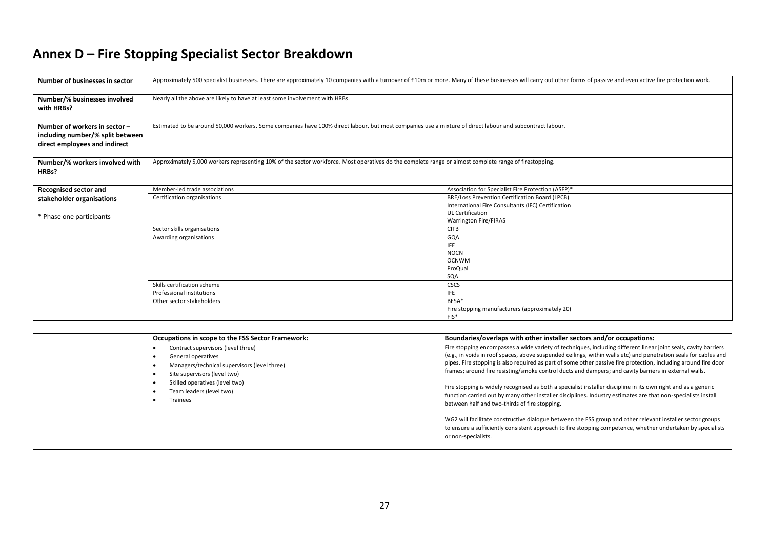## **Annex D – Fire Stopping Specialist Sector Breakdown**

<span id="page-26-0"></span>

| Number of businesses in sector   | Approximately 500 specialist businesses. There are approximately 10 companies with a turnover of £10m or more. Many of these businesses will carry out other forms of passive and even active fire protection work. |                                                                                                                  |  |  |
|----------------------------------|---------------------------------------------------------------------------------------------------------------------------------------------------------------------------------------------------------------------|------------------------------------------------------------------------------------------------------------------|--|--|
| Number/% businesses involved     | Nearly all the above are likely to have at least some involvement with HRBs.                                                                                                                                        |                                                                                                                  |  |  |
| with HRBs?                       |                                                                                                                                                                                                                     |                                                                                                                  |  |  |
|                                  |                                                                                                                                                                                                                     |                                                                                                                  |  |  |
| Number of workers in sector -    | Estimated to be around 50,000 workers. Some companies have 100% direct labour, but most companies use a mixture of direct labour and subcontract labour.                                                            |                                                                                                                  |  |  |
| including number/% split between |                                                                                                                                                                                                                     |                                                                                                                  |  |  |
| direct employees and indirect    |                                                                                                                                                                                                                     |                                                                                                                  |  |  |
|                                  |                                                                                                                                                                                                                     |                                                                                                                  |  |  |
| Number/% workers involved with   | Approximately 5,000 workers representing 10% of the sector workforce. Most operatives do the complete range or almost complete range of firestopping.                                                               |                                                                                                                  |  |  |
| HRBs?                            |                                                                                                                                                                                                                     |                                                                                                                  |  |  |
|                                  |                                                                                                                                                                                                                     |                                                                                                                  |  |  |
| Recognised sector and            | Member-led trade associations                                                                                                                                                                                       | Association for Specialist Fire Protection (ASFP)*                                                               |  |  |
| stakeholder organisations        | Certification organisations                                                                                                                                                                                         | BRE/Loss Prevention Certification Board (LPCB)                                                                   |  |  |
|                                  |                                                                                                                                                                                                                     | International Fire Consultants (IFC) Certification                                                               |  |  |
| * Phase one participants         |                                                                                                                                                                                                                     | UL Certification                                                                                                 |  |  |
|                                  |                                                                                                                                                                                                                     | <b>Warrington Fire/FIRAS</b>                                                                                     |  |  |
|                                  | Sector skills organisations                                                                                                                                                                                         | <b>CITB</b>                                                                                                      |  |  |
|                                  | Awarding organisations                                                                                                                                                                                              | GQA                                                                                                              |  |  |
|                                  |                                                                                                                                                                                                                     | <b>IFE</b>                                                                                                       |  |  |
|                                  |                                                                                                                                                                                                                     | <b>NOCN</b><br><b>OCNWM</b>                                                                                      |  |  |
|                                  |                                                                                                                                                                                                                     | ProQual                                                                                                          |  |  |
|                                  |                                                                                                                                                                                                                     | SQA                                                                                                              |  |  |
|                                  | Skills certification scheme                                                                                                                                                                                         | <b>CSCS</b>                                                                                                      |  |  |
|                                  | Professional institutions                                                                                                                                                                                           | <b>IFE</b>                                                                                                       |  |  |
|                                  | Other sector stakeholders                                                                                                                                                                                           | BESA*                                                                                                            |  |  |
|                                  |                                                                                                                                                                                                                     | Fire stopping manufacturers (approximately 20)                                                                   |  |  |
|                                  |                                                                                                                                                                                                                     | $FIS*$                                                                                                           |  |  |
|                                  |                                                                                                                                                                                                                     |                                                                                                                  |  |  |
|                                  | Occupations in scope to the FSS Sector Framework:                                                                                                                                                                   | Boundaries/overlaps with other installer sectors and/or occupations:                                             |  |  |
|                                  | Contract supervisors (level three)<br>$\bullet$                                                                                                                                                                     | Fire stopping encompasses a wide variety of techniques, including different linear joint seals, cavity barriers  |  |  |
|                                  | General operatives<br>$\bullet$                                                                                                                                                                                     | (e.g., in voids in roof spaces, above suspended ceilings, within walls etc) and penetration seals for cables and |  |  |
|                                  | Managers/technical supervisors (level three)<br>$\bullet$                                                                                                                                                           | pipes. Fire stopping is also required as part of some other passive fire protection, including around fire door  |  |  |
|                                  | Site supervisors (level two)<br>$\bullet$                                                                                                                                                                           | frames; around fire resisting/smoke control ducts and dampers; and cavity barriers in external walls.            |  |  |
|                                  | Skilled operatives (level two)                                                                                                                                                                                      |                                                                                                                  |  |  |
|                                  | Team leaders (level two)<br>$\bullet$                                                                                                                                                                               | Fire stopping is widely recognised as both a specialist installer discipline in its own right and as a generic   |  |  |
|                                  | Trainees<br>$\bullet$                                                                                                                                                                                               | function carried out by many other installer disciplines. Industry estimates are that non-specialists install    |  |  |
|                                  |                                                                                                                                                                                                                     | between half and two-thirds of fire stopping.                                                                    |  |  |
|                                  |                                                                                                                                                                                                                     | WG2 will facilitate constructive dialogue between the FSS group and other relevant installer sector groups       |  |  |
|                                  |                                                                                                                                                                                                                     | to ensure a sufficiently consistent approach to fire stopping competence, whether undertaken by specialists      |  |  |
|                                  |                                                                                                                                                                                                                     |                                                                                                                  |  |  |

or non-specialists.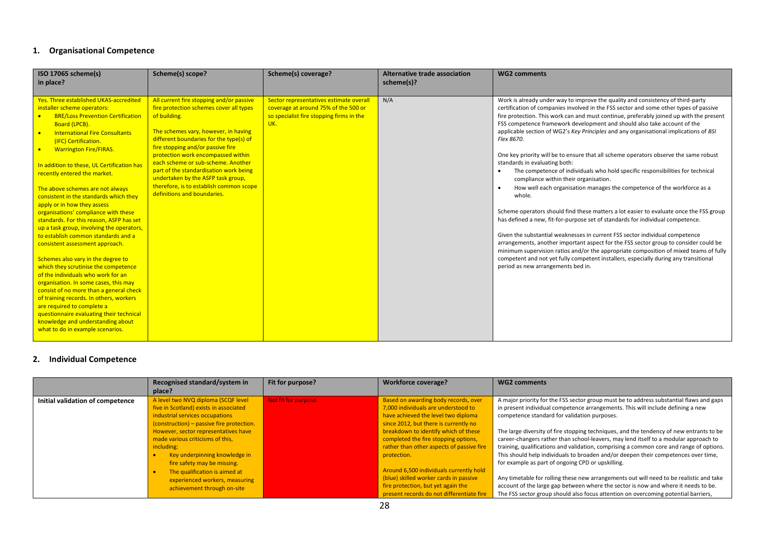#### **1. Organisational Competence**

| ISO 17065 scheme(s)<br>in place?                                                                                                                                                                                                                                                                                                                                                                                                                                                                                                                                                                                                                                                                                                                                                                                                                                                                                                                                                                                                                                                        | Scheme(s) scope?                                                                                                                                                                                                                                                                                                                                                                                                                                                  | Scheme(s) coverage?                                                                                                                | Alternative trade association<br>scheme(s)? | <b>WG2 comments</b>                                                                                                                                                                                                                                                                                                                                                                                                                                                                                                                                                                                                                                                                                                                                                                                                                                                                                                                                                                                                                                                                                                                                                                                                                                                                                                                                                        |
|-----------------------------------------------------------------------------------------------------------------------------------------------------------------------------------------------------------------------------------------------------------------------------------------------------------------------------------------------------------------------------------------------------------------------------------------------------------------------------------------------------------------------------------------------------------------------------------------------------------------------------------------------------------------------------------------------------------------------------------------------------------------------------------------------------------------------------------------------------------------------------------------------------------------------------------------------------------------------------------------------------------------------------------------------------------------------------------------|-------------------------------------------------------------------------------------------------------------------------------------------------------------------------------------------------------------------------------------------------------------------------------------------------------------------------------------------------------------------------------------------------------------------------------------------------------------------|------------------------------------------------------------------------------------------------------------------------------------|---------------------------------------------|----------------------------------------------------------------------------------------------------------------------------------------------------------------------------------------------------------------------------------------------------------------------------------------------------------------------------------------------------------------------------------------------------------------------------------------------------------------------------------------------------------------------------------------------------------------------------------------------------------------------------------------------------------------------------------------------------------------------------------------------------------------------------------------------------------------------------------------------------------------------------------------------------------------------------------------------------------------------------------------------------------------------------------------------------------------------------------------------------------------------------------------------------------------------------------------------------------------------------------------------------------------------------------------------------------------------------------------------------------------------------|
| Yes. Three established UKAS-accredited<br>installer scheme operators:<br><b>BRE/Loss Prevention Certification</b><br>$\bullet$<br>Board (LPCB).<br>$\bullet$<br><b>International Fire Consultants</b><br>(IFC) Certification.<br><b>Warrington Fire/FIRAS.</b><br>$\bullet$<br>In addition to these, UL Certification has<br>recently entered the market.<br>The above schemes are not always<br>consistent in the standards which they<br>apply or in how they assess<br>organisations' compliance with these<br>standards. For this reason, ASFP has set<br>up a task group, involving the operators,<br>to establish common standards and a<br>consistent assessment approach.<br>Schemes also vary in the degree to<br>which they scrutinise the competence<br>of the individuals who work for an<br>organisation. In some cases, this may<br>consist of no more than a general check<br>of training records. In others, workers<br>are required to complete a<br>questionnaire evaluating their technical<br>knowledge and understanding about<br>what to do in example scenarios. | All current fire stopping and/or passive<br>fire protection schemes cover all types<br>of building.<br>The schemes vary, however, in having<br>different boundaries for the type(s) of<br>fire stopping and/or passive fire<br>protection work encompassed within<br>each scheme or sub-scheme. Another<br>part of the standardisation work being<br>undertaken by the ASFP task group,<br>therefore, is to establish common scope<br>definitions and boundaries. | Sector representatives estimate overall<br>coverage at around 75% of the 500 or<br>so specialist fire stopping firms in the<br>UK. | N/A                                         | Work is already under way to improve the quality and consistency of third-party<br>certification of companies involved in the FSS sector and some other types of passive<br>fire protection. This work can and must continue, preferably joined up with the present<br>FSS competence framework development and should also take account of the<br>applicable section of WG2's Key Principles and any organisational implications of BSI<br>Flex 8670.<br>One key priority will be to ensure that all scheme operators observe the same robust<br>standards in evaluating both:<br>The competence of individuals who hold specific responsibilities for technical<br>compliance within their organisation.<br>How well each organisation manages the competence of the workforce as a<br>whole.<br>Scheme operators should find these matters a lot easier to evaluate once the FSS group<br>has defined a new, fit-for-purpose set of standards for individual competence.<br>Given the substantial weaknesses in current FSS sector individual competence<br>arrangements, another important aspect for the FSS sector group to consider could be<br>minimum supervision ratios and/or the appropriate composition of mixed teams of fully<br>competent and not yet fully competent installers, especially during any transitional<br>period as new arrangements bed in. |

#### **2. Individual Competence**

|                                  | Recognised standard/system in             | Fit for purpose?     | Workforce coverage?                       | <b>WG2 comments</b>                                                                     |
|----------------------------------|-------------------------------------------|----------------------|-------------------------------------------|-----------------------------------------------------------------------------------------|
|                                  | place?                                    |                      |                                           |                                                                                         |
| Initial validation of competence | A level two NVQ diploma (SCQF level       | Not fit for purpose. | Based on awarding body records, over      | A major priority for the FSS sector group must be to address substantial flaws and gaps |
|                                  | five in Scotland) exists in associated    |                      | 7,000 individuals are understood to       | in present individual competence arrangements. This will include defining a new         |
|                                  | industrial services occupations           |                      | have achieved the level two diploma       | competence standard for validation purposes.                                            |
|                                  | (construction) – passive fire protection. |                      | since 2012, but there is currently no     |                                                                                         |
|                                  | However, sector representatives have      |                      | breakdown to identify which of these      | The large diversity of fire stopping techniques, and the tendency of new entrants to be |
|                                  | made various criticisms of this,          |                      | completed the fire stopping options,      | career-changers rather than school-leavers, may lend itself to a modular approach to    |
|                                  | including:                                |                      | rather than other aspects of passive fire | training, qualifications and validation, comprising a common core and range of options. |
|                                  | Key underpinning knowledge in             |                      | protection.                               | This should help individuals to broaden and/or deepen their competences over time,      |
|                                  | fire safety may be missing.               |                      |                                           | for example as part of ongoing CPD or upskilling.                                       |
|                                  | The qualification is aimed at             |                      | Around 6,500 individuals currently hold   |                                                                                         |
|                                  | experienced workers, measuring            |                      | (blue) skilled worker cards in passive    | Any timetable for rolling these new arrangements out will need to be realistic and take |
|                                  | achievement through on-site               |                      | fire protection, but yet again the        | account of the large gap between where the sector is now and where it needs to be.      |
|                                  |                                           |                      | present records do not differentiate fire | The FSS sector group should also focus attention on overcoming potential barriers,      |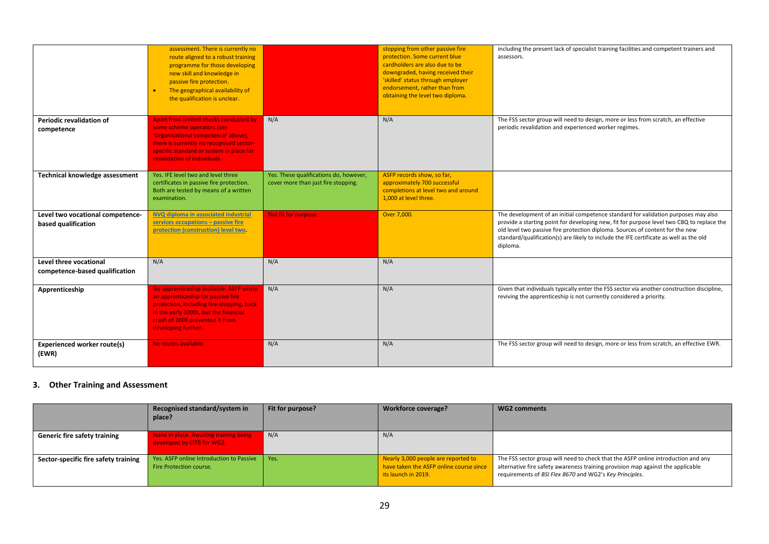|                                                          | assessment. There is currently no<br>route aligned to a robust training<br>programme for those developing<br>new skill and knowledge in<br>passive fire protection.<br>The geographical availability of<br>$\bullet$<br>the qualification is unclear. |                                                                               | stopping from other passive fire<br>protection. Some current blue<br>cardholders are also due to be<br>downgraded, having received their<br>'skilled' status through employer<br>endorsement, rather than from<br>obtaining the level two diploma. | including the present lack of specialist training facilities and competent trainers and<br>assessors.                                                                                                                                                                                                                                                                  |
|----------------------------------------------------------|-------------------------------------------------------------------------------------------------------------------------------------------------------------------------------------------------------------------------------------------------------|-------------------------------------------------------------------------------|----------------------------------------------------------------------------------------------------------------------------------------------------------------------------------------------------------------------------------------------------|------------------------------------------------------------------------------------------------------------------------------------------------------------------------------------------------------------------------------------------------------------------------------------------------------------------------------------------------------------------------|
| Periodic revalidation of<br>competence                   | Apart from limited checks conducted by<br>some scheme operators (see<br>'Organisational competence' above),<br>there is currently no recognised sector-<br>specific standard or system in place for<br>revalidation of individuals.                   | N/A                                                                           | N/A                                                                                                                                                                                                                                                | The FSS sector group will need to design, more or less from scratch, an effective<br>periodic revalidation and experienced worker regimes.                                                                                                                                                                                                                             |
| <b>Technical knowledge assessment</b>                    | Yes. IFE level two and level three<br>certificates in passive fire protection.<br>Both are tested by means of a written<br>examination.                                                                                                               | Yes. These qualifications do, however,<br>cover more than just fire stopping. | ASFP records show, so far.<br>approximately 700 successful<br>completions at level two and around<br>1.000 at level three.                                                                                                                         |                                                                                                                                                                                                                                                                                                                                                                        |
| Level two vocational competence-<br>based qualification  | NVQ diploma in associated industrial<br>services occupations - passive fire<br>protection (construction) level two.                                                                                                                                   | Not fit for purpose.                                                          | Over 7,000.                                                                                                                                                                                                                                        | The development of an initial competence standard for validation purposes may also<br>provide a starting point for developing new, fit for purpose level two CBQ to replace the<br>old level two passive fire protection diploma. Sources of content for the new<br>standard/qualification(s) are likely to include the IFE certificate as well as the old<br>diploma. |
| Level three vocational<br>competence-based qualification | N/A                                                                                                                                                                                                                                                   | N/A                                                                           | N/A                                                                                                                                                                                                                                                |                                                                                                                                                                                                                                                                                                                                                                        |
| Apprenticeship                                           | No apprenticeship available. ASFP wrote<br>an apprenticeship for passive fire<br>protection, including fire-stopping, back<br>in the early 2000s, but the financial<br>crash of 2008 prevented it from<br>developing further.                         | N/A                                                                           | N/A                                                                                                                                                                                                                                                | Given that individuals typically enter the FSS sector via another construction discipline,<br>reviving the apprenticeship is not currently considered a priority.                                                                                                                                                                                                      |
| <b>Experienced worker route(s)</b><br>(EWR)              | No routes available.                                                                                                                                                                                                                                  | N/A                                                                           | N/A                                                                                                                                                                                                                                                | The FSS sector group will need to design, more or less from scratch, an effective EWR.                                                                                                                                                                                                                                                                                 |

#### **3. Other Training and Assessment**

|                                      | Recognised standard/system in<br>place?                              | Fit for purpose? | Workforce coverage?                                                                                   | <b>WG2 comments</b>                                                                                                                                                                                                             |
|--------------------------------------|----------------------------------------------------------------------|------------------|-------------------------------------------------------------------------------------------------------|---------------------------------------------------------------------------------------------------------------------------------------------------------------------------------------------------------------------------------|
| <b>Generic fire safety training</b>  | None in place. Awaiting training being<br>developed by CITB for WG2. | N/A              | N/A                                                                                                   |                                                                                                                                                                                                                                 |
| Sector-specific fire safety training | Yes. ASFP online Introduction to Passive<br>Fire Protection course.  | Yes.             | Nearly 3,000 people are reported to<br>have taken the ASFP online course since<br>its launch in 2019. | The FSS sector group will need to check that the ASFP online introduction and any<br>alternative fire safety awareness training provision map against the applicable<br>requirements of BSI Flex 8670 and WG2's Key Principles. |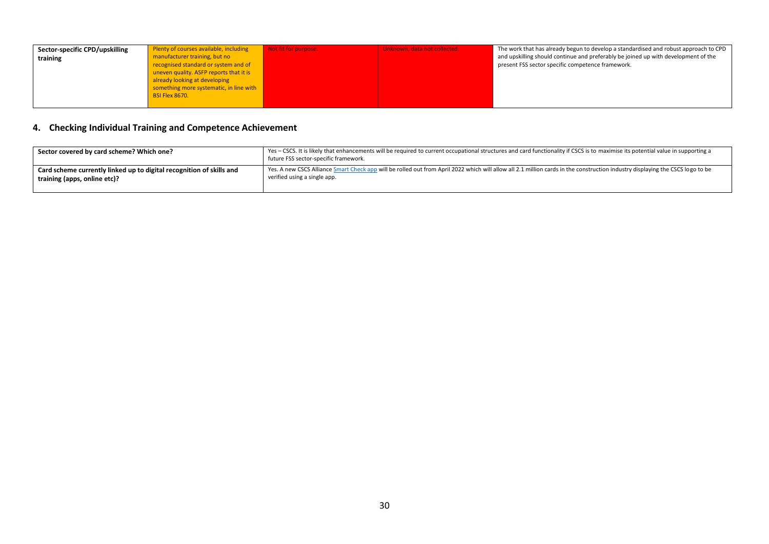| Sector-specific CPD/upskilling | Plenty of courses available, including  | Not fit for purpose. | Unknown, data not collected. | The work that has already begun to develop a standardised and robust approach to CPD |
|--------------------------------|-----------------------------------------|----------------------|------------------------------|--------------------------------------------------------------------------------------|
| training                       | manufacturer training, but no           |                      |                              | and upskilling should continue and preferably be joined up with development of the   |
|                                | recognised standard or system and of    |                      |                              | present FSS sector specific competence framework.                                    |
|                                | uneven quality. ASFP reports that it is |                      |                              |                                                                                      |
|                                | already looking at developing           |                      |                              |                                                                                      |
|                                | something more systematic, in line with |                      |                              |                                                                                      |
|                                | <b>BSI Flex 8670.</b>                   |                      |                              |                                                                                      |
|                                |                                         |                      |                              |                                                                                      |

### **4. Checking Individual Training and Competence Achievement**

| Sector covered by card scheme? Which one?                            | Yes - CSCS. It is likely that enhancements will be required to current occupational structures and card functionality if CSCS is to maximise its potential value in supporting a<br>future FSS sector-specific framework. |
|----------------------------------------------------------------------|---------------------------------------------------------------------------------------------------------------------------------------------------------------------------------------------------------------------------|
| Card scheme currently linked up to digital recognition of skills and | Yes. A new CSCS Alliance Smart Check app will be rolled out from April 2022 which will allow all 2.1 million cards in the construction industry displaying the CSCS logo to be                                            |
| training (apps, online etc)?                                         | verified using a single app.                                                                                                                                                                                              |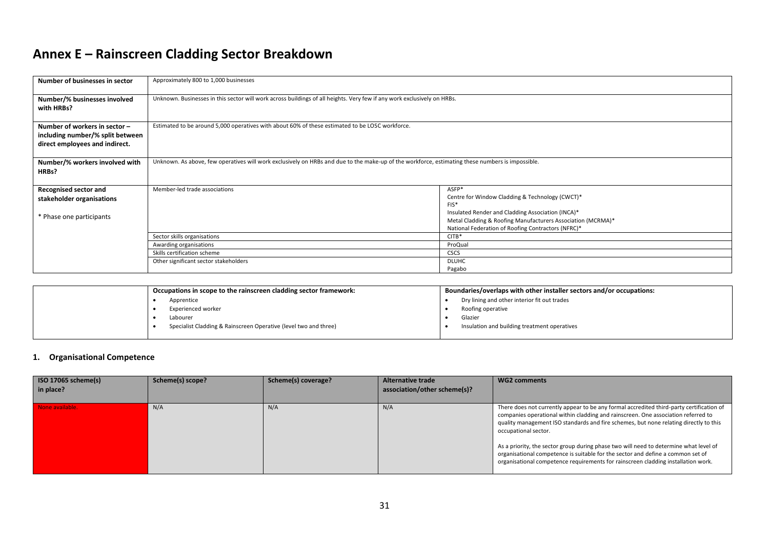## **Annex E – Rainscreen Cladding Sector Breakdown**

| Number of businesses in sector   | Approximately 800 to 1,000 businesses                                                                                                            |                                                             |  |  |  |
|----------------------------------|--------------------------------------------------------------------------------------------------------------------------------------------------|-------------------------------------------------------------|--|--|--|
|                                  |                                                                                                                                                  |                                                             |  |  |  |
| Number/% businesses involved     | Unknown. Businesses in this sector will work across buildings of all heights. Very few if any work exclusively on HRBs.                          |                                                             |  |  |  |
| with HRBs?                       |                                                                                                                                                  |                                                             |  |  |  |
|                                  |                                                                                                                                                  |                                                             |  |  |  |
| Number of workers in sector -    | Estimated to be around 5,000 operatives with about 60% of these estimated to be LOSC workforce.                                                  |                                                             |  |  |  |
| including number/% split between |                                                                                                                                                  |                                                             |  |  |  |
| direct employees and indirect.   |                                                                                                                                                  |                                                             |  |  |  |
|                                  |                                                                                                                                                  |                                                             |  |  |  |
|                                  |                                                                                                                                                  |                                                             |  |  |  |
| Number/% workers involved with   | Unknown. As above, few operatives will work exclusively on HRBs and due to the make-up of the workforce, estimating these numbers is impossible. |                                                             |  |  |  |
| HRBs?                            |                                                                                                                                                  |                                                             |  |  |  |
|                                  |                                                                                                                                                  |                                                             |  |  |  |
| <b>Recognised sector and</b>     | ASFP*<br>Member-led trade associations                                                                                                           |                                                             |  |  |  |
| stakeholder organisations        |                                                                                                                                                  | Centre for Window Cladding & Technology (CWCT)*             |  |  |  |
|                                  |                                                                                                                                                  | $FIS*$                                                      |  |  |  |
|                                  |                                                                                                                                                  | Insulated Render and Cladding Association (INCA)*           |  |  |  |
| * Phase one participants         |                                                                                                                                                  | Metal Cladding & Roofing Manufacturers Association (MCRMA)* |  |  |  |
|                                  | National Federation of Roofing Contractors (NFRC)*                                                                                               |                                                             |  |  |  |
|                                  | $CITE*$<br>Sector skills organisations                                                                                                           |                                                             |  |  |  |
|                                  | ProQual<br>Awarding organisations                                                                                                                |                                                             |  |  |  |
|                                  | Skills certification scheme                                                                                                                      | <b>CSCS</b>                                                 |  |  |  |
|                                  | Other significant sector stakeholders                                                                                                            | <b>DLUHC</b>                                                |  |  |  |
|                                  |                                                                                                                                                  | Pagabo                                                      |  |  |  |

<span id="page-30-0"></span>

| Occupations in scope to the rainscreen cladding sector framework: | Boundaries/overlaps with other installer sectors and/or occupations: |  |  |
|-------------------------------------------------------------------|----------------------------------------------------------------------|--|--|
| Apprentice                                                        | Dry lining and other interior fit out trades                         |  |  |
| Experienced worker                                                | Roofing operative                                                    |  |  |
| Labourer                                                          | Glazier                                                              |  |  |
| Specialist Cladding & Rainscreen Operative (level two and three)  | Insulation and building treatment operatives                         |  |  |
|                                                                   |                                                                      |  |  |

#### **1. Organisational Competence**

| ISO 17065 scheme(s)<br>in place? | Scheme(s) scope? | Scheme(s) coverage? | <b>Alternative trade</b><br>association/other scheme(s)? | <b>WG2 comments</b>                                                                                                                                                                                                                                                                                                                                                                                                                                                                                                                                             |
|----------------------------------|------------------|---------------------|----------------------------------------------------------|-----------------------------------------------------------------------------------------------------------------------------------------------------------------------------------------------------------------------------------------------------------------------------------------------------------------------------------------------------------------------------------------------------------------------------------------------------------------------------------------------------------------------------------------------------------------|
| None available.                  | N/A              | N/A                 | N/A                                                      | There does not currently appear to be any formal accredited third-party certification of<br>companies operational within cladding and rainscreen. One association referred to<br>quality management ISO standards and fire schemes, but none relating directly to this<br>occupational sector.<br>As a priority, the sector group during phase two will need to determine what level of<br>organisational competence is suitable for the sector and define a common set of<br>organisational competence requirements for rainscreen cladding installation work. |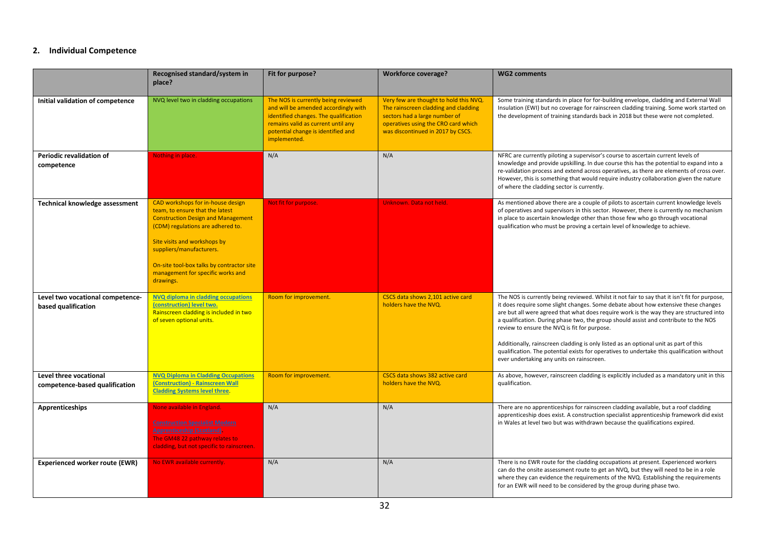#### **2. Individual Competence**

|                                                          | Recognised standard/system in<br>place?                                                                                                                                                                                                                                                                           | Fit for purpose?                                                                                                                                                                                                 | <b>Workforce coverage?</b>                                                                                                                                                                  | <b>WG2 comments</b>                                                                                                                                                                                                                                                                                                                                                                                                                                                                                                                                                                                                                                       |
|----------------------------------------------------------|-------------------------------------------------------------------------------------------------------------------------------------------------------------------------------------------------------------------------------------------------------------------------------------------------------------------|------------------------------------------------------------------------------------------------------------------------------------------------------------------------------------------------------------------|---------------------------------------------------------------------------------------------------------------------------------------------------------------------------------------------|-----------------------------------------------------------------------------------------------------------------------------------------------------------------------------------------------------------------------------------------------------------------------------------------------------------------------------------------------------------------------------------------------------------------------------------------------------------------------------------------------------------------------------------------------------------------------------------------------------------------------------------------------------------|
| Initial validation of competence                         | NVQ level two in cladding occupations                                                                                                                                                                                                                                                                             | The NOS is currently being reviewed<br>and will be amended accordingly with<br>identified changes. The qualification<br>remains valid as current until any<br>potential change is identified and<br>implemented. | Very few are thought to hold this NVQ.<br>The rainscreen cladding and cladding<br>sectors had a large number of<br>operatives using the CRO card which<br>was discontinued in 2017 by CSCS. | Some training standards in place for for-building envelope, cladding and External Wall<br>Insulation (EWI) but no coverage for rainscreen cladding training. Some work started on<br>the development of training standards back in 2018 but these were not completed.                                                                                                                                                                                                                                                                                                                                                                                     |
| Periodic revalidation of<br>competence                   | Nothing in place.                                                                                                                                                                                                                                                                                                 | N/A                                                                                                                                                                                                              | N/A                                                                                                                                                                                         | NFRC are currently piloting a supervisor's course to ascertain current levels of<br>knowledge and provide upskilling. In due course this has the potential to expand into a<br>re-validation process and extend across operatives, as there are elements of cross over.<br>However, this is something that would require industry collaboration given the nature<br>of where the cladding sector is currently.                                                                                                                                                                                                                                            |
| <b>Technical knowledge assessment</b>                    | CAD workshops for in-house design<br>team, to ensure that the latest<br><b>Construction Design and Management</b><br>(CDM) regulations are adhered to.<br>Site visits and workshops by<br>suppliers/manufacturers.<br>On-site tool-box talks by contractor site<br>management for specific works and<br>drawings. | Not fit for purpose.                                                                                                                                                                                             | Unknown. Data not held.                                                                                                                                                                     | As mentioned above there are a couple of pilots to ascertain current knowledge levels<br>of operatives and supervisors in this sector. However, there is currently no mechanism<br>in place to ascertain knowledge other than those few who go through vocational<br>qualification who must be proving a certain level of knowledge to achieve.                                                                                                                                                                                                                                                                                                           |
| Level two vocational competence-<br>based qualification  | <b>NVQ diploma in cladding occupations</b><br>(construction) level two.<br>Rainscreen cladding is included in two<br>of seven optional units.                                                                                                                                                                     | Room for improvement.                                                                                                                                                                                            | CSCS data shows 2,101 active card<br>holders have the NVQ.                                                                                                                                  | The NOS is currently being reviewed. Whilst it not fair to say that it isn't fit for purpose,<br>it does require some slight changes. Some debate about how extensive these changes<br>are but all were agreed that what does require work is the way they are structured into<br>a qualification. During phase two, the group should assist and contribute to the NOS<br>review to ensure the NVQ is fit for purpose.<br>Additionally, rainscreen cladding is only listed as an optional unit as part of this<br>qualification. The potential exists for operatives to undertake this qualification without<br>ever undertaking any units on rainscreen. |
| Level three vocational<br>competence-based qualification | <b>NVQ Diploma in Cladding Occupations</b><br>(Construction) - Rainscreen Wall<br><b>Cladding Systems level three.</b>                                                                                                                                                                                            | Room for improvement.                                                                                                                                                                                            | CSCS data shows 382 active card<br>holders have the NVQ.                                                                                                                                    | As above, however, rainscreen cladding is explicitly included as a mandatory unit in this<br>qualification.                                                                                                                                                                                                                                                                                                                                                                                                                                                                                                                                               |
| Apprenticeships                                          | None available in England.<br><b>Construction Specialist Modern</b><br><b>Apprenticeship (Scotland)</b><br>The GM48 22 pathway relates to<br>cladding, but not specific to rainscreen.                                                                                                                            | N/A                                                                                                                                                                                                              | N/A                                                                                                                                                                                         | There are no apprenticeships for rainscreen cladding available, but a roof cladding<br>apprenticeship does exist. A construction specialist apprenticeship framework did exist<br>in Wales at level two but was withdrawn because the qualifications expired.                                                                                                                                                                                                                                                                                                                                                                                             |
| <b>Experienced worker route (EWR)</b>                    | No EWR available currently.                                                                                                                                                                                                                                                                                       | N/A                                                                                                                                                                                                              | N/A                                                                                                                                                                                         | There is no EWR route for the cladding occupations at present. Experienced workers<br>can do the onsite assessment route to get an NVQ, but they will need to be in a role<br>where they can evidence the requirements of the NVQ. Establishing the requirements<br>for an EWR will need to be considered by the group during phase two.                                                                                                                                                                                                                                                                                                                  |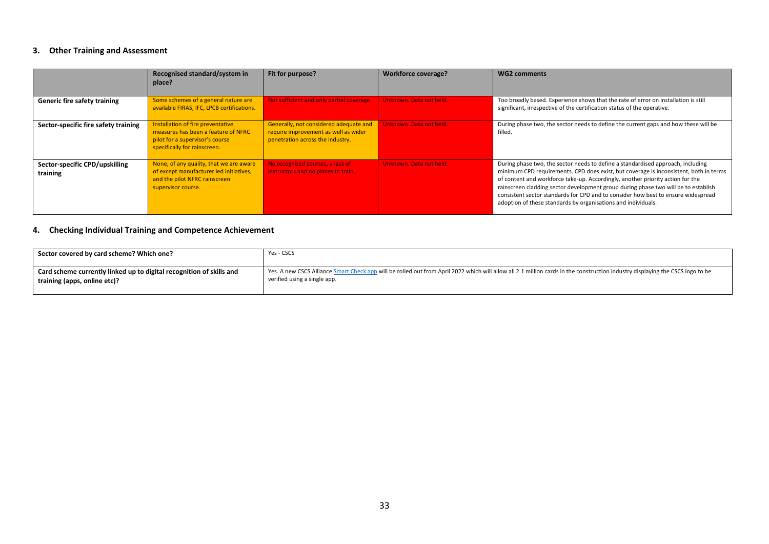#### **3. Other Training and Assessment**

|                                            | Recognised standard/system in<br>place?                                                                                                     | Fit for purpose?                                                                                                   | Workforce coverage?     | <b>WG2 comments</b>                                                                                                                                                                                                                                                                                                                                                                                                                                                                                    |
|--------------------------------------------|---------------------------------------------------------------------------------------------------------------------------------------------|--------------------------------------------------------------------------------------------------------------------|-------------------------|--------------------------------------------------------------------------------------------------------------------------------------------------------------------------------------------------------------------------------------------------------------------------------------------------------------------------------------------------------------------------------------------------------------------------------------------------------------------------------------------------------|
| <b>Generic fire safety training</b>        | Some schemes of a general nature are<br>available FIRAS, IFC, LPCB certifications.                                                          | Not sufficient and only partial coverage.                                                                          | Unknown. Data not held. | Too broadly based. Experience shows that the rate of error on installation is still<br>significant, irrespective of the certification status of the operative.                                                                                                                                                                                                                                                                                                                                         |
| Sector-specific fire safety training       | Installation of fire preventative<br>measures has been a feature of NFRC<br>pilot for a supervisor's course<br>specifically for rainscreen. | Generally, not considered adequate and<br>require improvement as well as wider<br>penetration across the industry. | Unknown. Data not held. | During phase two, the sector needs to define the current gaps and how these will be<br>filled.                                                                                                                                                                                                                                                                                                                                                                                                         |
| Sector-specific CPD/upskilling<br>training | None, of any quality, that we are aware<br>of except manufacturer led initiatives,<br>and the pilot NFRC rainscreen<br>supervisor course.   | No recognised courses, a lack of<br>instructors and no places to train.                                            | Unknown. Data not held. | During phase two, the sector needs to define a standardised approach, including<br>minimum CPD requirements. CPD does exist, but coverage is inconsistent, both in terms<br>of content and workforce take-up. Accordingly, another priority action for the<br>rainscreen cladding sector development group during phase two will be to establish<br>consistent sector standards for CPD and to consider how best to ensure widespread<br>adoption of these standards by organisations and individuals. |

### **4. Checking Individual Training and Competence Achievement**

| Sector covered by card scheme? Which one?                                                            | Yes - CSCS                                                                                                                                                                                                     |
|------------------------------------------------------------------------------------------------------|----------------------------------------------------------------------------------------------------------------------------------------------------------------------------------------------------------------|
|                                                                                                      |                                                                                                                                                                                                                |
| Card scheme currently linked up to digital recognition of skills and<br>training (apps, online etc)? | Yes. A new CSCS Alliance Smart Check app will be rolled out from April 2022 which will allow all 2.1 million cards in the construction industry displaying the CSCS logo to be<br>verified using a single app. |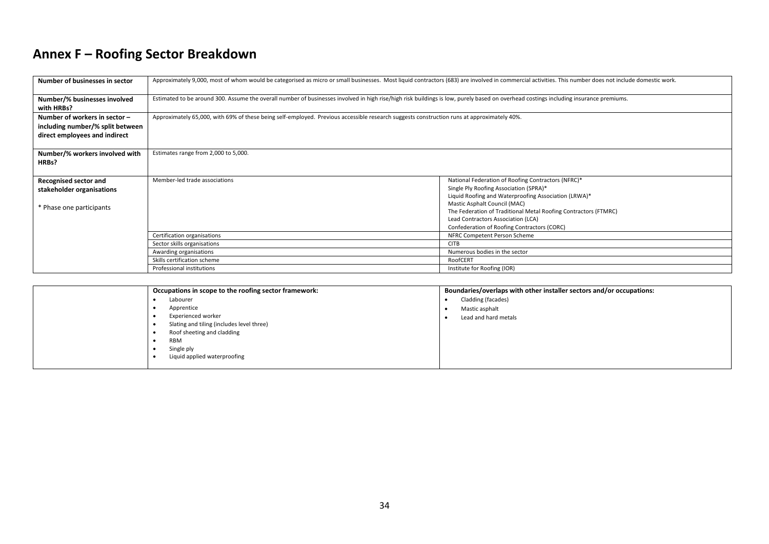## **Annex F – Roofing Sector Breakdown**

| Number of businesses in sector                                                                     | Approximately 9,000, most of whom would be categorised as micro or small businesses. Most liquid contractors (683) are involved in commercial activities. This number does not include domestic work. |                                                                                                                                                                                                                                                                                                                                              |  |
|----------------------------------------------------------------------------------------------------|-------------------------------------------------------------------------------------------------------------------------------------------------------------------------------------------------------|----------------------------------------------------------------------------------------------------------------------------------------------------------------------------------------------------------------------------------------------------------------------------------------------------------------------------------------------|--|
| Number/% businesses involved<br>with HRBs?                                                         | Estimated to be around 300. Assume the overall number of businesses involved in high rise/high risk buildings is low, purely based on overhead costings including insurance premiums.                 |                                                                                                                                                                                                                                                                                                                                              |  |
| Number of workers in sector -<br>including number/% split between<br>direct employees and indirect | Approximately 65,000, with 69% of these being self-employed. Previous accessible research suggests construction runs at approximately 40%.                                                            |                                                                                                                                                                                                                                                                                                                                              |  |
| Number/% workers involved with<br>HRBs?                                                            | Estimates range from 2,000 to 5,000.                                                                                                                                                                  |                                                                                                                                                                                                                                                                                                                                              |  |
| Recognised sector and<br>stakeholder organisations<br>* Phase one participants                     | Member-led trade associations                                                                                                                                                                         | National Federation of Roofing Contractors (NFRC)*<br>Single Ply Roofing Association (SPRA)*<br>Liquid Roofing and Waterproofing Association (LRWA)*<br>Mastic Asphalt Council (MAC)<br>The Federation of Traditional Metal Roofing Contractors (FTMRC)<br>Lead Contractors Association (LCA)<br>Confederation of Roofing Contractors (CORC) |  |
|                                                                                                    | Certification organisations                                                                                                                                                                           | NFRC Competent Person Scheme                                                                                                                                                                                                                                                                                                                 |  |
|                                                                                                    | Sector skills organisations                                                                                                                                                                           | <b>CITB</b>                                                                                                                                                                                                                                                                                                                                  |  |
|                                                                                                    | Awarding organisations                                                                                                                                                                                | Numerous bodies in the sector                                                                                                                                                                                                                                                                                                                |  |
|                                                                                                    | Skills certification scheme                                                                                                                                                                           | RoofCERT                                                                                                                                                                                                                                                                                                                                     |  |
|                                                                                                    | Professional institutions                                                                                                                                                                             | Institute for Roofing (IOR)                                                                                                                                                                                                                                                                                                                  |  |

<span id="page-33-0"></span>

| Occupations in scope to the roofing sector framework: | Boundaries/overlaps with other installer sectors and/or occupations: |
|-------------------------------------------------------|----------------------------------------------------------------------|
| Labourer                                              | Cladding (facades)                                                   |
| Apprentice                                            | Mastic asphalt                                                       |
| Experienced worker                                    | Lead and hard metals                                                 |
| Slating and tiling (includes level three)             |                                                                      |
| Roof sheeting and cladding                            |                                                                      |
| <b>RBM</b>                                            |                                                                      |
| Single ply                                            |                                                                      |
| Liquid applied waterproofing                          |                                                                      |
|                                                       |                                                                      |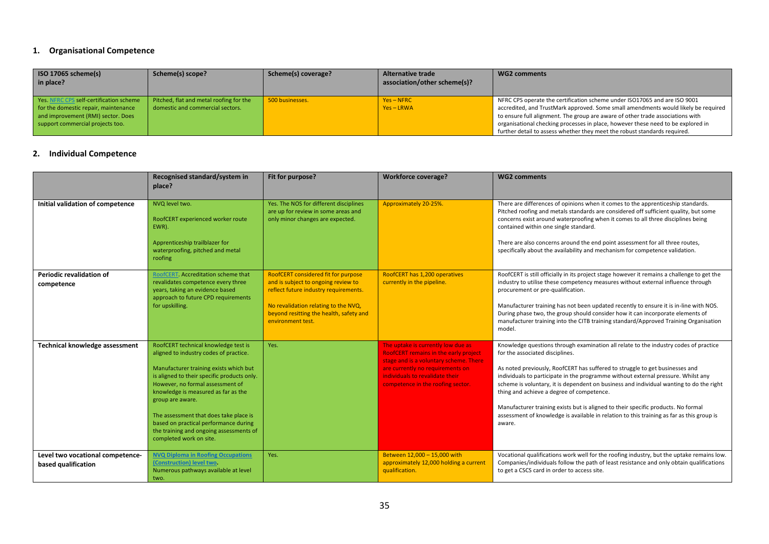#### **1. Organisational Competence**

| ISO 17065 scheme(s)<br>in place?                                                                                                                          | Scheme(s) scope?                                                            | Scheme(s) coverage? | Alternative trade<br>association/other scheme(s)? | WG2 comments                                                                                                                                                                                                                                                                                                                          |
|-----------------------------------------------------------------------------------------------------------------------------------------------------------|-----------------------------------------------------------------------------|---------------------|---------------------------------------------------|---------------------------------------------------------------------------------------------------------------------------------------------------------------------------------------------------------------------------------------------------------------------------------------------------------------------------------------|
| Yes. NFRC CPS self-certification scheme<br>for the domestic repair, maintenance<br>and improvement (RMI) sector. Does<br>support commercial projects too. | Pitched, flat and metal roofing for the<br>domestic and commercial sectors. | 500 businesses.     | $Yes - NFRC$<br>$Yes - LRWA$                      | NFRC CPS operate the certification scheme under ISO17065 and are ISO 9001<br>accredited, and TrustMark approved. Some small amendments would likely be required<br>to ensure full alignment. The group are aware of other trade associations with<br>organisational checking processes in place, however these need to be explored in |
|                                                                                                                                                           |                                                                             |                     |                                                   | further detail to assess whether they meet the robust standards required.                                                                                                                                                                                                                                                             |

#### **2. Individual Competence**

|                                                         | Recognised standard/system in<br>place?                                                                                                                                                                                                                                                                                                                                                                                         | Fit for purpose?                                                                                                                                                                                                            | <b>Workforce coverage?</b>                                                                                                                                                                                                               | <b>WG2 comments</b>                                                                                                                                                                                                                                                                                                                                                                                                                                                                                                                                                                                                              |
|---------------------------------------------------------|---------------------------------------------------------------------------------------------------------------------------------------------------------------------------------------------------------------------------------------------------------------------------------------------------------------------------------------------------------------------------------------------------------------------------------|-----------------------------------------------------------------------------------------------------------------------------------------------------------------------------------------------------------------------------|------------------------------------------------------------------------------------------------------------------------------------------------------------------------------------------------------------------------------------------|----------------------------------------------------------------------------------------------------------------------------------------------------------------------------------------------------------------------------------------------------------------------------------------------------------------------------------------------------------------------------------------------------------------------------------------------------------------------------------------------------------------------------------------------------------------------------------------------------------------------------------|
| Initial validation of competence                        | NVQ level two.<br>RoofCERT experienced worker route<br>EWR).<br>Apprenticeship trailblazer for<br>waterproofing, pitched and metal<br>roofing                                                                                                                                                                                                                                                                                   | Yes. The NOS for different disciplines<br>are up for review in some areas and<br>only minor changes are expected.                                                                                                           | Approximately 20-25%.                                                                                                                                                                                                                    | There are differences of opinions when it comes to the apprenticeship standards.<br>Pitched roofing and metals standards are considered off sufficient quality, but some<br>concerns exist around waterproofing when it comes to all three disciplines being<br>contained within one single standard.<br>There are also concerns around the end point assessment for all three routes,<br>specifically about the availability and mechanism for competence validation.                                                                                                                                                           |
| Periodic revalidation of<br>competence                  | RoofCERT Accreditation scheme that<br>revalidates competence every three<br>years, taking an evidence based<br>approach to future CPD requirements<br>for upskilling.                                                                                                                                                                                                                                                           | RoofCERT considered fit for purpose<br>and is subject to ongoing review to<br>reflect future industry requirements.<br>No revalidation relating to the NVQ,<br>beyond resitting the health, safety and<br>environment test. | RoofCERT has 1,200 operatives<br>currently in the pipeline.                                                                                                                                                                              | RoofCERT is still officially in its project stage however it remains a challenge to get the<br>industry to utilise these competency measures without external influence through<br>procurement or pre-qualification.<br>Manufacturer training has not been updated recently to ensure it is in-line with NOS.<br>During phase two, the group should consider how it can incorporate elements of<br>manufacturer training into the CITB training standard/Approved Training Organisation<br>model.                                                                                                                                |
| <b>Technical knowledge assessment</b>                   | RoofCERT technical knowledge test is<br>aligned to industry codes of practice.<br>Manufacturer training exists which but<br>is aligned to their specific products only.<br>However, no formal assessment of<br>knowledge is measured as far as the<br>group are aware.<br>The assessment that does take place is<br>based on practical performance during<br>the training and ongoing assessments of<br>completed work on site. | Yes.                                                                                                                                                                                                                        | The uptake is currently low due as<br><b>RoofCERT</b> remains in the early project<br>stage and is a voluntary scheme. There<br>are currently no requirements on<br>individuals to revalidate their<br>competence in the roofing sector. | Knowledge questions through examination all relate to the industry codes of practice<br>for the associated disciplines.<br>As noted previously, RoofCERT has suffered to struggle to get businesses and<br>individuals to participate in the programme without external pressure. Whilst any<br>scheme is voluntary, it is dependent on business and individual wanting to do the right<br>thing and achieve a degree of competence.<br>Manufacturer training exists but is aligned to their specific products. No formal<br>assessment of knowledge is available in relation to this training as far as this group is<br>aware. |
| Level two vocational competence-<br>based qualification | <b>NVQ Diploma in Roofing Occupations</b><br>(Construction) level two.<br>Numerous pathways available at level<br>two.                                                                                                                                                                                                                                                                                                          | Yes.                                                                                                                                                                                                                        | Between 12,000 - 15,000 with<br>approximately 12,000 holding a current<br>qualification.                                                                                                                                                 | Vocational qualifications work well for the roofing industry, but the uptake remains low.<br>Companies/individuals follow the path of least resistance and only obtain qualifications<br>to get a CSCS card in order to access site.                                                                                                                                                                                                                                                                                                                                                                                             |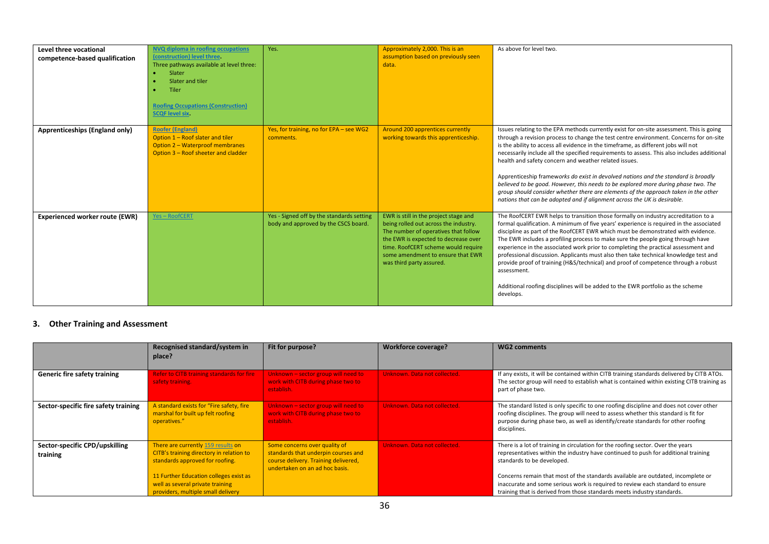| Level three vocational<br>competence-based qualification | <b>NVQ diploma in roofing occupations</b><br>(construction) level three.<br>Three pathways available at level three:<br>Slater<br>$\bullet$<br>Slater and tiler<br>Tiler<br><b>Roofing Occupations (Construction)</b><br><b>SCQF level six.</b> | Yes.                                                                              | Approximately 2,000. This is an<br>assumption based on previously seen<br>data.                                                                                                                                                                                        | As above for level two.                                                                                                                                                                                                                                                                                                                                                                                                                                                                                                                                                                                                                                                                                                                                                         |
|----------------------------------------------------------|-------------------------------------------------------------------------------------------------------------------------------------------------------------------------------------------------------------------------------------------------|-----------------------------------------------------------------------------------|------------------------------------------------------------------------------------------------------------------------------------------------------------------------------------------------------------------------------------------------------------------------|---------------------------------------------------------------------------------------------------------------------------------------------------------------------------------------------------------------------------------------------------------------------------------------------------------------------------------------------------------------------------------------------------------------------------------------------------------------------------------------------------------------------------------------------------------------------------------------------------------------------------------------------------------------------------------------------------------------------------------------------------------------------------------|
| Apprenticeships (England only)                           | <b>Roofer (England)</b><br>Option 1 - Roof slater and tiler<br>Option 2 - Waterproof membranes<br>Option 3 - Roof sheeter and cladder                                                                                                           | Yes, for training, no for EPA - see WG2<br>comments.                              | Around 200 apprentices currently<br>working towards this apprenticeship.                                                                                                                                                                                               | Issues relating to the EPA methods currently exist for on-site assessment. This is going<br>through a revision process to change the test centre environment. Concerns for on-site<br>is the ability to access all evidence in the timeframe, as different jobs will not<br>necessarily include all the specified requirements to assess. This also includes additional<br>health and safety concern and weather related issues.<br>Apprenticeship frameworks do exist in devolved nations and the standard is broadly<br>believed to be good. However, this needs to be explored more during phase two. The<br>group should consider whether there are elements of the approach taken in the other<br>nations that can be adopted and if alignment across the UK is desirable. |
| <b>Experienced worker route (EWR)</b>                    | <b>Yes-RoofCERT</b>                                                                                                                                                                                                                             | Yes - Signed off by the standards setting<br>body and approved by the CSCS board. | EWR is still in the project stage and<br>being rolled out across the industry.<br>The number of operatives that follow<br>the EWR is expected to decrease over<br>time. RoofCERT scheme would require<br>some amendment to ensure that EWR<br>was third party assured. | The RoofCERT EWR helps to transition those formally on industry accreditation to a<br>formal qualification. A minimum of five years' experience is required in the associated<br>discipline as part of the RoofCERT EWR which must be demonstrated with evidence.<br>The EWR includes a profiling process to make sure the people going through have<br>experience in the associated work prior to completing the practical assessment and<br>professional discussion. Applicants must also then take technical knowledge test and<br>provide proof of training (H&S/technical) and proof of competence through a robust<br>assessment.<br>Additional roofing disciplines will be added to the EWR portfolio as the scheme<br>develops.                                         |

#### **3. Other Training and Assessment**

|                                            | Recognised standard/system in<br>place?                                                                                                                                                                                               | Fit for purpose?                                                                                                                               | Workforce coverage?          | <b>WG2 comments</b>                                                                                                                                                                                                                                                                                                                                                                                                                                   |
|--------------------------------------------|---------------------------------------------------------------------------------------------------------------------------------------------------------------------------------------------------------------------------------------|------------------------------------------------------------------------------------------------------------------------------------------------|------------------------------|-------------------------------------------------------------------------------------------------------------------------------------------------------------------------------------------------------------------------------------------------------------------------------------------------------------------------------------------------------------------------------------------------------------------------------------------------------|
| <b>Generic fire safety training</b>        | Refer to CITB training standards for fire<br>safety training.                                                                                                                                                                         | Unknown - sector group will need to<br>work with CITB during phase two to<br>establish.                                                        | Unknown, Data not collected. | If any exists, it will be contained within CITB training standards delivered by CITB ATOs.<br>The sector group will need to establish what is contained within existing CITB training as<br>part of phase two.                                                                                                                                                                                                                                        |
| Sector-specific fire safety training       | A standard exists for "Fire safety, fire<br>marshal for built up felt roofing<br>operatives."                                                                                                                                         | Unknown - sector group will need to<br>work with CITB during phase two to<br>establish.                                                        | Unknown. Data not collected. | The standard listed is only specific to one roofing discipline and does not cover other<br>roofing disciplines. The group will need to assess whether this standard is fit for<br>purpose during phase two, as well as identify/create standards for other roofing<br>disciplines.                                                                                                                                                                    |
| Sector-specific CPD/upskilling<br>training | There are currently 159 results on<br>CITB's training directory in relation to<br>standards approved for roofing.<br>11 Further Education colleges exist as<br>well as several private training<br>providers, multiple small delivery | Some concerns over quality of<br>standards that underpin courses and<br>course delivery. Training delivered,<br>undertaken on an ad hoc basis. | Unknown, Data not collected. | There is a lot of training in circulation for the roofing sector. Over the years<br>representatives within the industry have continued to push for additional training<br>standards to be developed.<br>Concerns remain that most of the standards available are outdated, incomplete or<br>inaccurate and some serious work is required to review each standard to ensure<br>training that is derived from those standards meets industry standards. |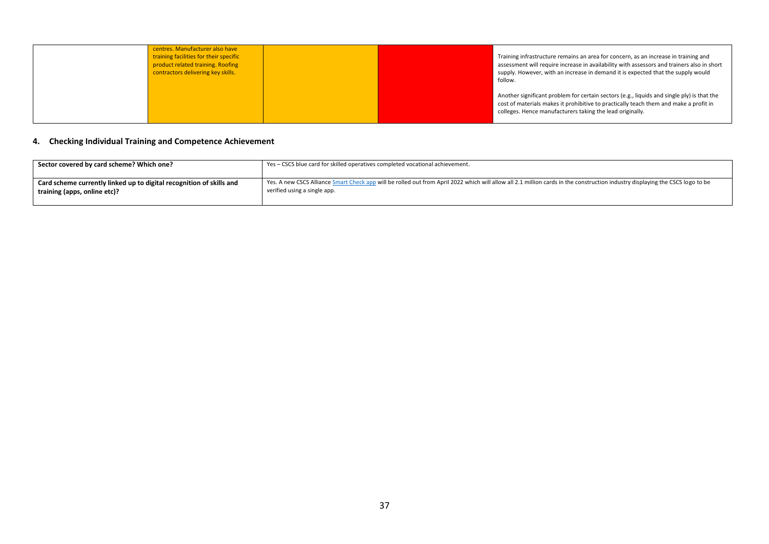| centres. Manufacturer also have<br>training facilities for their specific<br>product related training. Roofing<br>contractors delivering key skills. |  | Training infrastructure remains an area for concern, as an increase in training and<br>assessment will require increase in availability with assessors and trainers also in short<br>supply. However, with an increase in demand it is expected that the supply would<br>follow. |
|------------------------------------------------------------------------------------------------------------------------------------------------------|--|----------------------------------------------------------------------------------------------------------------------------------------------------------------------------------------------------------------------------------------------------------------------------------|
|                                                                                                                                                      |  | Another significant problem for certain sectors (e.g., liquids and single ply) is that the<br>cost of materials makes it prohibitive to practically teach them and make a profit in<br>colleges. Hence manufacturers taking the lead originally.                                 |

### **4. Checking Individual Training and Competence Achievement**

| Sector covered by card scheme? Which one?                            | Yes – CSCS blue card for skilled operatives completed vocational achievement.                                                                                                  |  |
|----------------------------------------------------------------------|--------------------------------------------------------------------------------------------------------------------------------------------------------------------------------|--|
|                                                                      |                                                                                                                                                                                |  |
| Card scheme currently linked up to digital recognition of skills and | Yes. A new CSCS Alliance Smart Check app will be rolled out from April 2022 which will allow all 2.1 million cards in the construction industry displaying the CSCS logo to be |  |
| training (apps, online etc)?                                         | verified using a single app.                                                                                                                                                   |  |
|                                                                      |                                                                                                                                                                                |  |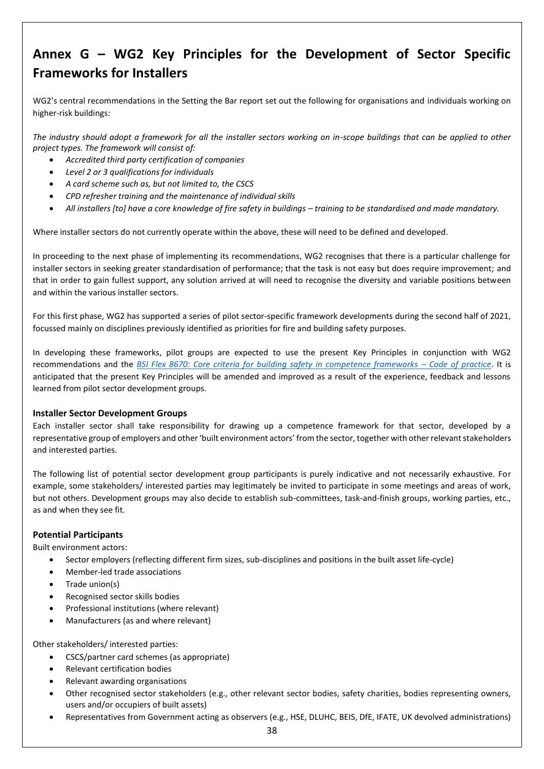## <span id="page-37-0"></span>**Annex G – WG2 Key Principles for the Development of Sector Specific Frameworks for Installers**

WG2's central recommendations in the Setting the Bar report set out the following for organisations and individuals working on higher-risk buildings:

*The industry should adopt a framework for all the installer sectors working on in-scope buildings that can be applied to other project types. The framework will consist of:* 

- *Accredited third party certification of companies*
- *Level 2 or 3 qualifications for individuals*
- *A card scheme such as, but not limited to, the CSCS*
- *CPD refresher training and the maintenance of individual skills*
- *All installers [to] have a core knowledge of fire safety in buildings – training to be standardised and made mandatory.*

Where installer sectors do not currently operate within the above, these will need to be defined and developed.

In proceeding to the next phase of implementing its recommendations, WG2 recognises that there is a particular challenge for installer sectors in seeking greater standardisation of performance; that the task is not easy but does require improvement; and that in order to gain fullest support, any solution arrived at will need to recognise the diversity and variable positions between and within the various installer sectors.

For this first phase, WG2 has supported a series of pilot sector-specific framework developments during the second half of 2021, focussed mainly on disciplines previously identified as priorities for fire and building safety purposes.

In developing these frameworks, pilot groups are expected to use the present Key Principles in conjunction with WG2 recommendations and the **BSI Flex 8670:** Core criteria for building safety in competence frameworks - Code of practice. It is anticipated that the present Key Principles will be amended and improved as a result of the experience, feedback and lessons learned from pilot sector development groups.

#### **Installer Sector Development Groups**

Each installer sector shall take responsibility for drawing up a competence framework for that sector, developed by a representative group of employers and other 'built environment actors' from the sector, together with other relevant stakeholders and interested parties.

The following list of potential sector development group participants is purely indicative and not necessarily exhaustive. For example, some stakeholders/ interested parties may legitimately be invited to participate in some meetings and areas of work, but not others. Development groups may also decide to establish sub-committees, task-and-finish groups, working parties, etc., as and when they see fit.

#### **Potential Participants**

Built environment actors:

- Sector employers (reflecting different firm sizes, sub-disciplines and positions in the built asset life-cycle)
- Member-led trade associations
- Trade union(s)
- Recognised sector skills bodies
- Professional institutions (where relevant)
- Manufacturers (as and where relevant)

Other stakeholders/ interested parties:

- CSCS/partner card schemes (as appropriate)
- Relevant certification bodies
- Relevant awarding organisations
- Other recognised sector stakeholders (e.g., other relevant sector bodies, safety charities, bodies representing owners, users and/or occupiers of built assets)
- Representatives from Government acting as observers (e.g., HSE, DLUHC, BEIS, DfE, IFATE, UK devolved administrations)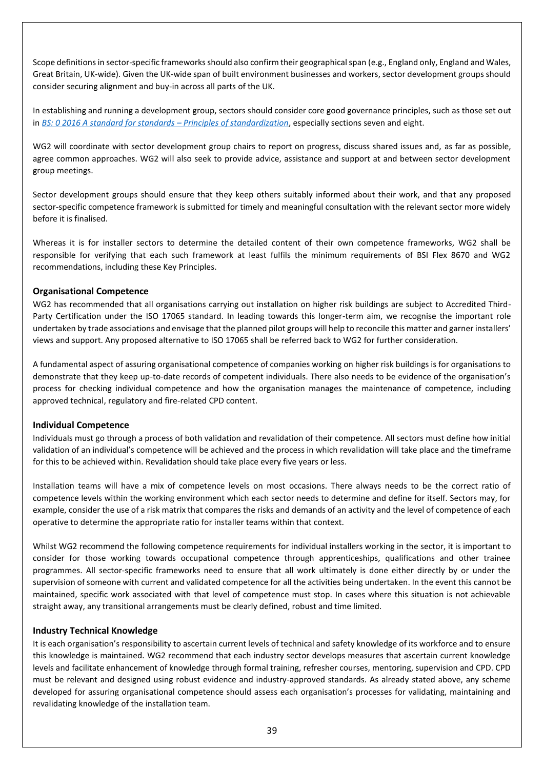Scope definitions in sector-specific frameworks should also confirm their geographical span (e.g., England only, England and Wales, Great Britain, UK-wide). Given the UK-wide span of built environment businesses and workers, sector development groups should consider securing alignment and buy-in across all parts of the UK.

In establishing and running a development group, sectors should consider core good governance principles, such as those set out in *[BS: 0 2016 A standard for standards](https://www.bsigroup.com/Documents/standards/guide-to-standards/BSI-BS-0-2016.pdf) – Principles of standardization*, especially sections seven and eight.

WG2 will coordinate with sector development group chairs to report on progress, discuss shared issues and, as far as possible, agree common approaches. WG2 will also seek to provide advice, assistance and support at and between sector development group meetings.

Sector development groups should ensure that they keep others suitably informed about their work, and that any proposed sector-specific competence framework is submitted for timely and meaningful consultation with the relevant sector more widely before it is finalised.

Whereas it is for installer sectors to determine the detailed content of their own competence frameworks, WG2 shall be responsible for verifying that each such framework at least fulfils the minimum requirements of BSI Flex 8670 and WG2 recommendations, including these Key Principles.

#### **Organisational Competence**

WG2 has recommended that all organisations carrying out installation on higher risk buildings are subject to Accredited Third-Party Certification under the ISO 17065 standard. In leading towards this longer-term aim, we recognise the important role undertaken by trade associations and envisage that the planned pilot groups will help to reconcile this matter and garner installers' views and support. Any proposed alternative to ISO 17065 shall be referred back to WG2 for further consideration.

A fundamental aspect of assuring organisational competence of companies working on higher risk buildings is for organisations to demonstrate that they keep up-to-date records of competent individuals. There also needs to be evidence of the organisation's process for checking individual competence and how the organisation manages the maintenance of competence, including approved technical, regulatory and fire-related CPD content.

#### **Individual Competence**

Individuals must go through a process of both validation and revalidation of their competence. All sectors must define how initial validation of an individual's competence will be achieved and the process in which revalidation will take place and the timeframe for this to be achieved within. Revalidation should take place every five years or less.

Installation teams will have a mix of competence levels on most occasions. There always needs to be the correct ratio of competence levels within the working environment which each sector needs to determine and define for itself. Sectors may, for example, consider the use of a risk matrix that compares the risks and demands of an activity and the level of competence of each operative to determine the appropriate ratio for installer teams within that context.

Whilst WG2 recommend the following competence requirements for individual installers working in the sector, it is important to consider for those working towards occupational competence through apprenticeships, qualifications and other trainee programmes. All sector-specific frameworks need to ensure that all work ultimately is done either directly by or under the supervision of someone with current and validated competence for all the activities being undertaken. In the event this cannot be maintained, specific work associated with that level of competence must stop. In cases where this situation is not achievable straight away, any transitional arrangements must be clearly defined, robust and time limited.

#### **Industry Technical Knowledge**

It is each organisation's responsibility to ascertain current levels of technical and safety knowledge of its workforce and to ensure this knowledge is maintained. WG2 recommend that each industry sector develops measures that ascertain current knowledge levels and facilitate enhancement of knowledge through formal training, refresher courses, mentoring, supervision and CPD. CPD must be relevant and designed using robust evidence and industry-approved standards. As already stated above, any scheme developed for assuring organisational competence should assess each organisation's processes for validating, maintaining and revalidating knowledge of the installation team.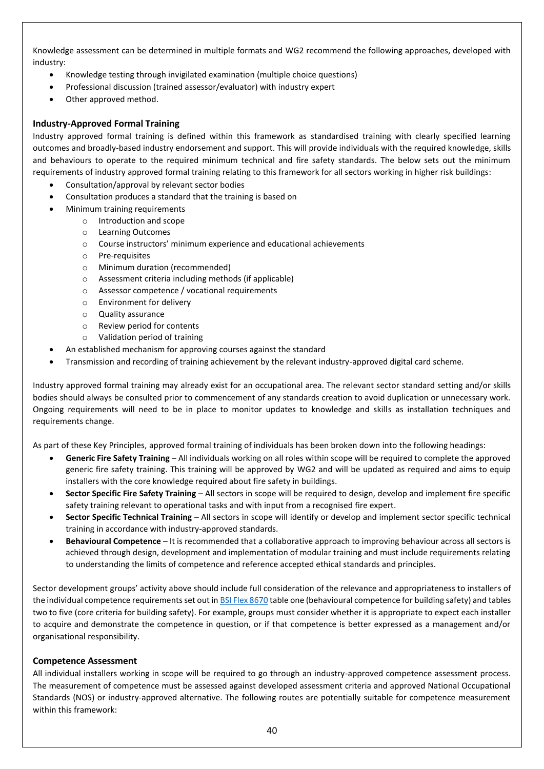Knowledge assessment can be determined in multiple formats and WG2 recommend the following approaches, developed with industry:

- Knowledge testing through invigilated examination (multiple choice questions)
- Professional discussion (trained assessor/evaluator) with industry expert
- Other approved method.

#### **Industry-Approved Formal Training**

Industry approved formal training is defined within this framework as standardised training with clearly specified learning outcomes and broadly-based industry endorsement and support. This will provide individuals with the required knowledge, skills and behaviours to operate to the required minimum technical and fire safety standards. The below sets out the minimum requirements of industry approved formal training relating to this framework for all sectors working in higher risk buildings:

- Consultation/approval by relevant sector bodies
- Consultation produces a standard that the training is based on
- Minimum training requirements
	- o Introduction and scope
	- o Learning Outcomes
	- o Course instructors' minimum experience and educational achievements
	- o Pre-requisites
	- o Minimum duration (recommended)
	- o Assessment criteria including methods (if applicable)
	- o Assessor competence / vocational requirements
	- o Environment for delivery
	- o Quality assurance
	- o Review period for contents
	- o Validation period of training
	- An established mechanism for approving courses against the standard
- Transmission and recording of training achievement by the relevant industry-approved digital card scheme.

Industry approved formal training may already exist for an occupational area. The relevant sector standard setting and/or skills bodies should always be consulted prior to commencement of any standards creation to avoid duplication or unnecessary work. Ongoing requirements will need to be in place to monitor updates to knowledge and skills as installation techniques and requirements change.

As part of these Key Principles, approved formal training of individuals has been broken down into the following headings:

- **Generic Fire Safety Training** All individuals working on all roles within scope will be required to complete the approved generic fire safety training. This training will be approved by WG2 and will be updated as required and aims to equip installers with the core knowledge required about fire safety in buildings.
- **Sector Specific Fire Safety Training**  All sectors in scope will be required to design, develop and implement fire specific safety training relevant to operational tasks and with input from a recognised fire expert.
- **Sector Specific Technical Training**  All sectors in scope will identify or develop and implement sector specific technical training in accordance with industry-approved standards.
- **Behavioural Competence**  It is recommended that a collaborative approach to improving behaviour across all sectors is achieved through design, development and implementation of modular training and must include requirements relating to understanding the limits of competence and reference accepted ethical standards and principles.

Sector development groups' activity above should include full consideration of the relevance and appropriateness to installers of the individual competence requirements set out in [BSI Flex 8670](https://shop.bsigroup.com/products/built-environment-core-criteria-for-building-safety-in-competence-frameworks-code-of-practice/standard) table one (behavioural competence for building safety) and tables two to five (core criteria for building safety). For example, groups must consider whether it is appropriate to expect each installer to acquire and demonstrate the competence in question, or if that competence is better expressed as a management and/or organisational responsibility.

#### **Competence Assessment**

All individual installers working in scope will be required to go through an industry-approved competence assessment process. The measurement of competence must be assessed against developed assessment criteria and approved National Occupational Standards (NOS) or industry-approved alternative. The following routes are potentially suitable for competence measurement within this framework: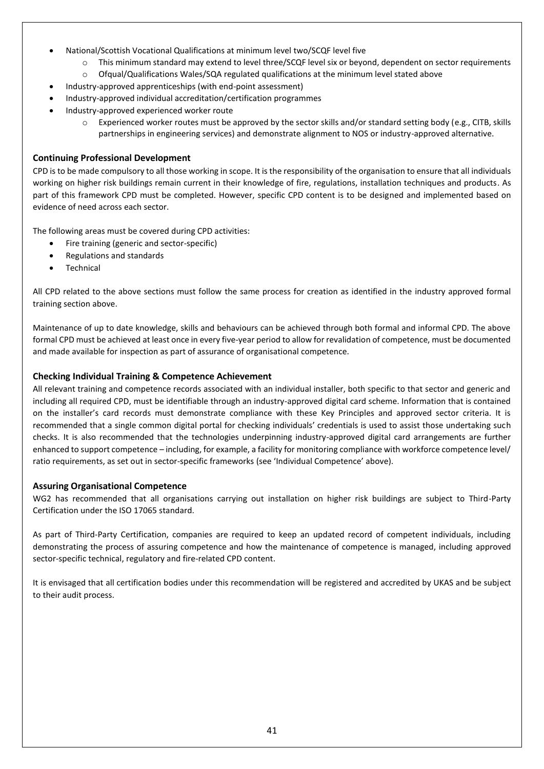- National/Scottish Vocational Qualifications at minimum level two/SCQF level five
	- o This minimum standard may extend to level three/SCQF level six or beyond, dependent on sector requirements
	- o Ofqual/Qualifications Wales/SQA regulated qualifications at the minimum level stated above
- Industry-approved apprenticeships (with end-point assessment)
- Industry-approved individual accreditation/certification programmes
- Industry-approved experienced worker route
	- $\circ$  Experienced worker routes must be approved by the sector skills and/or standard setting body (e.g., CITB, skills partnerships in engineering services) and demonstrate alignment to NOS or industry-approved alternative.

#### **Continuing Professional Development**

CPD is to be made compulsory to all those working in scope. It is the responsibility of the organisation to ensure that all individuals working on higher risk buildings remain current in their knowledge of fire, regulations, installation techniques and products. As part of this framework CPD must be completed. However, specific CPD content is to be designed and implemented based on evidence of need across each sector.

The following areas must be covered during CPD activities:

- Fire training (generic and sector-specific)
- Regulations and standards
- **Technical**

All CPD related to the above sections must follow the same process for creation as identified in the industry approved formal training section above.

Maintenance of up to date knowledge, skills and behaviours can be achieved through both formal and informal CPD. The above formal CPD must be achieved at least once in every five-year period to allow for revalidation of competence, must be documented and made available for inspection as part of assurance of organisational competence.

#### **Checking Individual Training & Competence Achievement**

All relevant training and competence records associated with an individual installer, both specific to that sector and generic and including all required CPD, must be identifiable through an industry-approved digital card scheme. Information that is contained on the installer's card records must demonstrate compliance with these Key Principles and approved sector criteria. It is recommended that a single common digital portal for checking individuals' credentials is used to assist those undertaking such checks. It is also recommended that the technologies underpinning industry-approved digital card arrangements are further enhanced to support competence – including, for example, a facility for monitoring compliance with workforce competence level/ ratio requirements, as set out in sector-specific frameworks (see 'Individual Competence' above).

#### **Assuring Organisational Competence**

WG2 has recommended that all organisations carrying out installation on higher risk buildings are subject to Third-Party Certification under the ISO 17065 standard.

As part of Third-Party Certification, companies are required to keep an updated record of competent individuals, including demonstrating the process of assuring competence and how the maintenance of competence is managed, including approved sector-specific technical, regulatory and fire-related CPD content.

It is envisaged that all certification bodies under this recommendation will be registered and accredited by UKAS and be subject to their audit process.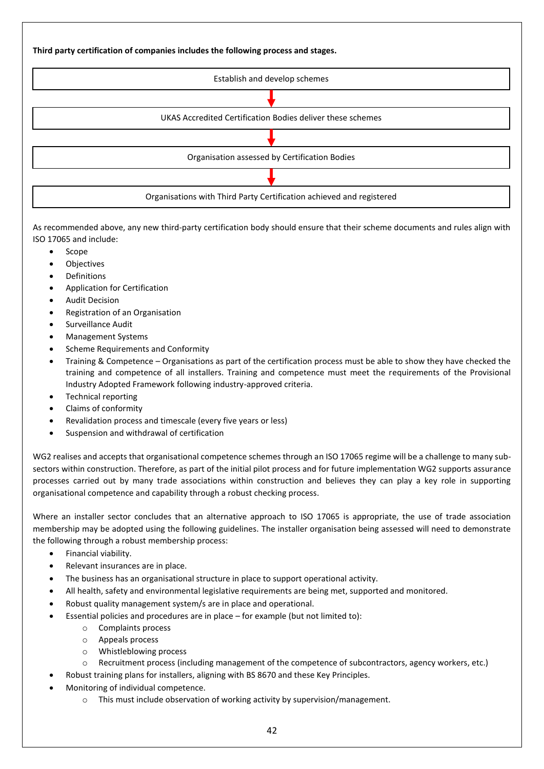

As recommended above, any new third-party certification body should ensure that their scheme documents and rules align with ISO 17065 and include:

- Scope
- **Objectives**
- **Definitions**
- Application for Certification
- Audit Decision
- Registration of an Organisation
- Surveillance Audit
- Management Systems
- Scheme Requirements and Conformity
- Training & Competence Organisations as part of the certification process must be able to show they have checked the training and competence of all installers. Training and competence must meet the requirements of the Provisional Industry Adopted Framework following industry-approved criteria.
- Technical reporting
- Claims of conformity
- Revalidation process and timescale (every five years or less)
- Suspension and withdrawal of certification

WG2 realises and accepts that organisational competence schemes through an ISO 17065 regime will be a challenge to many subsectors within construction. Therefore, as part of the initial pilot process and for future implementation WG2 supports assurance processes carried out by many trade associations within construction and believes they can play a key role in supporting organisational competence and capability through a robust checking process.

Where an installer sector concludes that an alternative approach to ISO 17065 is appropriate, the use of trade association membership may be adopted using the following guidelines. The installer organisation being assessed will need to demonstrate the following through a robust membership process:

- Financial viability.
- Relevant insurances are in place.
- The business has an organisational structure in place to support operational activity.
- All health, safety and environmental legislative requirements are being met, supported and monitored.
- Robust quality management system/s are in place and operational.
- Essential policies and procedures are in place for example (but not limited to):
	- o Complaints process
	- o Appeals process
	- o Whistleblowing process
	- o Recruitment process (including management of the competence of subcontractors, agency workers, etc.)
- Robust training plans for installers, aligning with BS 8670 and these Key Principles.
- Monitoring of individual competence.
	- o This must include observation of working activity by supervision/management.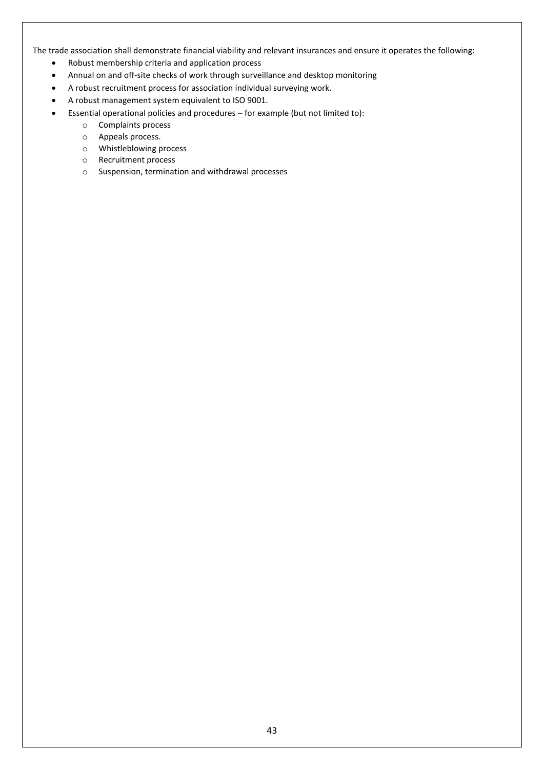The trade association shall demonstrate financial viability and relevant insurances and ensure it operates the following:

- Robust membership criteria and application process
- Annual on and off-site checks of work through surveillance and desktop monitoring
- A robust recruitment process for association individual surveying work.
- A robust management system equivalent to ISO 9001.
- Essential operational policies and procedures for example (but not limited to):
	- o Complaints process
	- o Appeals process.
	- o Whistleblowing process
	- o Recruitment process
	- o Suspension, termination and withdrawal processes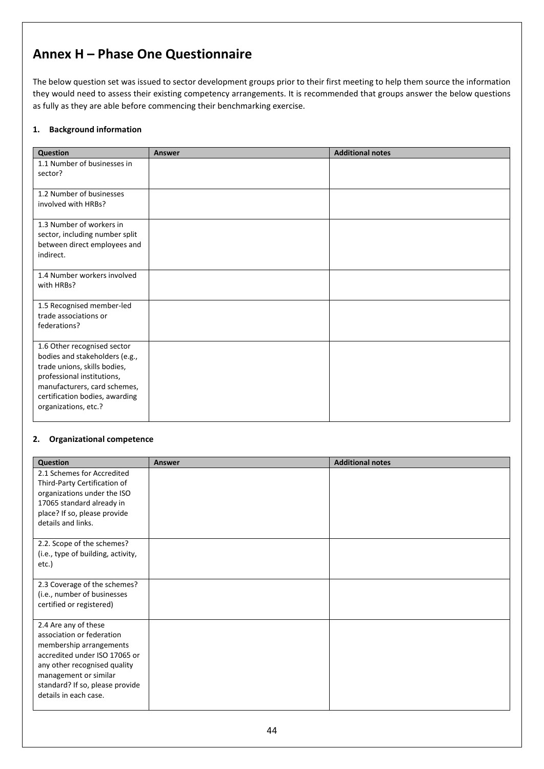## <span id="page-43-0"></span>**Annex H – Phase One Questionnaire**

The below question set was issued to sector development groups prior to their first meeting to help them source the information they would need to assess their existing competency arrangements. It is recommended that groups answer the below questions as fully as they are able before commencing their benchmarking exercise.

#### **1. Background information**

| Question                                                                                                                                                                                                              | <b>Answer</b> | <b>Additional notes</b> |
|-----------------------------------------------------------------------------------------------------------------------------------------------------------------------------------------------------------------------|---------------|-------------------------|
| 1.1 Number of businesses in<br>sector?                                                                                                                                                                                |               |                         |
| 1.2 Number of businesses<br>involved with HRBs?                                                                                                                                                                       |               |                         |
| 1.3 Number of workers in<br>sector, including number split<br>between direct employees and<br>indirect.                                                                                                               |               |                         |
| 1.4 Number workers involved<br>with HRBs?                                                                                                                                                                             |               |                         |
| 1.5 Recognised member-led<br>trade associations or<br>federations?                                                                                                                                                    |               |                         |
| 1.6 Other recognised sector<br>bodies and stakeholders (e.g.,<br>trade unions, skills bodies,<br>professional institutions,<br>manufacturers, card schemes,<br>certification bodies, awarding<br>organizations, etc.? |               |                         |

#### **2. Organizational competence**

| Question                                                                                  | Answer | <b>Additional notes</b> |
|-------------------------------------------------------------------------------------------|--------|-------------------------|
| 2.1 Schemes for Accredited<br>Third-Party Certification of<br>organizations under the ISO |        |                         |
| 17065 standard already in<br>place? If so, please provide<br>details and links.           |        |                         |
| 2.2. Scope of the schemes?<br>(i.e., type of building, activity,<br>etc.)                 |        |                         |
| 2.3 Coverage of the schemes?<br>(i.e., number of businesses<br>certified or registered)   |        |                         |
| 2.4 Are any of these<br>association or federation<br>membership arrangements              |        |                         |
| accredited under ISO 17065 or<br>any other recognised quality<br>management or similar    |        |                         |
| standard? If so, please provide<br>details in each case.                                  |        |                         |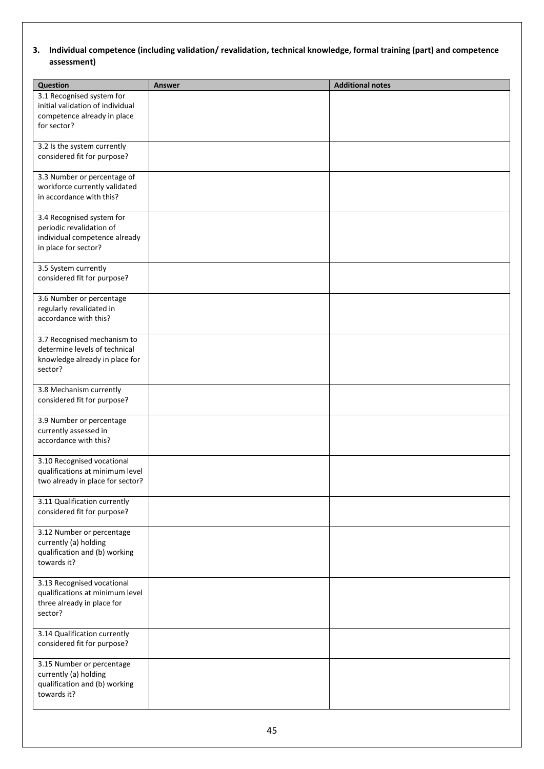### **3. Individual competence (including validation/ revalidation, technical knowledge, formal training (part) and competence assessment)**

| <b>Question</b>                                                                                                | <b>Answer</b> | <b>Additional notes</b> |
|----------------------------------------------------------------------------------------------------------------|---------------|-------------------------|
| 3.1 Recognised system for<br>initial validation of individual<br>competence already in place<br>for sector?    |               |                         |
| 3.2 Is the system currently<br>considered fit for purpose?                                                     |               |                         |
| 3.3 Number or percentage of<br>workforce currently validated<br>in accordance with this?                       |               |                         |
| 3.4 Recognised system for<br>periodic revalidation of<br>individual competence already<br>in place for sector? |               |                         |
| 3.5 System currently<br>considered fit for purpose?                                                            |               |                         |
| 3.6 Number or percentage<br>regularly revalidated in<br>accordance with this?                                  |               |                         |
| 3.7 Recognised mechanism to<br>determine levels of technical<br>knowledge already in place for<br>sector?      |               |                         |
| 3.8 Mechanism currently<br>considered fit for purpose?                                                         |               |                         |
| 3.9 Number or percentage<br>currently assessed in<br>accordance with this?                                     |               |                         |
| 3.10 Recognised vocational<br>qualifications at minimum level<br>two already in place for sector?              |               |                         |
| 3.11 Qualification currently<br>considered fit for purpose?                                                    |               |                         |
| 3.12 Number or percentage<br>currently (a) holding<br>qualification and (b) working<br>towards it?             |               |                         |
| 3.13 Recognised vocational<br>qualifications at minimum level<br>three already in place for<br>sector?         |               |                         |
| 3.14 Qualification currently<br>considered fit for purpose?                                                    |               |                         |
| 3.15 Number or percentage<br>currently (a) holding<br>qualification and (b) working<br>towards it?             |               |                         |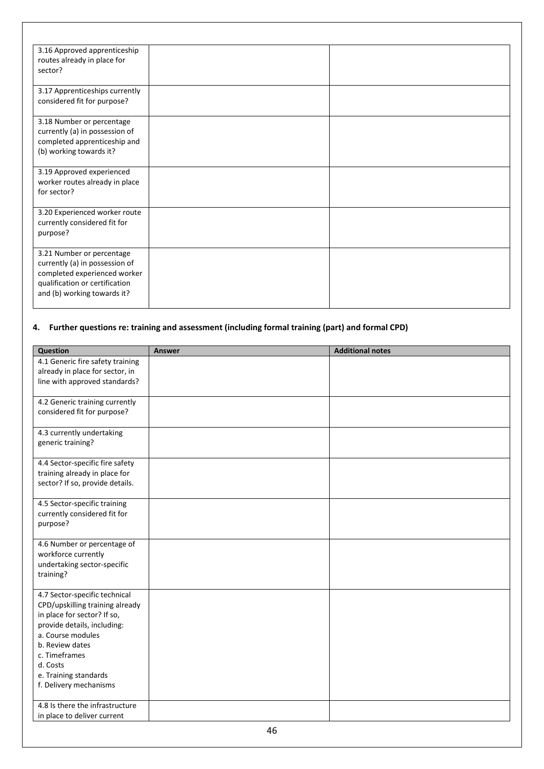| 3.16 Approved apprenticeship<br>routes already in place for<br>sector?                                                                                       |  |
|--------------------------------------------------------------------------------------------------------------------------------------------------------------|--|
| 3.17 Apprenticeships currently<br>considered fit for purpose?                                                                                                |  |
| 3.18 Number or percentage<br>currently (a) in possession of<br>completed apprenticeship and<br>(b) working towards it?                                       |  |
| 3.19 Approved experienced<br>worker routes already in place<br>for sector?                                                                                   |  |
| 3.20 Experienced worker route<br>currently considered fit for<br>purpose?                                                                                    |  |
| 3.21 Number or percentage<br>currently (a) in possession of<br>completed experienced worker<br>qualification or certification<br>and (b) working towards it? |  |

### **4. Further questions re: training and assessment (including formal training (part) and formal CPD)**

| Question                                           | <b>Answer</b> | <b>Additional notes</b> |
|----------------------------------------------------|---------------|-------------------------|
| 4.1 Generic fire safety training                   |               |                         |
| already in place for sector, in                    |               |                         |
| line with approved standards?                      |               |                         |
|                                                    |               |                         |
| 4.2 Generic training currently                     |               |                         |
| considered fit for purpose?                        |               |                         |
| 4.3 currently undertaking                          |               |                         |
| generic training?                                  |               |                         |
|                                                    |               |                         |
| 4.4 Sector-specific fire safety                    |               |                         |
| training already in place for                      |               |                         |
| sector? If so, provide details.                    |               |                         |
| 4.5 Sector-specific training                       |               |                         |
| currently considered fit for                       |               |                         |
| purpose?                                           |               |                         |
|                                                    |               |                         |
| 4.6 Number or percentage of<br>workforce currently |               |                         |
| undertaking sector-specific                        |               |                         |
| training?                                          |               |                         |
|                                                    |               |                         |
| 4.7 Sector-specific technical                      |               |                         |
| CPD/upskilling training already                    |               |                         |
| in place for sector? If so,                        |               |                         |
| provide details, including:<br>a. Course modules   |               |                         |
| b. Review dates                                    |               |                         |
| c. Timeframes                                      |               |                         |
| d. Costs                                           |               |                         |
| e. Training standards                              |               |                         |
| f. Delivery mechanisms                             |               |                         |
| 4.8 Is there the infrastructure                    |               |                         |
| in place to deliver current                        |               |                         |
|                                                    |               |                         |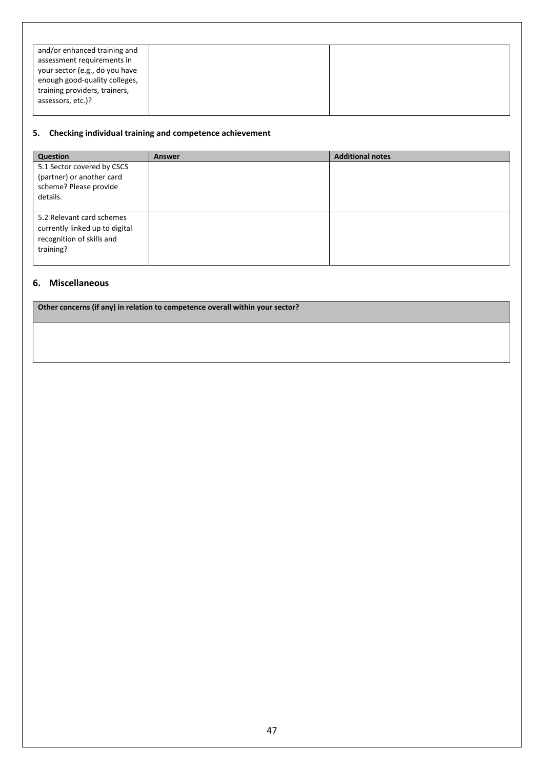| and/or enhanced training and   |  |
|--------------------------------|--|
| assessment requirements in     |  |
| your sector (e.g., do you have |  |
| enough good-quality colleges,  |  |
| training providers, trainers,  |  |
| assessors, etc.)?              |  |
|                                |  |

### **5. Checking individual training and competence achievement**

| Question                                                                                              | <b>Answer</b> | <b>Additional notes</b> |
|-------------------------------------------------------------------------------------------------------|---------------|-------------------------|
| 5.1 Sector covered by CSCS<br>(partner) or another card<br>scheme? Please provide<br>details.         |               |                         |
| 5.2 Relevant card schemes<br>currently linked up to digital<br>recognition of skills and<br>training? |               |                         |

#### **6. Miscellaneous**

**Other concerns (if any) in relation to competence overall within your sector?**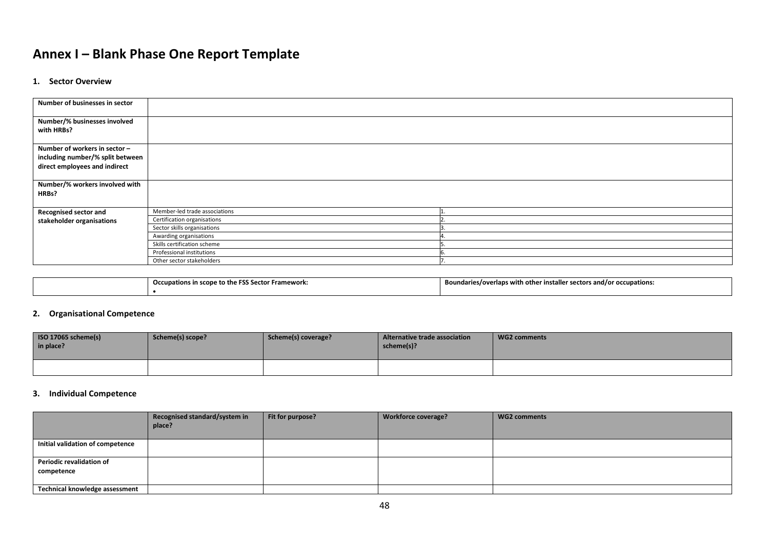## **Annex I – Blank Phase One Report Template**

#### **1. Sector Overview**

| Number of businesses in sector                                                                     |                               |  |
|----------------------------------------------------------------------------------------------------|-------------------------------|--|
| Number/% businesses involved<br>with HRBs?                                                         |                               |  |
| Number of workers in sector -<br>including number/% split between<br>direct employees and indirect |                               |  |
| Number/% workers involved with<br>HRBs?                                                            |                               |  |
| <b>Recognised sector and</b>                                                                       | Member-led trade associations |  |
| stakeholder organisations                                                                          | Certification organisations   |  |
|                                                                                                    | Sector skills organisations   |  |
|                                                                                                    | Awarding organisations        |  |
|                                                                                                    | Skills certification scheme   |  |
|                                                                                                    | Professional institutions     |  |
|                                                                                                    | Other sector stakeholders     |  |

<span id="page-47-0"></span>

| Framework:<br>s in scope to the F.<br>~upation.<br>\ Sectu | undaries/overlaps with other installer sectors<br>Bo<br>r occupations:<br>s and/or : |
|------------------------------------------------------------|--------------------------------------------------------------------------------------|
|                                                            |                                                                                      |

#### **2. Organisational Competence**

| ISO 17065 scheme(s)<br>in place? | Scheme(s) scope? | Scheme(s) coverage? | Alternative trade association<br>scheme(s)? | WG2 comments |
|----------------------------------|------------------|---------------------|---------------------------------------------|--------------|
|                                  |                  |                     |                                             |              |

#### **3. Individual Competence**

|                                  | Recognised standard/system in | Fit for purpose? | Workforce coverage? | <b>WG2 comments</b> |
|----------------------------------|-------------------------------|------------------|---------------------|---------------------|
|                                  | place?                        |                  |                     |                     |
|                                  |                               |                  |                     |                     |
| Initial validation of competence |                               |                  |                     |                     |
|                                  |                               |                  |                     |                     |
| Periodic revalidation of         |                               |                  |                     |                     |
| competence                       |                               |                  |                     |                     |
|                                  |                               |                  |                     |                     |
| Technical knowledge assessment   |                               |                  |                     |                     |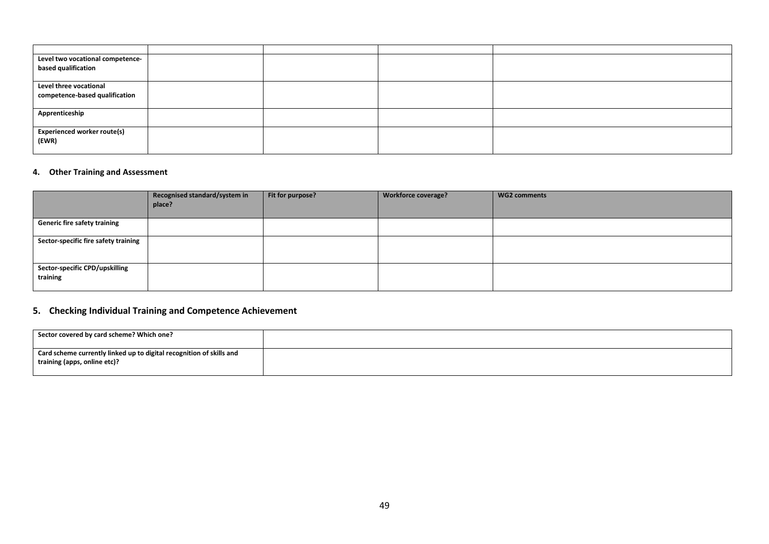| Level two vocational competence-<br>based qualification  |  |  |
|----------------------------------------------------------|--|--|
| Level three vocational<br>competence-based qualification |  |  |
| Apprenticeship                                           |  |  |
| <b>Experienced worker route(s)</b><br>(EWR)              |  |  |

### **4. Other Training and Assessment**

|                                      | Recognised standard/system in<br>place? | Fit for purpose? | Workforce coverage? | <b>WG2 comments</b> |
|--------------------------------------|-----------------------------------------|------------------|---------------------|---------------------|
|                                      |                                         |                  |                     |                     |
| <b>Generic fire safety training</b>  |                                         |                  |                     |                     |
|                                      |                                         |                  |                     |                     |
|                                      |                                         |                  |                     |                     |
| Sector-specific fire safety training |                                         |                  |                     |                     |
|                                      |                                         |                  |                     |                     |
|                                      |                                         |                  |                     |                     |
|                                      |                                         |                  |                     |                     |
| Sector-specific CPD/upskilling       |                                         |                  |                     |                     |
| training                             |                                         |                  |                     |                     |
|                                      |                                         |                  |                     |                     |
|                                      |                                         |                  |                     |                     |

### **5. Checking Individual Training and Competence Achievement**

| Sector covered by card scheme? Which one?                            |  |
|----------------------------------------------------------------------|--|
| Card scheme currently linked up to digital recognition of skills and |  |
| training (apps, online etc)?                                         |  |